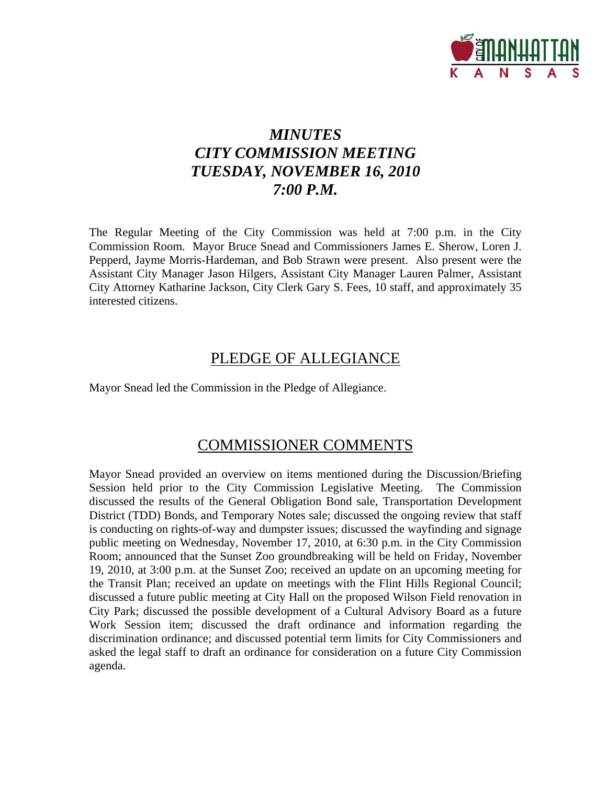

# *MINUTES CITY COMMISSION MEETING TUESDAY, NOVEMBER 16, 2010 7:00 P.M.*

The Regular Meeting of the City Commission was held at 7:00 p.m. in the City Commission Room. Mayor Bruce Snead and Commissioners James E. Sherow, Loren J. Pepperd, Jayme Morris-Hardeman, and Bob Strawn were present. Also present were the Assistant City Manager Jason Hilgers, Assistant City Manager Lauren Palmer, Assistant City Attorney Katharine Jackson, City Clerk Gary S. Fees, 10 staff, and approximately 35 interested citizens.

# PLEDGE OF ALLEGIANCE

Mayor Snead led the Commission in the Pledge of Allegiance.

# COMMISSIONER COMMENTS

Mayor Snead provided an overview on items mentioned during the Discussion/Briefing Session held prior to the City Commission Legislative Meeting. The Commission discussed the results of the General Obligation Bond sale, Transportation Development District (TDD) Bonds, and Temporary Notes sale; discussed the ongoing review that staff is conducting on rights-of-way and dumpster issues; discussed the wayfinding and signage public meeting on Wednesday, November 17, 2010, at 6:30 p.m. in the City Commission Room; announced that the Sunset Zoo groundbreaking will be held on Friday, November 19, 2010, at 3:00 p.m. at the Sunset Zoo; received an update on an upcoming meeting for the Transit Plan; received an update on meetings with the Flint Hills Regional Council; discussed a future public meeting at City Hall on the proposed Wilson Field renovation in City Park; discussed the possible development of a Cultural Advisory Board as a future Work Session item; discussed the draft ordinance and information regarding the discrimination ordinance; and discussed potential term limits for City Commissioners and asked the legal staff to draft an ordinance for consideration on a future City Commission agenda.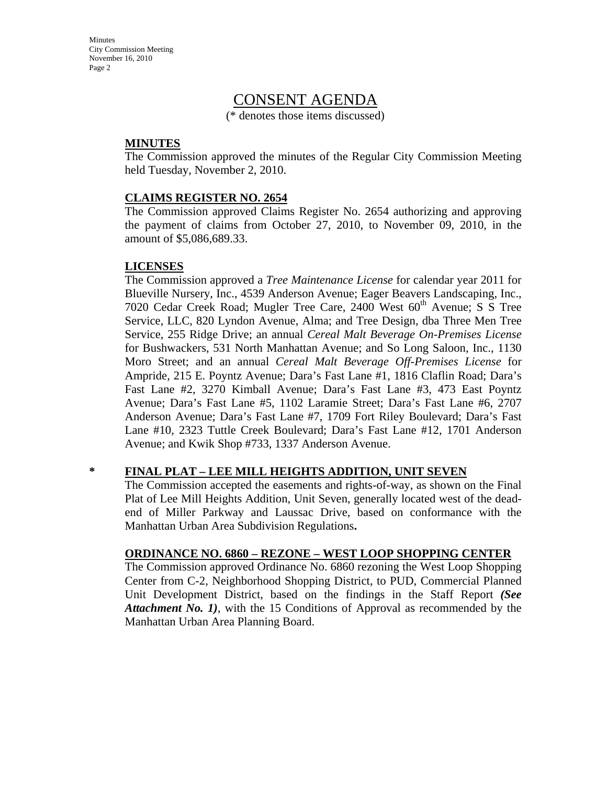Minutes City Commission Meeting November 16, 2010 Page 2

# CONSENT AGENDA

(\* denotes those items discussed)

### **MINUTES**

The Commission approved the minutes of the Regular City Commission Meeting held Tuesday, November 2, 2010.

### **CLAIMS REGISTER NO. 2654**

The Commission approved Claims Register No. 2654 authorizing and approving the payment of claims from October 27, 2010, to November 09, 2010, in the amount of \$5,086,689.33.

### **LICENSES**

The Commission approved a *Tree Maintenance License* for calendar year 2011 for Blueville Nursery, Inc., 4539 Anderson Avenue; Eager Beavers Landscaping, Inc., 7020 Cedar Creek Road; Mugler Tree Care, 2400 West 60<sup>th</sup> Avenue; S S Tree Service, LLC, 820 Lyndon Avenue, Alma; and Tree Design, dba Three Men Tree Service, 255 Ridge Drive; an annual *Cereal Malt Beverage On-Premises License* for Bushwackers, 531 North Manhattan Avenue; and So Long Saloon, Inc., 1130 Moro Street; and an annual *Cereal Malt Beverage Off-Premises License* for Ampride, 215 E. Poyntz Avenue; Dara's Fast Lane #1, 1816 Claflin Road; Dara's Fast Lane #2, 3270 Kimball Avenue; Dara's Fast Lane #3, 473 East Poyntz Avenue; Dara's Fast Lane #5, 1102 Laramie Street; Dara's Fast Lane #6, 2707 Anderson Avenue; Dara's Fast Lane #7, 1709 Fort Riley Boulevard; Dara's Fast Lane #10, 2323 Tuttle Creek Boulevard; Dara's Fast Lane #12, 1701 Anderson Avenue; and Kwik Shop #733, 1337 Anderson Avenue.

### **\* FINAL PLAT – LEE MILL HEIGHTS ADDITION, UNIT SEVEN**

The Commission accepted the easements and rights-of-way, as shown on the Final Plat of Lee Mill Heights Addition, Unit Seven, generally located west of the deadend of Miller Parkway and Laussac Drive, based on conformance with the Manhattan Urban Area Subdivision Regulations**.**

#### **ORDINANCE NO. 6860 – REZONE – WEST LOOP SHOPPING CENTER**

The Commission approved Ordinance No. 6860 rezoning the West Loop Shopping Center from C-2, Neighborhood Shopping District, to PUD, Commercial Planned Unit Development District, based on the findings in the Staff Report *(See Attachment No. 1)*, with the 15 Conditions of Approval as recommended by the Manhattan Urban Area Planning Board.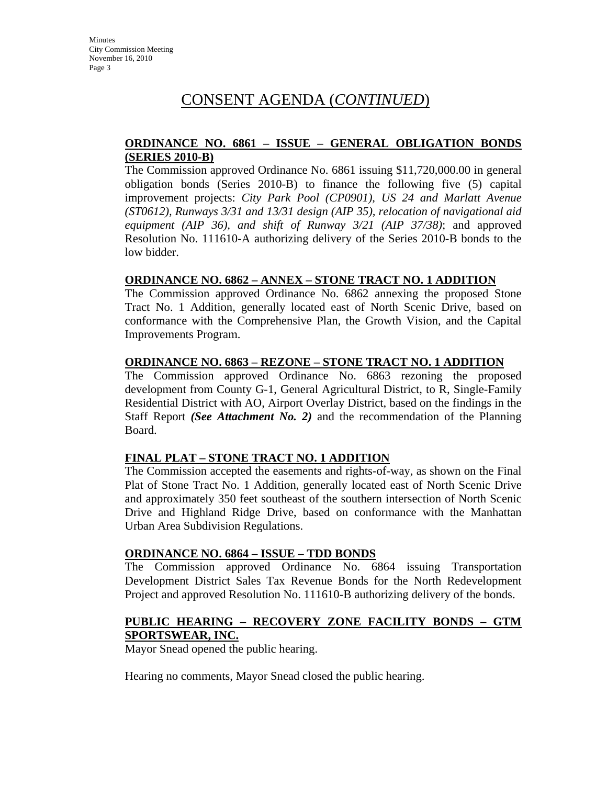### **ORDINANCE NO. 6861 – ISSUE – GENERAL OBLIGATION BONDS (SERIES 2010-B)**

The Commission approved Ordinance No. 6861 issuing \$11,720,000.00 in general obligation bonds (Series 2010-B) to finance the following five (5) capital improvement projects: *City Park Pool (CP0901), US 24 and Marlatt Avenue (ST0612), Runways 3/31 and 13/31 design (AIP 35), relocation of navigational aid equipment (AIP 36), and shift of Runway 3/21 (AIP 37/38)*; and approved Resolution No. 111610-A authorizing delivery of the Series 2010-B bonds to the low bidder.

### **ORDINANCE NO. 6862 – ANNEX – STONE TRACT NO. 1 ADDITION**

The Commission approved Ordinance No. 6862 annexing the proposed Stone Tract No. 1 Addition, generally located east of North Scenic Drive, based on conformance with the Comprehensive Plan, the Growth Vision, and the Capital Improvements Program.

#### **ORDINANCE NO. 6863 – REZONE – STONE TRACT NO. 1 ADDITION**

The Commission approved Ordinance No. 6863 rezoning the proposed development from County G-1, General Agricultural District, to R, Single-Family Residential District with AO, Airport Overlay District, based on the findings in the Staff Report *(See Attachment No. 2)* and the recommendation of the Planning Board.

### **FINAL PLAT – STONE TRACT NO. 1 ADDITION**

The Commission accepted the easements and rights-of-way, as shown on the Final Plat of Stone Tract No. 1 Addition, generally located east of North Scenic Drive and approximately 350 feet southeast of the southern intersection of North Scenic Drive and Highland Ridge Drive, based on conformance with the Manhattan Urban Area Subdivision Regulations.

#### **ORDINANCE NO. 6864 – ISSUE – TDD BONDS**

The Commission approved Ordinance No. 6864 issuing Transportation Development District Sales Tax Revenue Bonds for the North Redevelopment Project and approved Resolution No. 111610-B authorizing delivery of the bonds.

#### **PUBLIC HEARING – RECOVERY ZONE FACILITY BONDS – GTM SPORTSWEAR, INC.**

Mayor Snead opened the public hearing.

Hearing no comments, Mayor Snead closed the public hearing.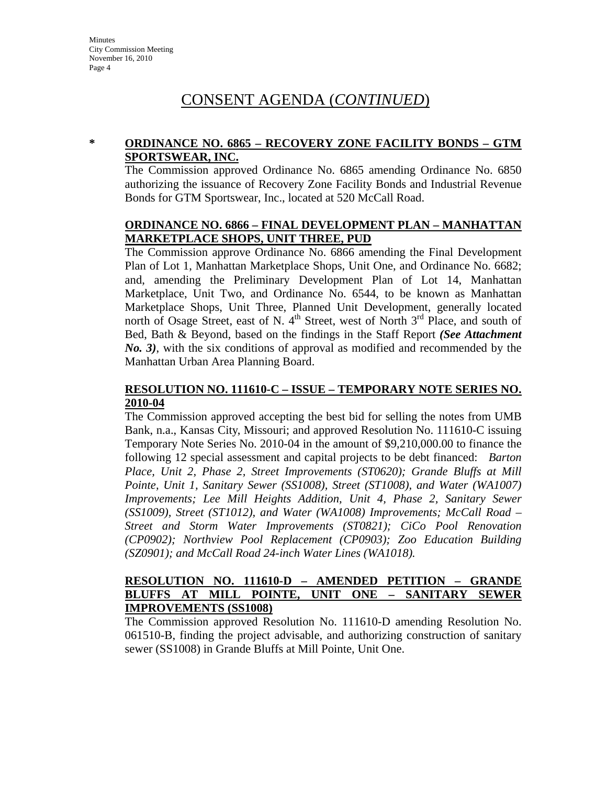### **\* ORDINANCE NO. 6865 – RECOVERY ZONE FACILITY BONDS – GTM SPORTSWEAR, INC.**

The Commission approved Ordinance No. 6865 amending Ordinance No. 6850 authorizing the issuance of Recovery Zone Facility Bonds and Industrial Revenue Bonds for GTM Sportswear, Inc., located at 520 McCall Road.

### **ORDINANCE NO. 6866 – FINAL DEVELOPMENT PLAN – MANHATTAN MARKETPLACE SHOPS, UNIT THREE, PUD**

The Commission approve Ordinance No. 6866 amending the Final Development Plan of Lot 1, Manhattan Marketplace Shops, Unit One, and Ordinance No. 6682; and, amending the Preliminary Development Plan of Lot 14, Manhattan Marketplace, Unit Two, and Ordinance No. 6544, to be known as Manhattan Marketplace Shops, Unit Three, Planned Unit Development, generally located north of Osage Street, east of N.  $4<sup>th</sup>$  Street, west of North  $3<sup>rd</sup>$  Place, and south of Bed, Bath & Beyond, based on the findings in the Staff Report *(See Attachment No. 3)*, with the six conditions of approval as modified and recommended by the Manhattan Urban Area Planning Board.

### **RESOLUTION NO. 111610-C – ISSUE – TEMPORARY NOTE SERIES NO. 2010-04**

The Commission approved accepting the best bid for selling the notes from UMB Bank, n.a., Kansas City, Missouri; and approved Resolution No. 111610-C issuing Temporary Note Series No. 2010-04 in the amount of \$9,210,000.00 to finance the following 12 special assessment and capital projects to be debt financed: *Barton Place, Unit 2, Phase 2, Street Improvements (ST0620); Grande Bluffs at Mill*  Pointe, Unit 1, Sanitary Sewer (SS1008), Street (ST1008), and Water (WA1007) *Improvements; Lee Mill Heights Addition, Unit 4, Phase 2, Sanitary Sewer (SS1009), Street (ST1012), and Water (WA1008) Improvements; McCall Road – Street and Storm Water Improvements (ST0821); CiCo Pool Renovation (CP0902); Northview Pool Replacement (CP0903); Zoo Education Building (SZ0901); and McCall Road 24-inch Water Lines (WA1018).*

### **RESOLUTION NO. 111610-D – AMENDED PETITION – GRANDE BLUFFS AT MILL POINTE, UNIT ONE – SANITARY SEWER IMPROVEMENTS (SS1008)**

The Commission approved Resolution No. 111610-D amending Resolution No. 061510-B, finding the project advisable, and authorizing construction of sanitary sewer (SS1008) in Grande Bluffs at Mill Pointe, Unit One.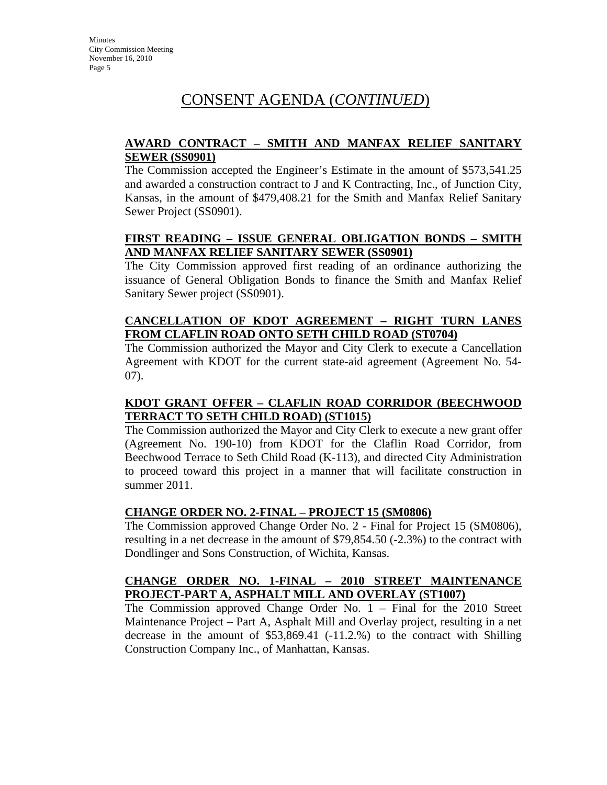### **AWARD CONTRACT – SMITH AND MANFAX RELIEF SANITARY SEWER (SS0901)**

The Commission accepted the Engineer's Estimate in the amount of \$573,541.25 and awarded a construction contract to J and K Contracting, Inc., of Junction City, Kansas, in the amount of \$479,408.21 for the Smith and Manfax Relief Sanitary Sewer Project (SS0901).

### **FIRST READING – ISSUE GENERAL OBLIGATION BONDS – SMITH AND MANFAX RELIEF SANITARY SEWER (SS0901)**

The City Commission approved first reading of an ordinance authorizing the issuance of General Obligation Bonds to finance the Smith and Manfax Relief Sanitary Sewer project (SS0901).

### **CANCELLATION OF KDOT AGREEMENT – RIGHT TURN LANES FROM CLAFLIN ROAD ONTO SETH CHILD ROAD (ST0704)**

The Commission authorized the Mayor and City Clerk to execute a Cancellation Agreement with KDOT for the current state-aid agreement (Agreement No. 54- 07).

### **KDOT GRANT OFFER – CLAFLIN ROAD CORRIDOR (BEECHWOOD TERRACT TO SETH CHILD ROAD) (ST1015)**

The Commission authorized the Mayor and City Clerk to execute a new grant offer (Agreement No. 190-10) from KDOT for the Claflin Road Corridor, from Beechwood Terrace to Seth Child Road (K-113), and directed City Administration to proceed toward this project in a manner that will facilitate construction in summer 2011.

### **CHANGE ORDER NO. 2-FINAL – PROJECT 15 (SM0806)**

The Commission approved Change Order No. 2 - Final for Project 15 (SM0806), resulting in a net decrease in the amount of \$79,854.50 (-2.3%) to the contract with Dondlinger and Sons Construction, of Wichita, Kansas.

### **CHANGE ORDER NO. 1-FINAL – 2010 STREET MAINTENANCE PROJECT-PART A, ASPHALT MILL AND OVERLAY (ST1007)**

The Commission approved Change Order No. 1 – Final for the 2010 Street Maintenance Project – Part A, Asphalt Mill and Overlay project, resulting in a net decrease in the amount of \$53,869.41 (-11.2.%) to the contract with Shilling Construction Company Inc., of Manhattan, Kansas.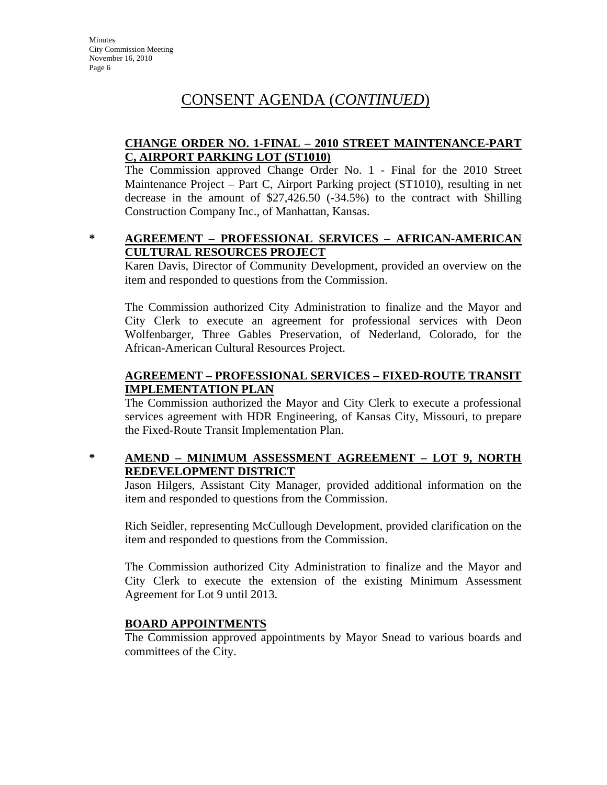### **CHANGE ORDER NO. 1-FINAL – 2010 STREET MAINTENANCE-PART C, AIRPORT PARKING LOT (ST1010)**

The Commission approved Change Order No. 1 - Final for the 2010 Street Maintenance Project – Part C, Airport Parking project (ST1010), resulting in net decrease in the amount of \$27,426.50 (-34.5%) to the contract with Shilling Construction Company Inc., of Manhattan, Kansas.

### **\* AGREEMENT – PROFESSIONAL SERVICES – AFRICAN-AMERICAN CULTURAL RESOURCES PROJECT**

Karen Davis, Director of Community Development, provided an overview on the item and responded to questions from the Commission.

The Commission authorized City Administration to finalize and the Mayor and City Clerk to execute an agreement for professional services with Deon Wolfenbarger, Three Gables Preservation, of Nederland, Colorado, for the African-American Cultural Resources Project.

### **AGREEMENT – PROFESSIONAL SERVICES – FIXED-ROUTE TRANSIT IMPLEMENTATION PLAN**

The Commission authorized the Mayor and City Clerk to execute a professional services agreement with HDR Engineering, of Kansas City, Missouri, to prepare the Fixed-Route Transit Implementation Plan.

### **\* AMEND – MINIMUM ASSESSMENT AGREEMENT – LOT 9, NORTH REDEVELOPMENT DISTRICT**

Jason Hilgers, Assistant City Manager, provided additional information on the item and responded to questions from the Commission.

Rich Seidler, representing McCullough Development, provided clarification on the item and responded to questions from the Commission.

The Commission authorized City Administration to finalize and the Mayor and City Clerk to execute the extension of the existing Minimum Assessment Agreement for Lot 9 until 2013.

### **BOARD APPOINTMENTS**

The Commission approved appointments by Mayor Snead to various boards and committees of the City.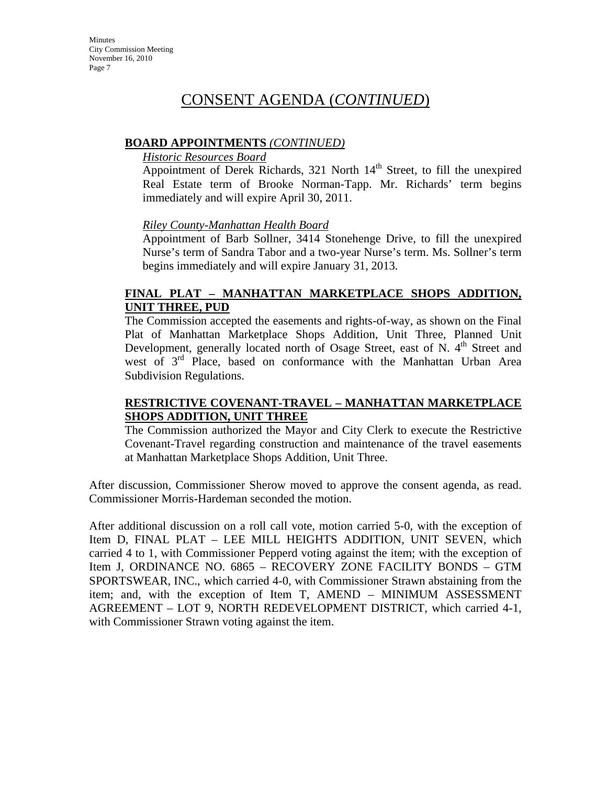### **BOARD APPOINTMENTS** *(CONTINUED)*

#### *Historic Resources Board*

Appointment of Derek Richards, 321 North  $14<sup>th</sup>$  Street, to fill the unexpired Real Estate term of Brooke Norman-Tapp. Mr. Richards' term begins immediately and will expire April 30, 2011.

### *Riley County-Manhattan Health Board*

Appointment of Barb Sollner, 3414 Stonehenge Drive, to fill the unexpired Nurse's term of Sandra Tabor and a two-year Nurse's term. Ms. Sollner's term begins immediately and will expire January 31, 2013.

### **FINAL PLAT – MANHATTAN MARKETPLACE SHOPS ADDITION, UNIT THREE, PUD**

The Commission accepted the easements and rights-of-way, as shown on the Final Plat of Manhattan Marketplace Shops Addition, Unit Three, Planned Unit Development, generally located north of Osage Street, east of N.  $4<sup>th</sup>$  Street and west of 3<sup>rd</sup> Place, based on conformance with the Manhattan Urban Area Subdivision Regulations.

### **RESTRICTIVE COVENANT-TRAVEL – MANHATTAN MARKETPLACE SHOPS ADDITION, UNIT THREE**

The Commission authorized the Mayor and City Clerk to execute the Restrictive Covenant-Travel regarding construction and maintenance of the travel easements at Manhattan Marketplace Shops Addition, Unit Three.

After discussion, Commissioner Sherow moved to approve the consent agenda, as read. Commissioner Morris-Hardeman seconded the motion.

After additional discussion on a roll call vote, motion carried 5-0, with the exception of Item D, FINAL PLAT – LEE MILL HEIGHTS ADDITION, UNIT SEVEN, which carried 4 to 1, with Commissioner Pepperd voting against the item; with the exception of Item J, ORDINANCE NO. 6865 – RECOVERY ZONE FACILITY BONDS – GTM SPORTSWEAR, INC., which carried 4-0, with Commissioner Strawn abstaining from the item; and, with the exception of Item T, AMEND – MINIMUM ASSESSMENT AGREEMENT – LOT 9, NORTH REDEVELOPMENT DISTRICT, which carried 4-1, with Commissioner Strawn voting against the item.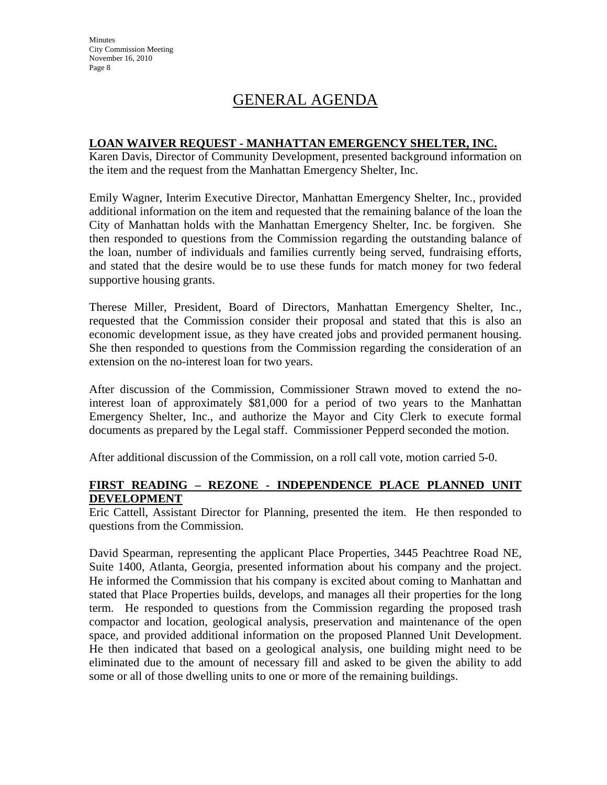**Minutes** City Commission Meeting November 16, 2010 Page 8

# GENERAL AGENDA

### **LOAN WAIVER REQUEST - MANHATTAN EMERGENCY SHELTER, INC.**

Karen Davis, Director of Community Development, presented background information on the item and the request from the Manhattan Emergency Shelter, Inc.

Emily Wagner, Interim Executive Director, Manhattan Emergency Shelter, Inc., provided additional information on the item and requested that the remaining balance of the loan the City of Manhattan holds with the Manhattan Emergency Shelter, Inc. be forgiven. She then responded to questions from the Commission regarding the outstanding balance of the loan, number of individuals and families currently being served, fundraising efforts, and stated that the desire would be to use these funds for match money for two federal supportive housing grants.

Therese Miller, President, Board of Directors, Manhattan Emergency Shelter, Inc., requested that the Commission consider their proposal and stated that this is also an economic development issue, as they have created jobs and provided permanent housing. She then responded to questions from the Commission regarding the consideration of an extension on the no-interest loan for two years.

After discussion of the Commission, Commissioner Strawn moved to extend the nointerest loan of approximately \$81,000 for a period of two years to the Manhattan Emergency Shelter, Inc., and authorize the Mayor and City Clerk to execute formal documents as prepared by the Legal staff. Commissioner Pepperd seconded the motion.

After additional discussion of the Commission, on a roll call vote, motion carried 5-0.

### **FIRST READING – REZONE - INDEPENDENCE PLACE PLANNED UNIT DEVELOPMENT**

Eric Cattell, Assistant Director for Planning, presented the item. He then responded to questions from the Commission.

David Spearman, representing the applicant Place Properties, 3445 Peachtree Road NE, Suite 1400, Atlanta, Georgia, presented information about his company and the project. He informed the Commission that his company is excited about coming to Manhattan and stated that Place Properties builds, develops, and manages all their properties for the long term. He responded to questions from the Commission regarding the proposed trash compactor and location, geological analysis, preservation and maintenance of the open space, and provided additional information on the proposed Planned Unit Development. He then indicated that based on a geological analysis, one building might need to be eliminated due to the amount of necessary fill and asked to be given the ability to add some or all of those dwelling units to one or more of the remaining buildings.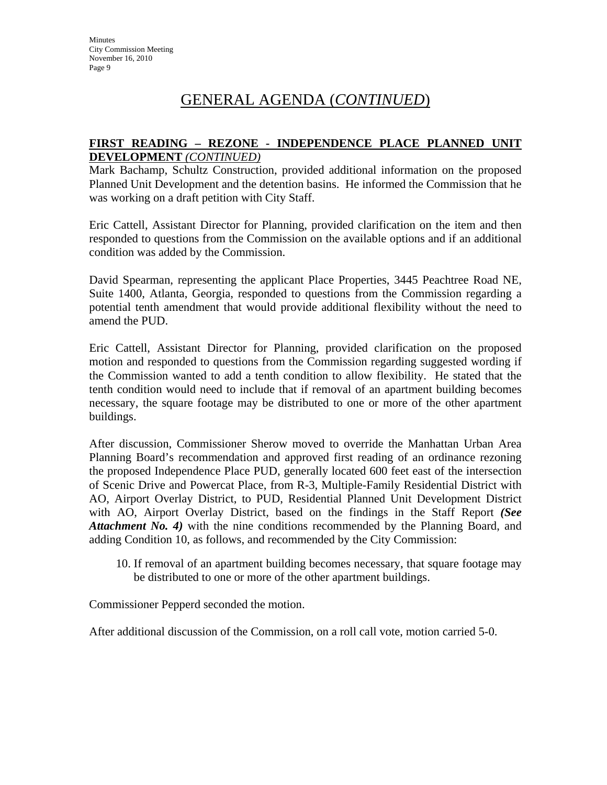### **FIRST READING – REZONE - INDEPENDENCE PLACE PLANNED UNIT DEVELOPMENT** *(CONTINUED)*

Mark Bachamp, Schultz Construction, provided additional information on the proposed Planned Unit Development and the detention basins. He informed the Commission that he was working on a draft petition with City Staff.

Eric Cattell, Assistant Director for Planning, provided clarification on the item and then responded to questions from the Commission on the available options and if an additional condition was added by the Commission.

David Spearman, representing the applicant Place Properties, 3445 Peachtree Road NE, Suite 1400, Atlanta, Georgia, responded to questions from the Commission regarding a potential tenth amendment that would provide additional flexibility without the need to amend the PUD.

Eric Cattell, Assistant Director for Planning, provided clarification on the proposed motion and responded to questions from the Commission regarding suggested wording if the Commission wanted to add a tenth condition to allow flexibility. He stated that the tenth condition would need to include that if removal of an apartment building becomes necessary, the square footage may be distributed to one or more of the other apartment buildings.

After discussion, Commissioner Sherow moved to override the Manhattan Urban Area Planning Board's recommendation and approved first reading of an ordinance rezoning the proposed Independence Place PUD, generally located 600 feet east of the intersection of Scenic Drive and Powercat Place, from R-3, Multiple-Family Residential District with AO, Airport Overlay District, to PUD, Residential Planned Unit Development District with AO, Airport Overlay District, based on the findings in the Staff Report *(See Attachment No. 4)* with the nine conditions recommended by the Planning Board, and adding Condition 10, as follows, and recommended by the City Commission:

10. If removal of an apartment building becomes necessary, that square footage may be distributed to one or more of the other apartment buildings.

Commissioner Pepperd seconded the motion.

After additional discussion of the Commission, on a roll call vote, motion carried 5-0.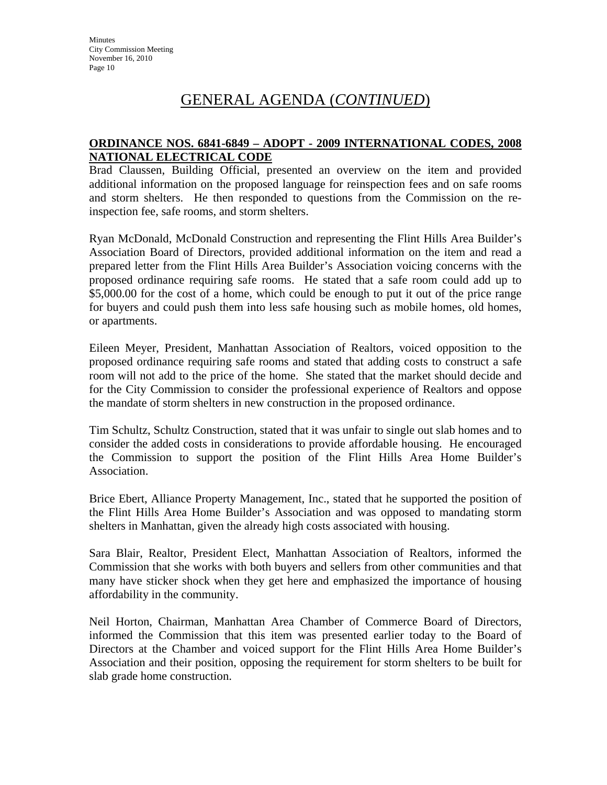### **ORDINANCE NOS. 6841-6849 – ADOPT - 2009 INTERNATIONAL CODES, 2008 NATIONAL ELECTRICAL CODE**

Brad Claussen, Building Official, presented an overview on the item and provided additional information on the proposed language for reinspection fees and on safe rooms and storm shelters. He then responded to questions from the Commission on the reinspection fee, safe rooms, and storm shelters.

Ryan McDonald, McDonald Construction and representing the Flint Hills Area Builder's Association Board of Directors, provided additional information on the item and read a prepared letter from the Flint Hills Area Builder's Association voicing concerns with the proposed ordinance requiring safe rooms. He stated that a safe room could add up to \$5,000.00 for the cost of a home, which could be enough to put it out of the price range for buyers and could push them into less safe housing such as mobile homes, old homes, or apartments.

Eileen Meyer, President, Manhattan Association of Realtors, voiced opposition to the proposed ordinance requiring safe rooms and stated that adding costs to construct a safe room will not add to the price of the home. She stated that the market should decide and for the City Commission to consider the professional experience of Realtors and oppose the mandate of storm shelters in new construction in the proposed ordinance.

Tim Schultz, Schultz Construction, stated that it was unfair to single out slab homes and to consider the added costs in considerations to provide affordable housing. He encouraged the Commission to support the position of the Flint Hills Area Home Builder's Association.

Brice Ebert, Alliance Property Management, Inc., stated that he supported the position of the Flint Hills Area Home Builder's Association and was opposed to mandating storm shelters in Manhattan, given the already high costs associated with housing.

Sara Blair, Realtor, President Elect, Manhattan Association of Realtors, informed the Commission that she works with both buyers and sellers from other communities and that many have sticker shock when they get here and emphasized the importance of housing affordability in the community.

Neil Horton, Chairman, Manhattan Area Chamber of Commerce Board of Directors, informed the Commission that this item was presented earlier today to the Board of Directors at the Chamber and voiced support for the Flint Hills Area Home Builder's Association and their position, opposing the requirement for storm shelters to be built for slab grade home construction.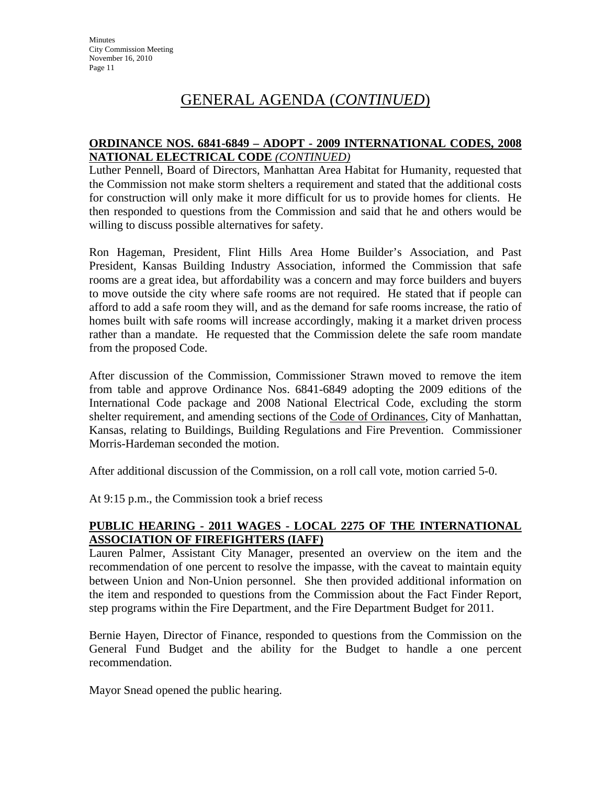### **ORDINANCE NOS. 6841-6849 – ADOPT - 2009 INTERNATIONAL CODES, 2008 NATIONAL ELECTRICAL CODE** *(CONTINUED)*

Luther Pennell, Board of Directors, Manhattan Area Habitat for Humanity, requested that the Commission not make storm shelters a requirement and stated that the additional costs for construction will only make it more difficult for us to provide homes for clients. He then responded to questions from the Commission and said that he and others would be willing to discuss possible alternatives for safety.

Ron Hageman, President, Flint Hills Area Home Builder's Association, and Past President, Kansas Building Industry Association, informed the Commission that safe rooms are a great idea, but affordability was a concern and may force builders and buyers to move outside the city where safe rooms are not required. He stated that if people can afford to add a safe room they will, and as the demand for safe rooms increase, the ratio of homes built with safe rooms will increase accordingly, making it a market driven process rather than a mandate. He requested that the Commission delete the safe room mandate from the proposed Code.

After discussion of the Commission, Commissioner Strawn moved to remove the item from table and approve Ordinance Nos. 6841-6849 adopting the 2009 editions of the International Code package and 2008 National Electrical Code, excluding the storm shelter requirement, and amending sections of the Code of Ordinances, City of Manhattan, Kansas, relating to Buildings, Building Regulations and Fire Prevention. Commissioner Morris-Hardeman seconded the motion.

After additional discussion of the Commission, on a roll call vote, motion carried 5-0.

At 9:15 p.m., the Commission took a brief recess

### **PUBLIC HEARING - 2011 WAGES - LOCAL 2275 OF THE INTERNATIONAL ASSOCIATION OF FIREFIGHTERS (IAFF)**

Lauren Palmer, Assistant City Manager, presented an overview on the item and the recommendation of one percent to resolve the impasse, with the caveat to maintain equity between Union and Non-Union personnel. She then provided additional information on the item and responded to questions from the Commission about the Fact Finder Report, step programs within the Fire Department, and the Fire Department Budget for 2011.

Bernie Hayen, Director of Finance, responded to questions from the Commission on the General Fund Budget and the ability for the Budget to handle a one percent recommendation.

Mayor Snead opened the public hearing.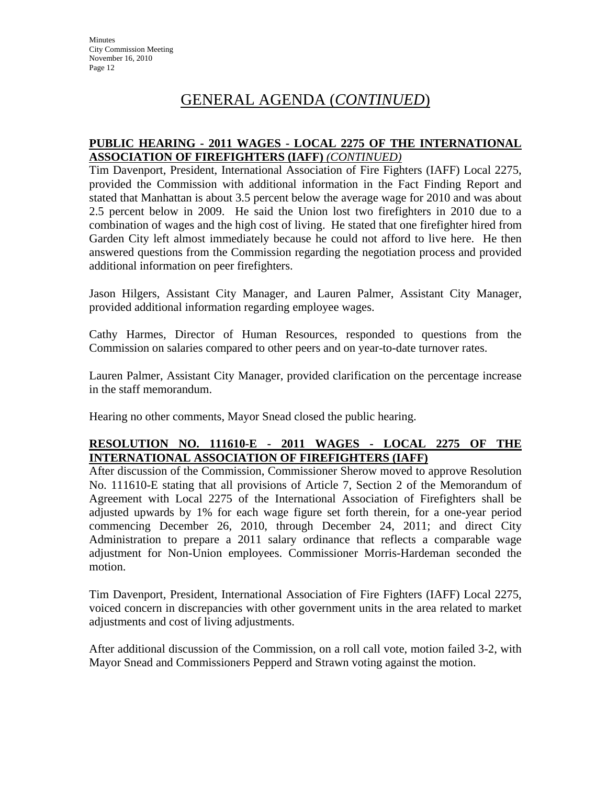### **PUBLIC HEARING - 2011 WAGES - LOCAL 2275 OF THE INTERNATIONAL ASSOCIATION OF FIREFIGHTERS (IAFF)** *(CONTINUED)*

Tim Davenport, President, International Association of Fire Fighters (IAFF) Local 2275, provided the Commission with additional information in the Fact Finding Report and stated that Manhattan is about 3.5 percent below the average wage for 2010 and was about 2.5 percent below in 2009. He said the Union lost two firefighters in 2010 due to a combination of wages and the high cost of living. He stated that one firefighter hired from Garden City left almost immediately because he could not afford to live here. He then answered questions from the Commission regarding the negotiation process and provided additional information on peer firefighters.

Jason Hilgers, Assistant City Manager, and Lauren Palmer, Assistant City Manager, provided additional information regarding employee wages.

Cathy Harmes, Director of Human Resources, responded to questions from the Commission on salaries compared to other peers and on year-to-date turnover rates.

Lauren Palmer, Assistant City Manager, provided clarification on the percentage increase in the staff memorandum.

Hearing no other comments, Mayor Snead closed the public hearing.

### **RESOLUTION NO. 111610-E - 2011 WAGES - LOCAL 2275 OF THE INTERNATIONAL ASSOCIATION OF FIREFIGHTERS (IAFF)**

After discussion of the Commission, Commissioner Sherow moved to approve Resolution No. 111610-E stating that all provisions of Article 7, Section 2 of the Memorandum of Agreement with Local 2275 of the International Association of Firefighters shall be adjusted upwards by 1% for each wage figure set forth therein, for a one-year period commencing December 26, 2010, through December 24, 2011; and direct City Administration to prepare a 2011 salary ordinance that reflects a comparable wage adjustment for Non-Union employees. Commissioner Morris-Hardeman seconded the motion.

Tim Davenport, President, International Association of Fire Fighters (IAFF) Local 2275, voiced concern in discrepancies with other government units in the area related to market adjustments and cost of living adjustments.

After additional discussion of the Commission, on a roll call vote, motion failed 3-2, with Mayor Snead and Commissioners Pepperd and Strawn voting against the motion.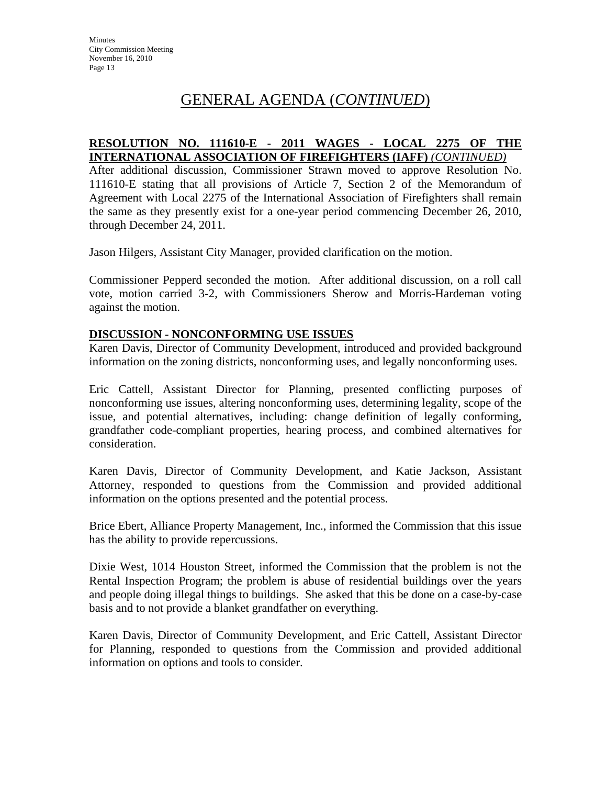### **RESOLUTION NO. 111610-E - 2011 WAGES - LOCAL 2275 OF THE INTERNATIONAL ASSOCIATION OF FIREFIGHTERS (IAFF)** *(CONTINUED)*

After additional discussion, Commissioner Strawn moved to approve Resolution No. 111610-E stating that all provisions of Article 7, Section 2 of the Memorandum of Agreement with Local 2275 of the International Association of Firefighters shall remain the same as they presently exist for a one-year period commencing December 26, 2010, through December 24, 2011.

Jason Hilgers, Assistant City Manager, provided clarification on the motion.

Commissioner Pepperd seconded the motion. After additional discussion, on a roll call vote, motion carried 3-2, with Commissioners Sherow and Morris-Hardeman voting against the motion.

### **DISCUSSION - NONCONFORMING USE ISSUES**

Karen Davis, Director of Community Development, introduced and provided background information on the zoning districts, nonconforming uses, and legally nonconforming uses.

Eric Cattell, Assistant Director for Planning, presented conflicting purposes of nonconforming use issues, altering nonconforming uses, determining legality, scope of the issue, and potential alternatives, including: change definition of legally conforming, grandfather code-compliant properties, hearing process, and combined alternatives for consideration.

Karen Davis, Director of Community Development, and Katie Jackson, Assistant Attorney, responded to questions from the Commission and provided additional information on the options presented and the potential process.

Brice Ebert, Alliance Property Management, Inc., informed the Commission that this issue has the ability to provide repercussions.

Dixie West, 1014 Houston Street, informed the Commission that the problem is not the Rental Inspection Program; the problem is abuse of residential buildings over the years and people doing illegal things to buildings. She asked that this be done on a case-by-case basis and to not provide a blanket grandfather on everything.

Karen Davis, Director of Community Development, and Eric Cattell, Assistant Director for Planning, responded to questions from the Commission and provided additional information on options and tools to consider.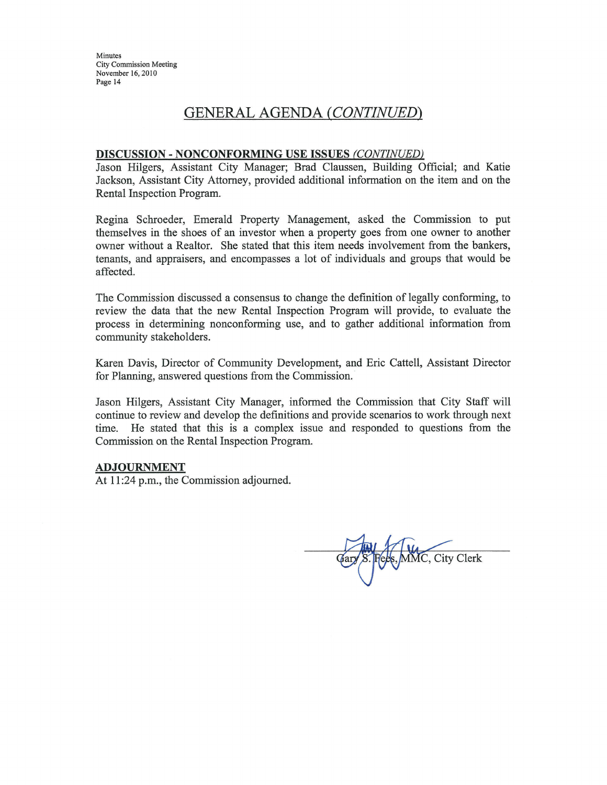Minutes **City Commission Meeting** November 16, 2010 Page 14

# **GENERAL AGENDA (CONTINUED)**

#### DISCUSSION - NONCONFORMING USE ISSUES (CONTINUED)

Jason Hilgers, Assistant City Manager; Brad Claussen, Building Official; and Katie Jackson, Assistant City Attorney, provided additional information on the item and on the Rental Inspection Program.

Regina Schroeder, Emerald Property Management, asked the Commission to put themselves in the shoes of an investor when a property goes from one owner to another owner without a Realtor. She stated that this item needs involvement from the bankers, tenants, and appraisers, and encompasses a lot of individuals and groups that would be affected.

The Commission discussed a consensus to change the definition of legally conforming, to review the data that the new Rental Inspection Program will provide, to evaluate the process in determining nonconforming use, and to gather additional information from community stakeholders.

Karen Davis, Director of Community Development, and Eric Cattell, Assistant Director for Planning, answered questions from the Commission.

Jason Hilgers, Assistant City Manager, informed the Commission that City Staff will continue to review and develop the definitions and provide scenarios to work through next time. He stated that this is a complex issue and responded to questions from the Commission on the Rental Inspection Program.

#### **ADJOURNMENT**

At 11:24 p.m., the Commission adjourned.

MMC, City Clerk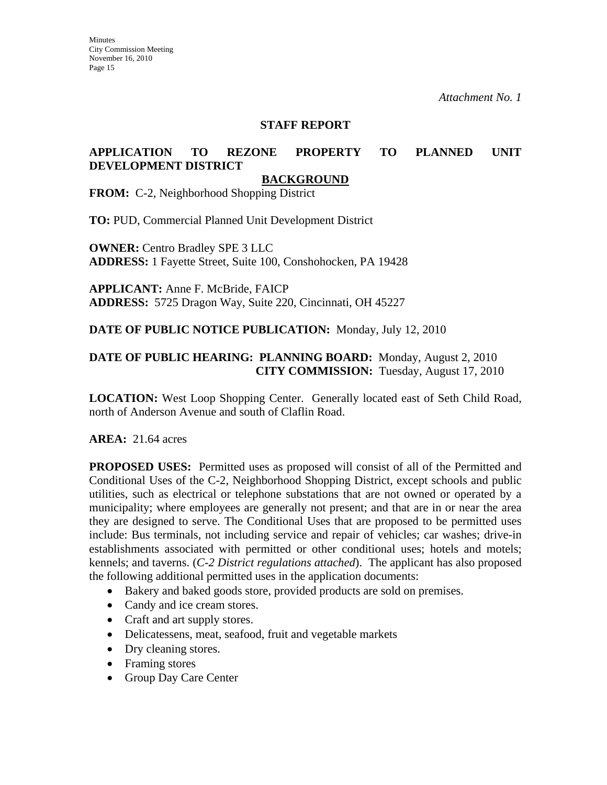#### **STAFF REPORT**

### **APPLICATION TO REZONE PROPERTY TO PLANNED UNIT DEVELOPMENT DISTRICT**

#### **BACKGROUND**

**FROM:** C-2, Neighborhood Shopping District

**TO:** PUD, Commercial Planned Unit Development District

**OWNER:** Centro Bradley SPE 3 LLC **ADDRESS:** 1 Fayette Street, Suite 100, Conshohocken, PA 19428

**APPLICANT:** Anne F. McBride, FAICP **ADDRESS:** 5725 Dragon Way, Suite 220, Cincinnati, OH 45227

#### **DATE OF PUBLIC NOTICE PUBLICATION:** Monday, July 12, 2010

### **DATE OF PUBLIC HEARING: PLANNING BOARD:** Monday, August 2, 2010 **CITY COMMISSION:** Tuesday, August 17, 2010

**LOCATION:** West Loop Shopping Center. Generally located east of Seth Child Road, north of Anderson Avenue and south of Claflin Road.

#### **AREA:** 21.64 acres

**PROPOSED USES:** Permitted uses as proposed will consist of all of the Permitted and Conditional Uses of the C-2, Neighborhood Shopping District, except schools and public utilities, such as electrical or telephone substations that are not owned or operated by a municipality; where employees are generally not present; and that are in or near the area they are designed to serve. The Conditional Uses that are proposed to be permitted uses include: Bus terminals, not including service and repair of vehicles; car washes; drive-in establishments associated with permitted or other conditional uses; hotels and motels; kennels; and taverns. (*C-2 District regulations attached*). The applicant has also proposed the following additional permitted uses in the application documents:

- Bakery and baked goods store, provided products are sold on premises.
- Candy and ice cream stores.
- Craft and art supply stores.
- Delicatessens, meat, seafood, fruit and vegetable markets
- Dry cleaning stores.
- Framing stores
- Group Day Care Center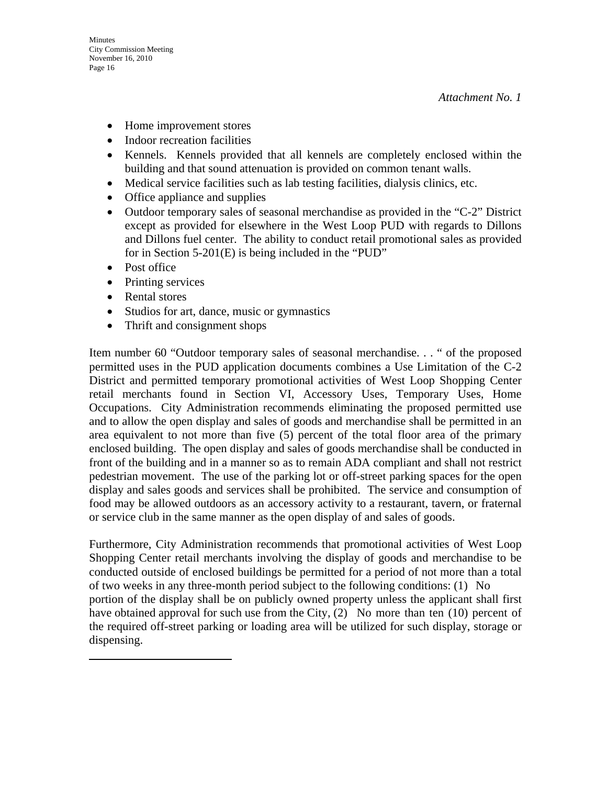- Home improvement stores
- Indoor recreation facilities
- Kennels. Kennels provided that all kennels are completely enclosed within the building and that sound attenuation is provided on common tenant walls.
- Medical service facilities such as lab testing facilities, dialysis clinics, etc.
- Office appliance and supplies
- Outdoor temporary sales of seasonal merchandise as provided in the "C-2" District except as provided for elsewhere in the West Loop PUD with regards to Dillons and Dillons fuel center. The ability to conduct retail promotional sales as provided for in Section 5-201(E) is being included in the "PUD"
- Post office
- Printing services
- Rental stores
- Studios for art, dance, music or gymnastics
- Thrift and consignment shops

Item number 60 "Outdoor temporary sales of seasonal merchandise. . . " of the proposed permitted uses in the PUD application documents combines a Use Limitation of the C-2 District and permitted temporary promotional activities of West Loop Shopping Center retail merchants found in Section VI, Accessory Uses, Temporary Uses, Home Occupations. City Administration recommends eliminating the proposed permitted use and to allow the open display and sales of goods and merchandise shall be permitted in an area equivalent to not more than five (5) percent of the total floor area of the primary enclosed building. The open display and sales of goods merchandise shall be conducted in front of the building and in a manner so as to remain ADA compliant and shall not restrict pedestrian movement. The use of the parking lot or off-street parking spaces for the open display and sales goods and services shall be prohibited. The service and consumption of food may be allowed outdoors as an accessory activity to a restaurant, tavern, or fraternal or service club in the same manner as the open display of and sales of goods.

Furthermore, City Administration recommends that promotional activities of West Loop Shopping Center retail merchants involving the display of goods and merchandise to be conducted outside of enclosed buildings be permitted for a period of not more than a total of two weeks in any three-month period subject to the following conditions: (1) No portion of the display shall be on publicly owned property unless the applicant shall first have obtained approval for such use from the City, (2) No more than ten (10) percent of the required off-street parking or loading area will be utilized for such display, storage or dispensing.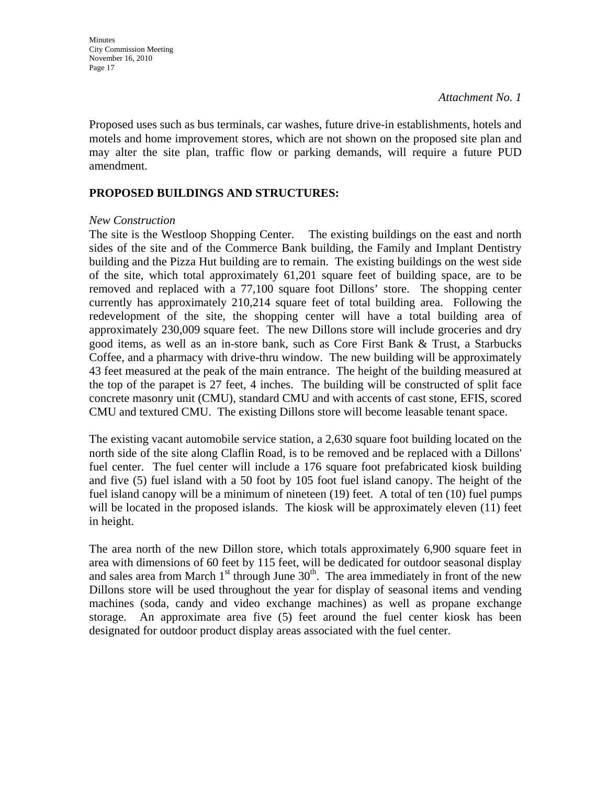Proposed uses such as bus terminals, car washes, future drive-in establishments, hotels and motels and home improvement stores, which are not shown on the proposed site plan and may alter the site plan, traffic flow or parking demands, will require a future PUD amendment.

### **PROPOSED BUILDINGS AND STRUCTURES:**

#### *New Construction*

The site is the Westloop Shopping Center. The existing buildings on the east and north sides of the site and of the Commerce Bank building, the Family and Implant Dentistry building and the Pizza Hut building are to remain. The existing buildings on the west side of the site, which total approximately 61,201 square feet of building space, are to be removed and replaced with a 77,100 square foot Dillons' store. The shopping center currently has approximately 210,214 square feet of total building area. Following the redevelopment of the site, the shopping center will have a total building area of approximately 230,009 square feet. The new Dillons store will include groceries and dry good items, as well as an in-store bank, such as Core First Bank & Trust, a Starbucks Coffee, and a pharmacy with drive-thru window. The new building will be approximately 43 feet measured at the peak of the main entrance. The height of the building measured at the top of the parapet is 27 feet, 4 inches. The building will be constructed of split face concrete masonry unit (CMU), standard CMU and with accents of cast stone, EFIS, scored CMU and textured CMU. The existing Dillons store will become leasable tenant space.

The existing vacant automobile service station, a 2,630 square foot building located on the north side of the site along Claflin Road, is to be removed and be replaced with a Dillons' fuel center. The fuel center will include a 176 square foot prefabricated kiosk building and five (5) fuel island with a 50 foot by 105 foot fuel island canopy. The height of the fuel island canopy will be a minimum of nineteen (19) feet. A total of ten (10) fuel pumps will be located in the proposed islands. The kiosk will be approximately eleven (11) feet in height.

The area north of the new Dillon store, which totals approximately 6,900 square feet in area with dimensions of 60 feet by 115 feet, will be dedicated for outdoor seasonal display and sales area from March  $1<sup>st</sup>$  through June  $30<sup>th</sup>$ . The area immediately in front of the new Dillons store will be used throughout the year for display of seasonal items and vending machines (soda, candy and video exchange machines) as well as propane exchange storage. An approximate area five (5) feet around the fuel center kiosk has been designated for outdoor product display areas associated with the fuel center.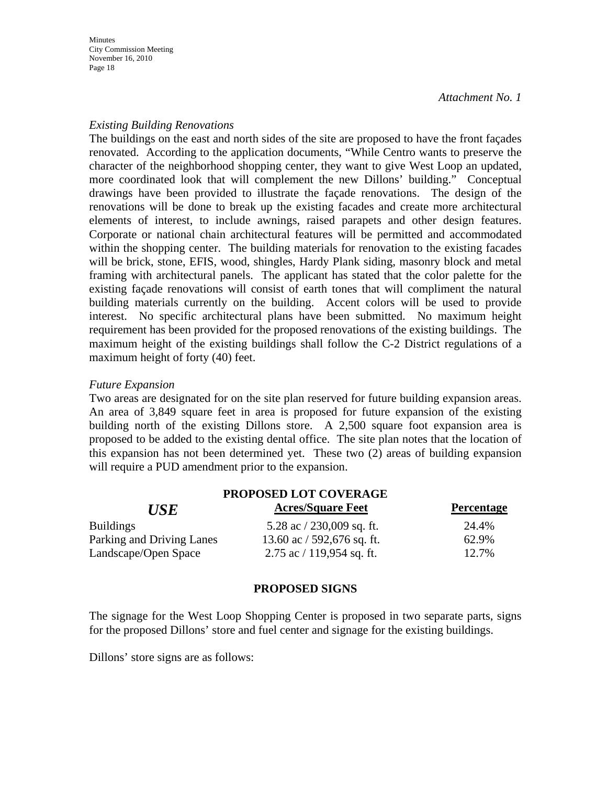#### *Existing Building Renovations*

The buildings on the east and north sides of the site are proposed to have the front façades renovated. According to the application documents, "While Centro wants to preserve the character of the neighborhood shopping center, they want to give West Loop an updated, more coordinated look that will complement the new Dillons' building." Conceptual drawings have been provided to illustrate the façade renovations. The design of the renovations will be done to break up the existing facades and create more architectural elements of interest, to include awnings, raised parapets and other design features. Corporate or national chain architectural features will be permitted and accommodated within the shopping center. The building materials for renovation to the existing facades will be brick, stone, EFIS, wood, shingles, Hardy Plank siding, masonry block and metal framing with architectural panels. The applicant has stated that the color palette for the existing façade renovations will consist of earth tones that will compliment the natural building materials currently on the building. Accent colors will be used to provide interest. No specific architectural plans have been submitted. No maximum height requirement has been provided for the proposed renovations of the existing buildings. The maximum height of the existing buildings shall follow the C-2 District regulations of a maximum height of forty (40) feet.

#### *Future Expansion*

Two areas are designated for on the site plan reserved for future building expansion areas. An area of 3,849 square feet in area is proposed for future expansion of the existing building north of the existing Dillons store. A 2,500 square foot expansion area is proposed to be added to the existing dental office. The site plan notes that the location of this expansion has not been determined yet. These two (2) areas of building expansion will require a PUD amendment prior to the expansion.

| PROPOSED LOT COVERAGE     |                               |                   |  |
|---------------------------|-------------------------------|-------------------|--|
| <b>USE</b>                | <b>Acres/Square Feet</b>      | <b>Percentage</b> |  |
| <b>Buildings</b>          | 5.28 ac $/$ 230,009 sq. ft.   | 24.4%             |  |
| Parking and Driving Lanes | 13.60 ac $/$ 592,676 sq. ft.  | 62.9%             |  |
| Landscape/Open Space      | $2.75$ ac $/ 119,954$ sq. ft. | 12.7%             |  |

#### **PROPOSED SIGNS**

The signage for the West Loop Shopping Center is proposed in two separate parts, signs for the proposed Dillons' store and fuel center and signage for the existing buildings.

Dillons' store signs are as follows: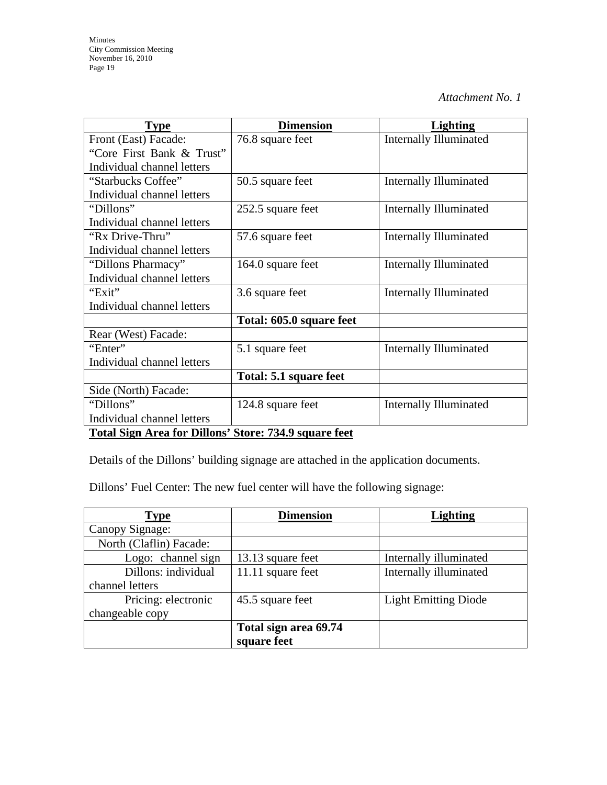| <b>Type</b>                                           | <b>Dimension</b>         | <b>Lighting</b>               |
|-------------------------------------------------------|--------------------------|-------------------------------|
| Front (East) Facade:                                  | 76.8 square feet         | <b>Internally Illuminated</b> |
| "Core First Bank & Trust"                             |                          |                               |
| Individual channel letters                            |                          |                               |
| "Starbucks Coffee"                                    | 50.5 square feet         | <b>Internally Illuminated</b> |
| Individual channel letters                            |                          |                               |
| "Dillons"                                             | 252.5 square feet        | <b>Internally Illuminated</b> |
| Individual channel letters                            |                          |                               |
| "Rx Drive-Thru"                                       | 57.6 square feet         | <b>Internally Illuminated</b> |
| Individual channel letters                            |                          |                               |
| "Dillons Pharmacy"                                    | 164.0 square feet        | <b>Internally Illuminated</b> |
| Individual channel letters                            |                          |                               |
| "Exit"                                                | 3.6 square feet          | <b>Internally Illuminated</b> |
| Individual channel letters                            |                          |                               |
|                                                       | Total: 605.0 square feet |                               |
| Rear (West) Facade:                                   |                          |                               |
| "Enter"                                               | 5.1 square feet          | <b>Internally Illuminated</b> |
| Individual channel letters                            |                          |                               |
|                                                       | Total: 5.1 square feet   |                               |
| Side (North) Facade:                                  |                          |                               |
| "Dillons"                                             | 124.8 square feet        | <b>Internally Illuminated</b> |
| Individual channel letters                            |                          |                               |
| Total Sign Area for Dillong' Store: 734.0 square feet |                          |                               |

#### **Total Sign Area for Dillons' Store: 734.9 square feet**

Details of the Dillons' building signage are attached in the application documents.

Dillons' Fuel Center: The new fuel center will have the following signage:

| <b>Type</b>             | <b>Dimension</b>      | <b>Lighting</b>             |
|-------------------------|-----------------------|-----------------------------|
| Canopy Signage:         |                       |                             |
| North (Claflin) Facade: |                       |                             |
| Logo: channel sign      | 13.13 square feet     | Internally illuminated      |
| Dillons: individual     | 11.11 square feet     | Internally illuminated      |
| channel letters         |                       |                             |
| Pricing: electronic     | 45.5 square feet      | <b>Light Emitting Diode</b> |
| changeable copy         |                       |                             |
|                         | Total sign area 69.74 |                             |
|                         | square feet           |                             |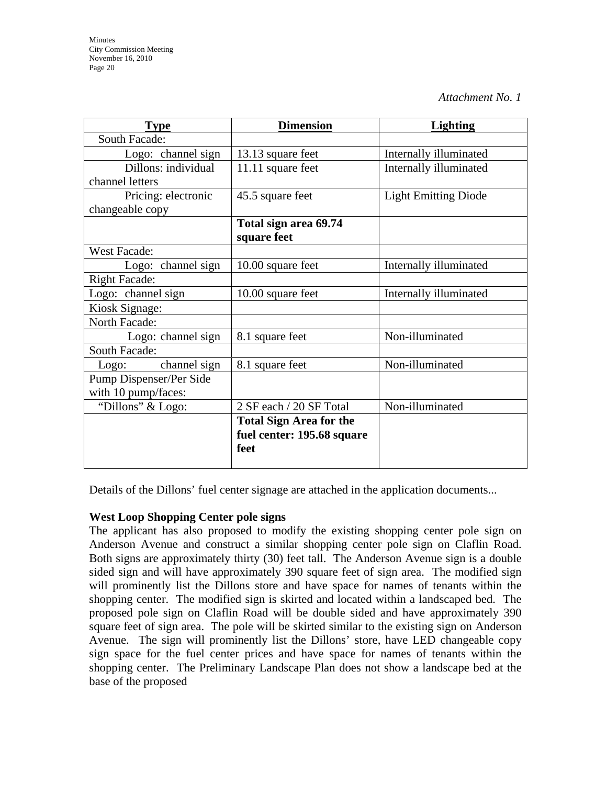| <b>Type</b>             | <b>Dimension</b>               | <b>Lighting</b>             |
|-------------------------|--------------------------------|-----------------------------|
| South Facade:           |                                |                             |
| Logo: channel sign      | 13.13 square feet              | Internally illuminated      |
| Dillons: individual     | 11.11 square feet              | Internally illuminated      |
| channel letters         |                                |                             |
| Pricing: electronic     | 45.5 square feet               | <b>Light Emitting Diode</b> |
| changeable copy         |                                |                             |
|                         | Total sign area 69.74          |                             |
|                         | square feet                    |                             |
| <b>West Facade:</b>     |                                |                             |
| Logo: channel sign      | 10.00 square feet              | Internally illuminated      |
| <b>Right Facade:</b>    |                                |                             |
| Logo: channel sign      | 10.00 square feet              | Internally illuminated      |
| Kiosk Signage:          |                                |                             |
| North Facade:           |                                |                             |
| Logo: channel sign      | 8.1 square feet                | Non-illuminated             |
| South Facade:           |                                |                             |
| channel sign<br>Logo:   | 8.1 square feet                | Non-illuminated             |
| Pump Dispenser/Per Side |                                |                             |
| with 10 pump/faces:     |                                |                             |
| "Dillons" & Logo:       | 2 SF each / 20 SF Total        | Non-illuminated             |
|                         | <b>Total Sign Area for the</b> |                             |
|                         | fuel center: 195.68 square     |                             |
|                         | feet                           |                             |
|                         |                                |                             |

Details of the Dillons' fuel center signage are attached in the application documents...

### **West Loop Shopping Center pole signs**

The applicant has also proposed to modify the existing shopping center pole sign on Anderson Avenue and construct a similar shopping center pole sign on Claflin Road. Both signs are approximately thirty (30) feet tall. The Anderson Avenue sign is a double sided sign and will have approximately 390 square feet of sign area. The modified sign will prominently list the Dillons store and have space for names of tenants within the shopping center. The modified sign is skirted and located within a landscaped bed. The proposed pole sign on Claflin Road will be double sided and have approximately 390 square feet of sign area. The pole will be skirted similar to the existing sign on Anderson Avenue. The sign will prominently list the Dillons' store, have LED changeable copy sign space for the fuel center prices and have space for names of tenants within the shopping center. The Preliminary Landscape Plan does not show a landscape bed at the base of the proposed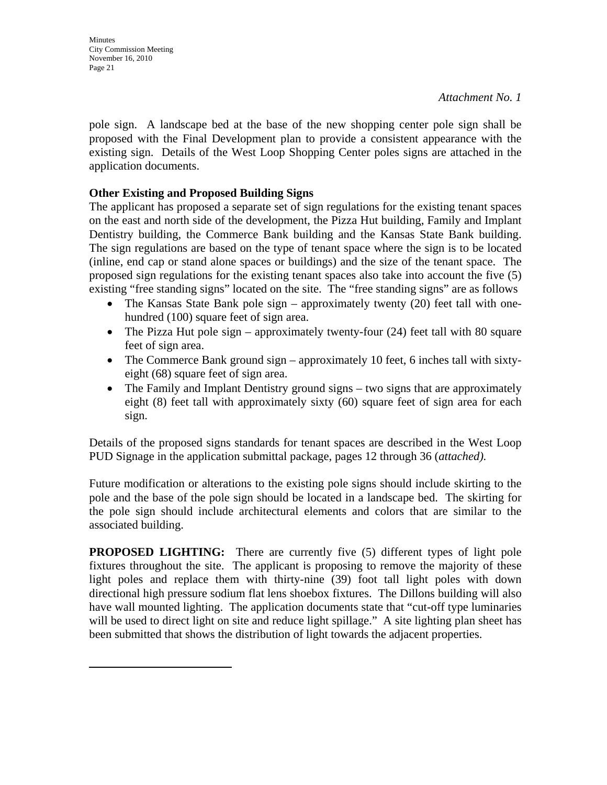pole sign. A landscape bed at the base of the new shopping center pole sign shall be proposed with the Final Development plan to provide a consistent appearance with the existing sign. Details of the West Loop Shopping Center poles signs are attached in the application documents.

### **Other Existing and Proposed Building Signs**

The applicant has proposed a separate set of sign regulations for the existing tenant spaces on the east and north side of the development, the Pizza Hut building, Family and Implant Dentistry building, the Commerce Bank building and the Kansas State Bank building. The sign regulations are based on the type of tenant space where the sign is to be located (inline, end cap or stand alone spaces or buildings) and the size of the tenant space. The proposed sign regulations for the existing tenant spaces also take into account the five (5) existing "free standing signs" located on the site. The "free standing signs" are as follows

- The Kansas State Bank pole sign approximately twenty (20) feet tall with onehundred (100) square feet of sign area.
- The Pizza Hut pole sign approximately twenty-four  $(24)$  feet tall with 80 square feet of sign area.
- The Commerce Bank ground sign approximately 10 feet, 6 inches tall with sixtyeight (68) square feet of sign area.
- The Family and Implant Dentistry ground signs two signs that are approximately eight (8) feet tall with approximately sixty (60) square feet of sign area for each sign.

Details of the proposed signs standards for tenant spaces are described in the West Loop PUD Signage in the application submittal package, pages 12 through 36 (*attached).* 

Future modification or alterations to the existing pole signs should include skirting to the pole and the base of the pole sign should be located in a landscape bed. The skirting for the pole sign should include architectural elements and colors that are similar to the associated building.

**PROPOSED LIGHTING:** There are currently five (5) different types of light pole fixtures throughout the site. The applicant is proposing to remove the majority of these light poles and replace them with thirty-nine (39) foot tall light poles with down directional high pressure sodium flat lens shoebox fixtures. The Dillons building will also have wall mounted lighting. The application documents state that "cut-off type luminaries will be used to direct light on site and reduce light spillage." A site lighting plan sheet has been submitted that shows the distribution of light towards the adjacent properties.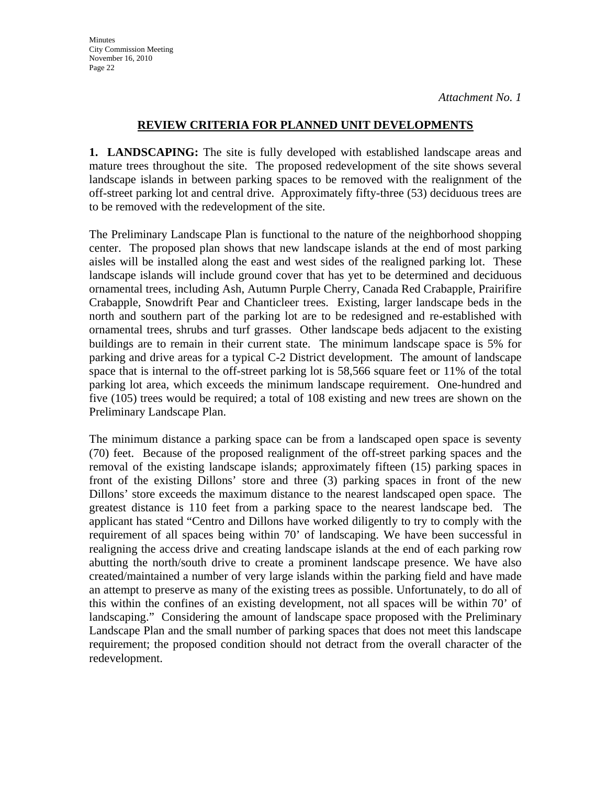**Minutes** City Commission Meeting November 16, 2010 Page 22

*Attachment No. 1*

### **REVIEW CRITERIA FOR PLANNED UNIT DEVELOPMENTS**

**1. LANDSCAPING:** The site is fully developed with established landscape areas and mature trees throughout the site. The proposed redevelopment of the site shows several landscape islands in between parking spaces to be removed with the realignment of the off-street parking lot and central drive. Approximately fifty-three (53) deciduous trees are to be removed with the redevelopment of the site.

The Preliminary Landscape Plan is functional to the nature of the neighborhood shopping center. The proposed plan shows that new landscape islands at the end of most parking aisles will be installed along the east and west sides of the realigned parking lot. These landscape islands will include ground cover that has yet to be determined and deciduous ornamental trees, including Ash, Autumn Purple Cherry, Canada Red Crabapple, Prairifire Crabapple, Snowdrift Pear and Chanticleer trees. Existing, larger landscape beds in the north and southern part of the parking lot are to be redesigned and re-established with ornamental trees, shrubs and turf grasses. Other landscape beds adjacent to the existing buildings are to remain in their current state. The minimum landscape space is 5% for parking and drive areas for a typical C-2 District development. The amount of landscape space that is internal to the off-street parking lot is 58,566 square feet or 11% of the total parking lot area, which exceeds the minimum landscape requirement. One-hundred and five (105) trees would be required; a total of 108 existing and new trees are shown on the Preliminary Landscape Plan.

The minimum distance a parking space can be from a landscaped open space is seventy (70) feet. Because of the proposed realignment of the off-street parking spaces and the removal of the existing landscape islands; approximately fifteen (15) parking spaces in front of the existing Dillons' store and three (3) parking spaces in front of the new Dillons' store exceeds the maximum distance to the nearest landscaped open space. The greatest distance is 110 feet from a parking space to the nearest landscape bed. The applicant has stated "Centro and Dillons have worked diligently to try to comply with the requirement of all spaces being within 70' of landscaping. We have been successful in realigning the access drive and creating landscape islands at the end of each parking row abutting the north/south drive to create a prominent landscape presence. We have also created/maintained a number of very large islands within the parking field and have made an attempt to preserve as many of the existing trees as possible. Unfortunately, to do all of this within the confines of an existing development, not all spaces will be within 70' of landscaping." Considering the amount of landscape space proposed with the Preliminary Landscape Plan and the small number of parking spaces that does not meet this landscape requirement; the proposed condition should not detract from the overall character of the redevelopment.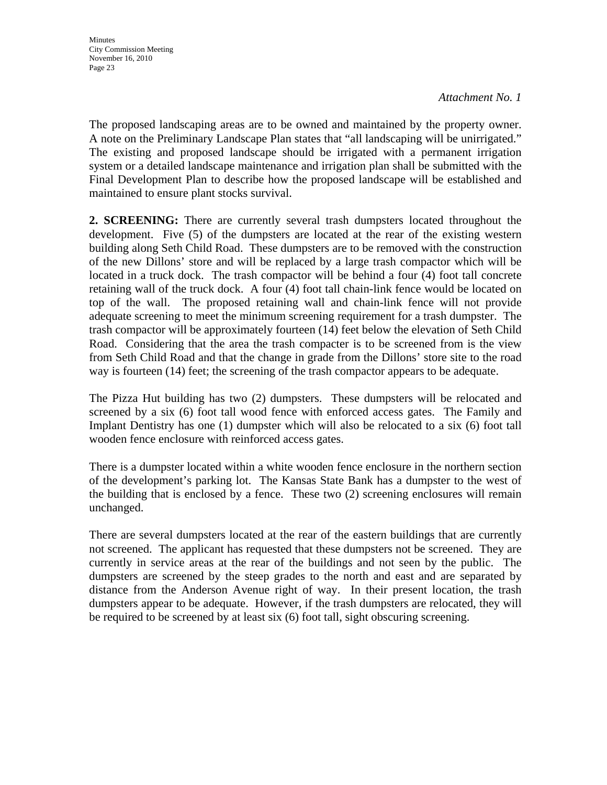The proposed landscaping areas are to be owned and maintained by the property owner. A note on the Preliminary Landscape Plan states that "all landscaping will be unirrigated." The existing and proposed landscape should be irrigated with a permanent irrigation system or a detailed landscape maintenance and irrigation plan shall be submitted with the Final Development Plan to describe how the proposed landscape will be established and maintained to ensure plant stocks survival.

**2. SCREENING:** There are currently several trash dumpsters located throughout the development. Five (5) of the dumpsters are located at the rear of the existing western building along Seth Child Road. These dumpsters are to be removed with the construction of the new Dillons' store and will be replaced by a large trash compactor which will be located in a truck dock. The trash compactor will be behind a four (4) foot tall concrete retaining wall of the truck dock. A four (4) foot tall chain-link fence would be located on top of the wall. The proposed retaining wall and chain-link fence will not provide adequate screening to meet the minimum screening requirement for a trash dumpster. The trash compactor will be approximately fourteen (14) feet below the elevation of Seth Child Road. Considering that the area the trash compacter is to be screened from is the view from Seth Child Road and that the change in grade from the Dillons' store site to the road way is fourteen (14) feet; the screening of the trash compactor appears to be adequate.

The Pizza Hut building has two (2) dumpsters. These dumpsters will be relocated and screened by a six (6) foot tall wood fence with enforced access gates. The Family and Implant Dentistry has one (1) dumpster which will also be relocated to a six (6) foot tall wooden fence enclosure with reinforced access gates.

There is a dumpster located within a white wooden fence enclosure in the northern section of the development's parking lot. The Kansas State Bank has a dumpster to the west of the building that is enclosed by a fence. These two (2) screening enclosures will remain unchanged.

There are several dumpsters located at the rear of the eastern buildings that are currently not screened. The applicant has requested that these dumpsters not be screened. They are currently in service areas at the rear of the buildings and not seen by the public. The dumpsters are screened by the steep grades to the north and east and are separated by distance from the Anderson Avenue right of way. In their present location, the trash dumpsters appear to be adequate. However, if the trash dumpsters are relocated, they will be required to be screened by at least six (6) foot tall, sight obscuring screening.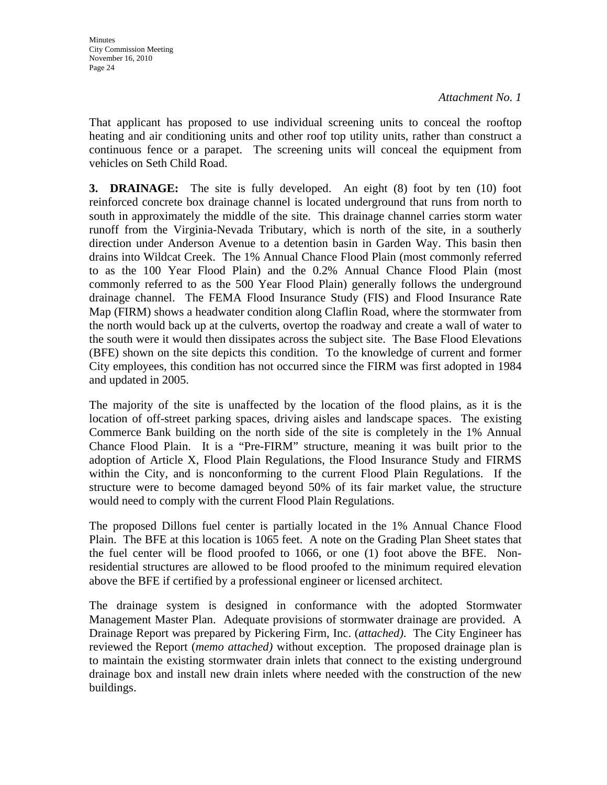That applicant has proposed to use individual screening units to conceal the rooftop heating and air conditioning units and other roof top utility units, rather than construct a continuous fence or a parapet. The screening units will conceal the equipment from vehicles on Seth Child Road.

**3. DRAINAGE:** The site is fully developed. An eight (8) foot by ten (10) foot reinforced concrete box drainage channel is located underground that runs from north to south in approximately the middle of the site. This drainage channel carries storm water runoff from the Virginia-Nevada Tributary, which is north of the site, in a southerly direction under Anderson Avenue to a detention basin in Garden Way. This basin then drains into Wildcat Creek. The 1% Annual Chance Flood Plain (most commonly referred to as the 100 Year Flood Plain) and the 0.2% Annual Chance Flood Plain (most commonly referred to as the 500 Year Flood Plain) generally follows the underground drainage channel. The FEMA Flood Insurance Study (FIS) and Flood Insurance Rate Map (FIRM) shows a headwater condition along Claflin Road, where the stormwater from the north would back up at the culverts, overtop the roadway and create a wall of water to the south were it would then dissipates across the subject site. The Base Flood Elevations (BFE) shown on the site depicts this condition. To the knowledge of current and former City employees, this condition has not occurred since the FIRM was first adopted in 1984 and updated in 2005.

The majority of the site is unaffected by the location of the flood plains, as it is the location of off-street parking spaces, driving aisles and landscape spaces. The existing Commerce Bank building on the north side of the site is completely in the 1% Annual Chance Flood Plain. It is a "Pre-FIRM" structure, meaning it was built prior to the adoption of Article X, Flood Plain Regulations, the Flood Insurance Study and FIRMS within the City, and is nonconforming to the current Flood Plain Regulations. If the structure were to become damaged beyond 50% of its fair market value, the structure would need to comply with the current Flood Plain Regulations.

The proposed Dillons fuel center is partially located in the 1% Annual Chance Flood Plain. The BFE at this location is 1065 feet. A note on the Grading Plan Sheet states that the fuel center will be flood proofed to 1066, or one (1) foot above the BFE. Nonresidential structures are allowed to be flood proofed to the minimum required elevation above the BFE if certified by a professional engineer or licensed architect.

The drainage system is designed in conformance with the adopted Stormwater Management Master Plan. Adequate provisions of stormwater drainage are provided. A Drainage Report was prepared by Pickering Firm, Inc. (*attached)*. The City Engineer has reviewed the Report (*memo attached)* without exception. The proposed drainage plan is to maintain the existing stormwater drain inlets that connect to the existing underground drainage box and install new drain inlets where needed with the construction of the new buildings.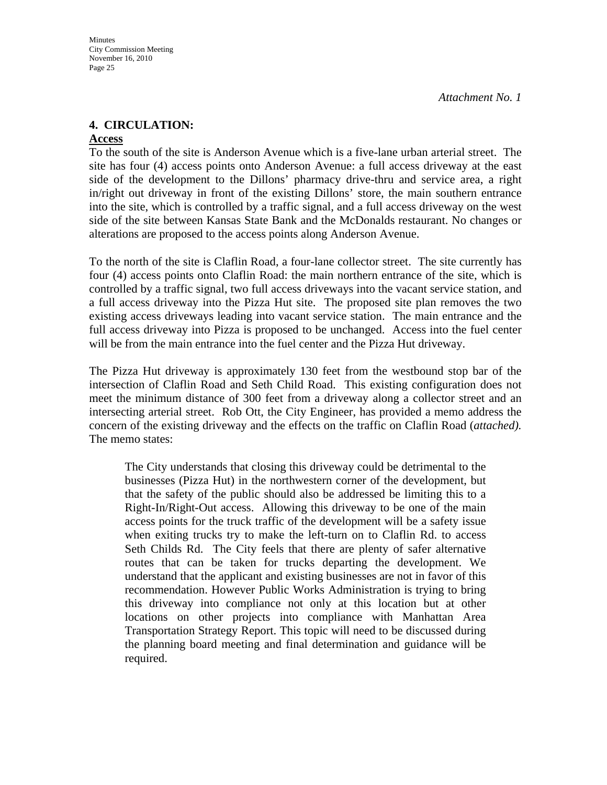### **4. CIRCULATION:**

#### **Access**

**Minutes** 

To the south of the site is Anderson Avenue which is a five-lane urban arterial street. The site has four (4) access points onto Anderson Avenue: a full access driveway at the east side of the development to the Dillons' pharmacy drive-thru and service area, a right in/right out driveway in front of the existing Dillons' store, the main southern entrance into the site, which is controlled by a traffic signal, and a full access driveway on the west side of the site between Kansas State Bank and the McDonalds restaurant. No changes or alterations are proposed to the access points along Anderson Avenue.

To the north of the site is Claflin Road, a four-lane collector street. The site currently has four (4) access points onto Claflin Road: the main northern entrance of the site, which is controlled by a traffic signal, two full access driveways into the vacant service station, and a full access driveway into the Pizza Hut site. The proposed site plan removes the two existing access driveways leading into vacant service station. The main entrance and the full access driveway into Pizza is proposed to be unchanged. Access into the fuel center will be from the main entrance into the fuel center and the Pizza Hut driveway.

The Pizza Hut driveway is approximately 130 feet from the westbound stop bar of the intersection of Claflin Road and Seth Child Road. This existing configuration does not meet the minimum distance of 300 feet from a driveway along a collector street and an intersecting arterial street. Rob Ott, the City Engineer, has provided a memo address the concern of the existing driveway and the effects on the traffic on Claflin Road (*attached).*  The memo states:

The City understands that closing this driveway could be detrimental to the businesses (Pizza Hut) in the northwestern corner of the development, but that the safety of the public should also be addressed be limiting this to a Right-In/Right-Out access. Allowing this driveway to be one of the main access points for the truck traffic of the development will be a safety issue when exiting trucks try to make the left-turn on to Claflin Rd. to access Seth Childs Rd. The City feels that there are plenty of safer alternative routes that can be taken for trucks departing the development. We understand that the applicant and existing businesses are not in favor of this recommendation. However Public Works Administration is trying to bring this driveway into compliance not only at this location but at other locations on other projects into compliance with Manhattan Area Transportation Strategy Report. This topic will need to be discussed during the planning board meeting and final determination and guidance will be required.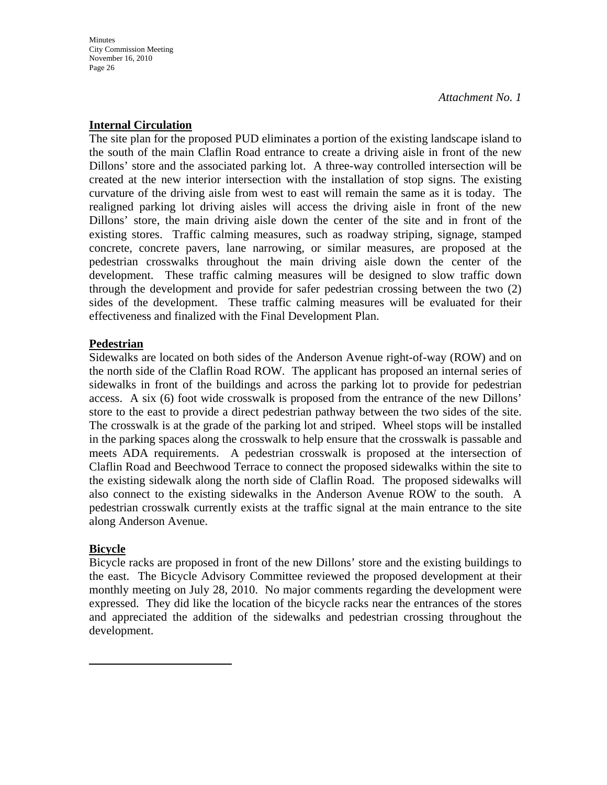### **Internal Circulation**

The site plan for the proposed PUD eliminates a portion of the existing landscape island to the south of the main Claflin Road entrance to create a driving aisle in front of the new Dillons' store and the associated parking lot. A three-way controlled intersection will be created at the new interior intersection with the installation of stop signs. The existing curvature of the driving aisle from west to east will remain the same as it is today. The realigned parking lot driving aisles will access the driving aisle in front of the new Dillons' store, the main driving aisle down the center of the site and in front of the existing stores. Traffic calming measures, such as roadway striping, signage, stamped concrete, concrete pavers, lane narrowing, or similar measures, are proposed at the pedestrian crosswalks throughout the main driving aisle down the center of the development. These traffic calming measures will be designed to slow traffic down through the development and provide for safer pedestrian crossing between the two (2) sides of the development. These traffic calming measures will be evaluated for their effectiveness and finalized with the Final Development Plan.

### **Pedestrian**

Sidewalks are located on both sides of the Anderson Avenue right-of-way (ROW) and on the north side of the Claflin Road ROW. The applicant has proposed an internal series of sidewalks in front of the buildings and across the parking lot to provide for pedestrian access. A six (6) foot wide crosswalk is proposed from the entrance of the new Dillons' store to the east to provide a direct pedestrian pathway between the two sides of the site. The crosswalk is at the grade of the parking lot and striped. Wheel stops will be installed in the parking spaces along the crosswalk to help ensure that the crosswalk is passable and meets ADA requirements. A pedestrian crosswalk is proposed at the intersection of Claflin Road and Beechwood Terrace to connect the proposed sidewalks within the site to the existing sidewalk along the north side of Claflin Road. The proposed sidewalks will also connect to the existing sidewalks in the Anderson Avenue ROW to the south. A pedestrian crosswalk currently exists at the traffic signal at the main entrance to the site along Anderson Avenue.

#### **Bicycle**

Bicycle racks are proposed in front of the new Dillons' store and the existing buildings to the east. The Bicycle Advisory Committee reviewed the proposed development at their monthly meeting on July 28, 2010. No major comments regarding the development were expressed. They did like the location of the bicycle racks near the entrances of the stores and appreciated the addition of the sidewalks and pedestrian crossing throughout the development.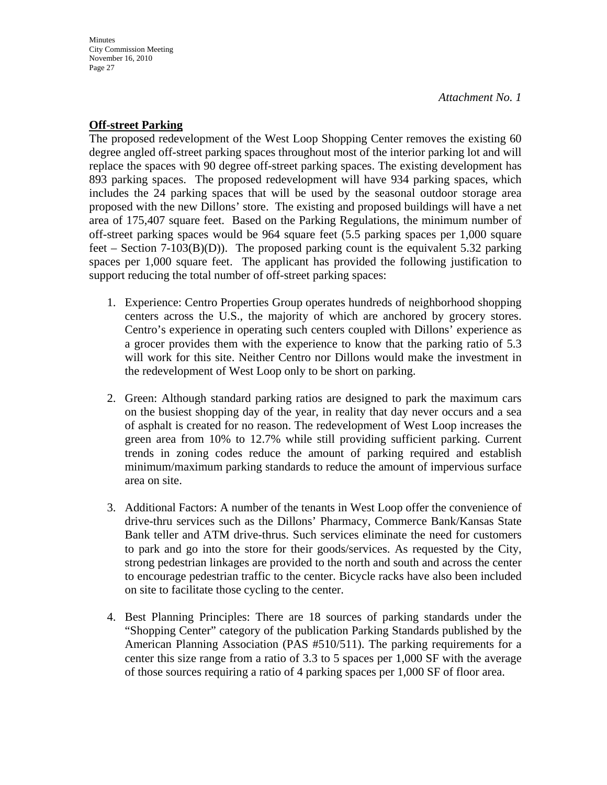### **Off-street Parking**

The proposed redevelopment of the West Loop Shopping Center removes the existing 60 degree angled off-street parking spaces throughout most of the interior parking lot and will replace the spaces with 90 degree off-street parking spaces. The existing development has 893 parking spaces. The proposed redevelopment will have 934 parking spaces, which includes the 24 parking spaces that will be used by the seasonal outdoor storage area proposed with the new Dillons' store. The existing and proposed buildings will have a net area of 175,407 square feet. Based on the Parking Regulations, the minimum number of off-street parking spaces would be 964 square feet (5.5 parking spaces per 1,000 square feet – Section 7-103(B)(D)). The proposed parking count is the equivalent 5.32 parking spaces per 1,000 square feet. The applicant has provided the following justification to support reducing the total number of off-street parking spaces:

- 1. Experience: Centro Properties Group operates hundreds of neighborhood shopping centers across the U.S., the majority of which are anchored by grocery stores. Centro's experience in operating such centers coupled with Dillons' experience as a grocer provides them with the experience to know that the parking ratio of 5.3 will work for this site. Neither Centro nor Dillons would make the investment in the redevelopment of West Loop only to be short on parking.
- 2. Green: Although standard parking ratios are designed to park the maximum cars on the busiest shopping day of the year, in reality that day never occurs and a sea of asphalt is created for no reason. The redevelopment of West Loop increases the green area from 10% to 12.7% while still providing sufficient parking. Current trends in zoning codes reduce the amount of parking required and establish minimum/maximum parking standards to reduce the amount of impervious surface area on site.
- 3. Additional Factors: A number of the tenants in West Loop offer the convenience of drive-thru services such as the Dillons' Pharmacy, Commerce Bank/Kansas State Bank teller and ATM drive-thrus. Such services eliminate the need for customers to park and go into the store for their goods/services. As requested by the City, strong pedestrian linkages are provided to the north and south and across the center to encourage pedestrian traffic to the center. Bicycle racks have also been included on site to facilitate those cycling to the center.
- 4. Best Planning Principles: There are 18 sources of parking standards under the "Shopping Center" category of the publication Parking Standards published by the American Planning Association (PAS #510/511). The parking requirements for a center this size range from a ratio of 3.3 to 5 spaces per 1,000 SF with the average of those sources requiring a ratio of 4 parking spaces per 1,000 SF of floor area.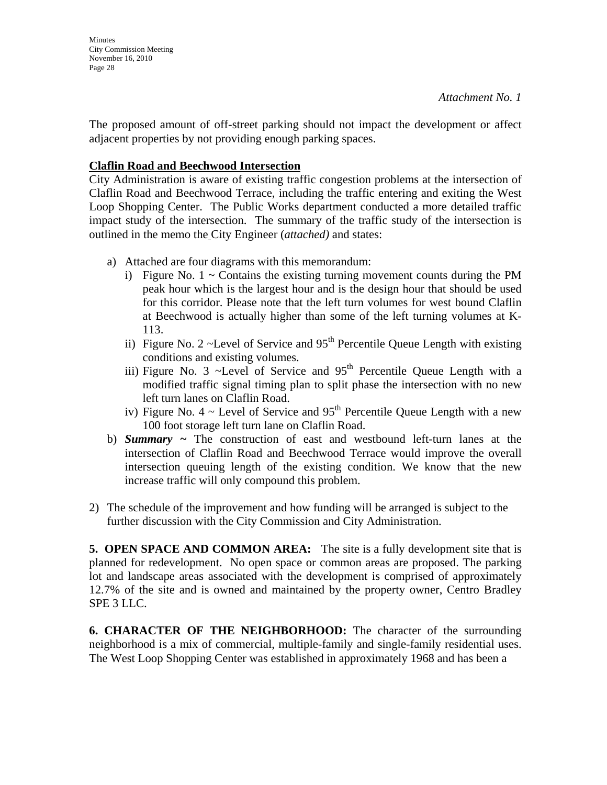The proposed amount of off-street parking should not impact the development or affect adjacent properties by not providing enough parking spaces.

## **Claflin Road and Beechwood Intersection**

City Administration is aware of existing traffic congestion problems at the intersection of Claflin Road and Beechwood Terrace, including the traffic entering and exiting the West Loop Shopping Center. The Public Works department conducted a more detailed traffic impact study of the intersection. The summary of the traffic study of the intersection is outlined in the memo the City Engineer (*attached)* and states:

- a) Attached are four diagrams with this memorandum:
	- i) Figure No.  $1 \sim$  Contains the existing turning movement counts during the PM peak hour which is the largest hour and is the design hour that should be used for this corridor. Please note that the left turn volumes for west bound Claflin at Beechwood is actually higher than some of the left turning volumes at K-113.
	- ii) Figure No. 2 ~Level of Service and  $95<sup>th</sup>$  Percentile Queue Length with existing conditions and existing volumes.
	- iii) Figure No. 3 ~Level of Service and  $95<sup>th</sup>$  Percentile Oueue Length with a modified traffic signal timing plan to split phase the intersection with no new left turn lanes on Claflin Road.
	- iv) Figure No.  $4 \sim$  Level of Service and 95<sup>th</sup> Percentile Oueue Length with a new 100 foot storage left turn lane on Claflin Road.
- b) *Summary ~* The construction of east and westbound left-turn lanes at the intersection of Claflin Road and Beechwood Terrace would improve the overall intersection queuing length of the existing condition. We know that the new increase traffic will only compound this problem.
- 2) The schedule of the improvement and how funding will be arranged is subject to the further discussion with the City Commission and City Administration.

**5. OPEN SPACE AND COMMON AREA:** The site is a fully development site that is planned for redevelopment. No open space or common areas are proposed. The parking lot and landscape areas associated with the development is comprised of approximately 12.7% of the site and is owned and maintained by the property owner, Centro Bradley SPE 3 LLC.

**6. CHARACTER OF THE NEIGHBORHOOD:** The character of the surrounding neighborhood is a mix of commercial, multiple-family and single-family residential uses. The West Loop Shopping Center was established in approximately 1968 and has been a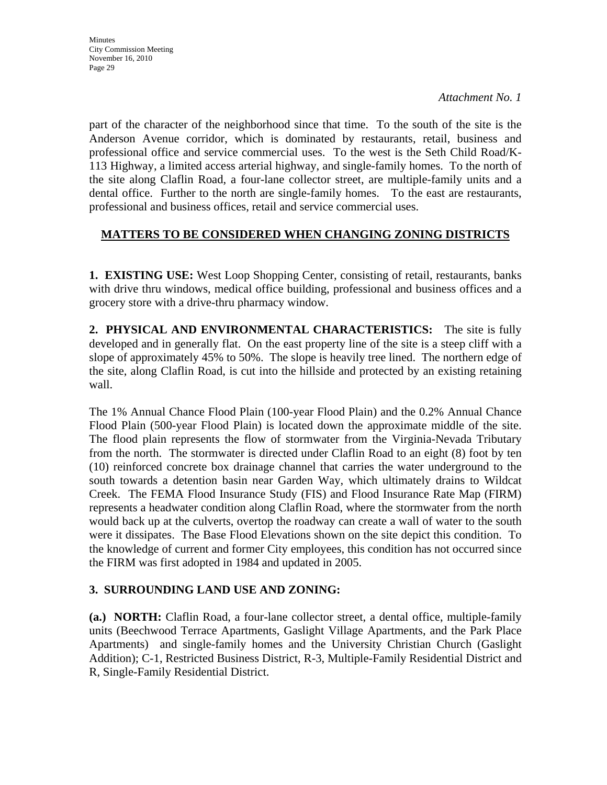part of the character of the neighborhood since that time. To the south of the site is the Anderson Avenue corridor, which is dominated by restaurants, retail, business and professional office and service commercial uses. To the west is the Seth Child Road/K-113 Highway, a limited access arterial highway, and single-family homes. To the north of the site along Claflin Road, a four-lane collector street, are multiple-family units and a dental office. Further to the north are single-family homes. To the east are restaurants, professional and business offices, retail and service commercial uses.

### **MATTERS TO BE CONSIDERED WHEN CHANGING ZONING DISTRICTS**

**1. EXISTING USE:** West Loop Shopping Center, consisting of retail, restaurants, banks with drive thru windows, medical office building, professional and business offices and a grocery store with a drive-thru pharmacy window.

**2. PHYSICAL AND ENVIRONMENTAL CHARACTERISTICS:** The site is fully developed and in generally flat. On the east property line of the site is a steep cliff with a slope of approximately 45% to 50%. The slope is heavily tree lined. The northern edge of the site, along Claflin Road, is cut into the hillside and protected by an existing retaining wall.

The 1% Annual Chance Flood Plain (100-year Flood Plain) and the 0.2% Annual Chance Flood Plain (500-year Flood Plain) is located down the approximate middle of the site. The flood plain represents the flow of stormwater from the Virginia-Nevada Tributary from the north. The stormwater is directed under Claflin Road to an eight (8) foot by ten (10) reinforced concrete box drainage channel that carries the water underground to the south towards a detention basin near Garden Way, which ultimately drains to Wildcat Creek. The FEMA Flood Insurance Study (FIS) and Flood Insurance Rate Map (FIRM) represents a headwater condition along Claflin Road, where the stormwater from the north would back up at the culverts, overtop the roadway can create a wall of water to the south were it dissipates. The Base Flood Elevations shown on the site depict this condition. To the knowledge of current and former City employees, this condition has not occurred since the FIRM was first adopted in 1984 and updated in 2005.

### **3. SURROUNDING LAND USE AND ZONING:**

**(a.) NORTH:** Claflin Road, a four-lane collector street, a dental office, multiple-family units (Beechwood Terrace Apartments, Gaslight Village Apartments, and the Park Place Apartments) and single-family homes and the University Christian Church (Gaslight Addition); C-1, Restricted Business District, R-3, Multiple-Family Residential District and R, Single-Family Residential District.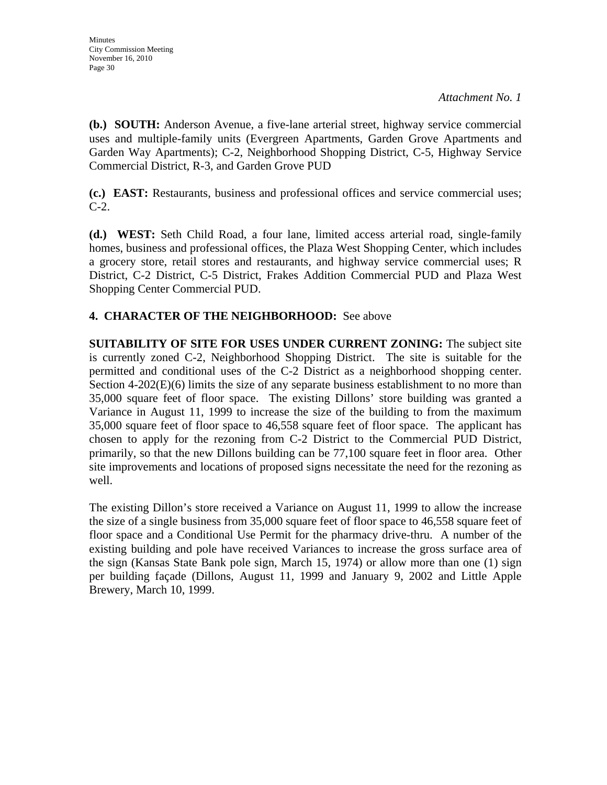**(b.) SOUTH:** Anderson Avenue, a five-lane arterial street, highway service commercial uses and multiple-family units (Evergreen Apartments, Garden Grove Apartments and Garden Way Apartments); C-2, Neighborhood Shopping District, C-5, Highway Service Commercial District, R-3, and Garden Grove PUD

**(c.) EAST:** Restaurants, business and professional offices and service commercial uses; C-2.

**(d.) WEST:** Seth Child Road, a four lane, limited access arterial road, single-family homes, business and professional offices, the Plaza West Shopping Center, which includes a grocery store, retail stores and restaurants, and highway service commercial uses; R District, C-2 District, C-5 District, Frakes Addition Commercial PUD and Plaza West Shopping Center Commercial PUD.

## **4. CHARACTER OF THE NEIGHBORHOOD:** See above

**SUITABILITY OF SITE FOR USES UNDER CURRENT ZONING:** The subject site is currently zoned C-2, Neighborhood Shopping District. The site is suitable for the permitted and conditional uses of the C-2 District as a neighborhood shopping center. Section  $4-202(E)(6)$  limits the size of any separate business establishment to no more than 35,000 square feet of floor space. The existing Dillons' store building was granted a Variance in August 11, 1999 to increase the size of the building to from the maximum 35,000 square feet of floor space to 46,558 square feet of floor space. The applicant has chosen to apply for the rezoning from C-2 District to the Commercial PUD District, primarily, so that the new Dillons building can be 77,100 square feet in floor area. Other site improvements and locations of proposed signs necessitate the need for the rezoning as well.

The existing Dillon's store received a Variance on August 11, 1999 to allow the increase the size of a single business from 35,000 square feet of floor space to 46,558 square feet of floor space and a Conditional Use Permit for the pharmacy drive-thru. A number of the existing building and pole have received Variances to increase the gross surface area of the sign (Kansas State Bank pole sign, March 15, 1974) or allow more than one (1) sign per building façade (Dillons, August 11, 1999 and January 9, 2002 and Little Apple Brewery, March 10, 1999.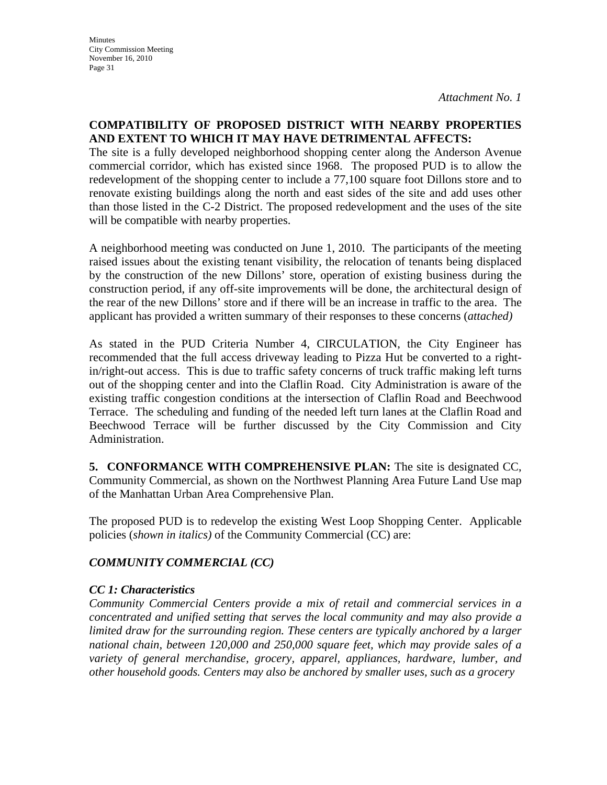### **COMPATIBILITY OF PROPOSED DISTRICT WITH NEARBY PROPERTIES AND EXTENT TO WHICH IT MAY HAVE DETRIMENTAL AFFECTS:**

The site is a fully developed neighborhood shopping center along the Anderson Avenue commercial corridor, which has existed since 1968. The proposed PUD is to allow the redevelopment of the shopping center to include a 77,100 square foot Dillons store and to renovate existing buildings along the north and east sides of the site and add uses other than those listed in the C-2 District. The proposed redevelopment and the uses of the site will be compatible with nearby properties.

A neighborhood meeting was conducted on June 1, 2010. The participants of the meeting raised issues about the existing tenant visibility, the relocation of tenants being displaced by the construction of the new Dillons' store, operation of existing business during the construction period, if any off-site improvements will be done, the architectural design of the rear of the new Dillons' store and if there will be an increase in traffic to the area. The applicant has provided a written summary of their responses to these concerns (*attached)* 

As stated in the PUD Criteria Number 4, CIRCULATION, the City Engineer has recommended that the full access driveway leading to Pizza Hut be converted to a rightin/right-out access. This is due to traffic safety concerns of truck traffic making left turns out of the shopping center and into the Claflin Road. City Administration is aware of the existing traffic congestion conditions at the intersection of Claflin Road and Beechwood Terrace. The scheduling and funding of the needed left turn lanes at the Claflin Road and Beechwood Terrace will be further discussed by the City Commission and City Administration.

**5. CONFORMANCE WITH COMPREHENSIVE PLAN:** The site is designated CC, Community Commercial, as shown on the Northwest Planning Area Future Land Use map of the Manhattan Urban Area Comprehensive Plan.

The proposed PUD is to redevelop the existing West Loop Shopping Center. Applicable policies (*shown in italics)* of the Community Commercial (CC) are:

# *COMMUNITY COMMERCIAL (CC)*

## *CC 1: Characteristics*

*Community Commercial Centers provide a mix of retail and commercial services in a concentrated and unified setting that serves the local community and may also provide a limited draw for the surrounding region. These centers are typically anchored by a larger national chain, between 120,000 and 250,000 square feet, which may provide sales of a variety of general merchandise, grocery, apparel, appliances, hardware, lumber, and other household goods. Centers may also be anchored by smaller uses, such as a grocery*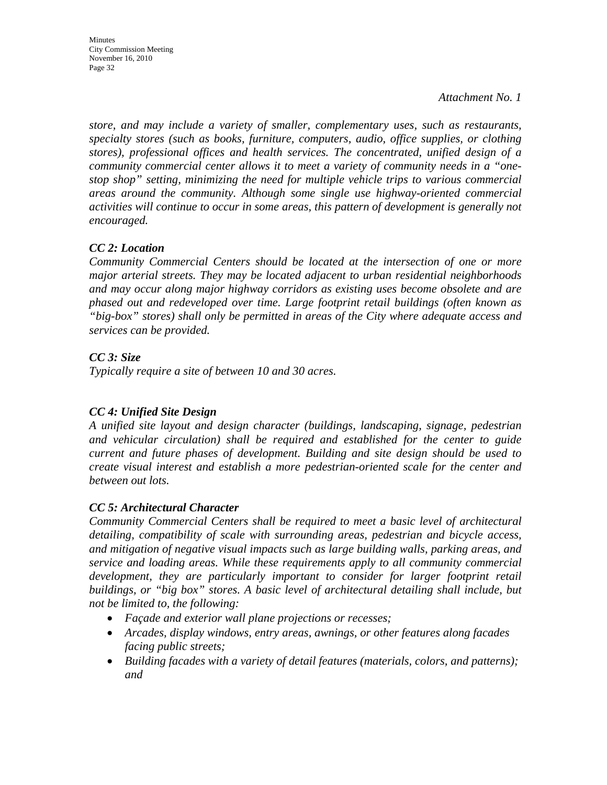**Minutes** City Commission Meeting November 16, 2010 Page 32

*Attachment No. 1*

*store, and may include a variety of smaller, complementary uses, such as restaurants, specialty stores (such as books, furniture, computers, audio, office supplies, or clothing stores), professional offices and health services. The concentrated, unified design of a community commercial center allows it to meet a variety of community needs in a "onestop shop" setting, minimizing the need for multiple vehicle trips to various commercial areas around the community. Although some single use highway-oriented commercial activities will continue to occur in some areas, this pattern of development is generally not encouraged.* 

## *CC 2: Location*

*Community Commercial Centers should be located at the intersection of one or more major arterial streets. They may be located adjacent to urban residential neighborhoods and may occur along major highway corridors as existing uses become obsolete and are phased out and redeveloped over time. Large footprint retail buildings (often known as "big-box" stores) shall only be permitted in areas of the City where adequate access and services can be provided.* 

## *CC 3: Size*

*Typically require a site of between 10 and 30 acres.* 

## *CC 4: Unified Site Design*

*A unified site layout and design character (buildings, landscaping, signage, pedestrian and vehicular circulation) shall be required and established for the center to guide current and future phases of development. Building and site design should be used to create visual interest and establish a more pedestrian-oriented scale for the center and between out lots.* 

## *CC 5: Architectural Character*

*Community Commercial Centers shall be required to meet a basic level of architectural detailing, compatibility of scale with surrounding areas, pedestrian and bicycle access, and mitigation of negative visual impacts such as large building walls, parking areas, and service and loading areas. While these requirements apply to all community commercial*  development, they are particularly important to consider for larger footprint retail *buildings, or "big box" stores. A basic level of architectural detailing shall include, but not be limited to, the following:* 

- *Façade and exterior wall plane projections or recesses;*
- *Arcades, display windows, entry areas, awnings, or other features along facades facing public streets;*
- *Building facades with a variety of detail features (materials, colors, and patterns); and*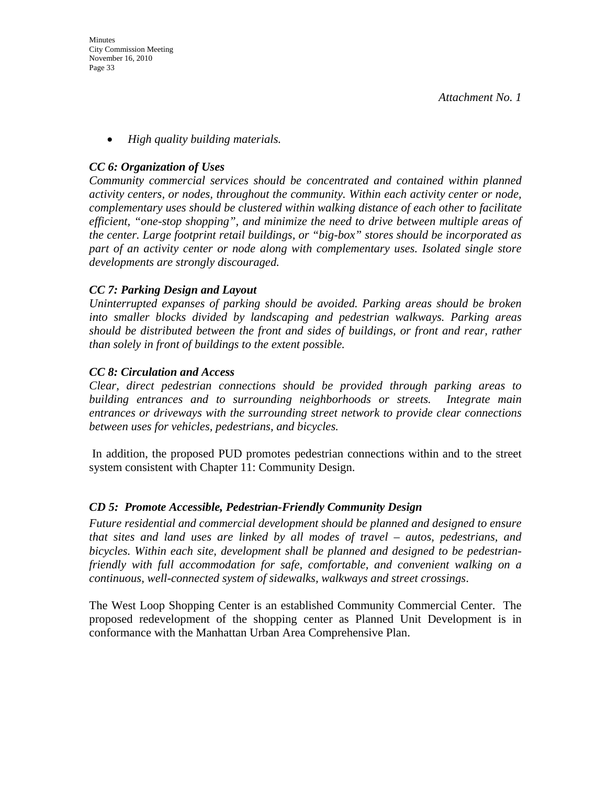• *High quality building materials.* 

### *CC 6: Organization of Uses*

*Community commercial services should be concentrated and contained within planned activity centers, or nodes, throughout the community. Within each activity center or node, complementary uses should be clustered within walking distance of each other to facilitate efficient, "one-stop shopping", and minimize the need to drive between multiple areas of the center. Large footprint retail buildings, or "big-box" stores should be incorporated as part of an activity center or node along with complementary uses. Isolated single store developments are strongly discouraged.* 

### *CC 7: Parking Design and Layout*

*Uninterrupted expanses of parking should be avoided. Parking areas should be broken into smaller blocks divided by landscaping and pedestrian walkways. Parking areas should be distributed between the front and sides of buildings, or front and rear, rather than solely in front of buildings to the extent possible.* 

### *CC 8: Circulation and Access*

*Clear, direct pedestrian connections should be provided through parking areas to building entrances and to surrounding neighborhoods or streets. Integrate main entrances or driveways with the surrounding street network to provide clear connections between uses for vehicles, pedestrians, and bicycles.* 

 In addition, the proposed PUD promotes pedestrian connections within and to the street system consistent with Chapter 11: Community Design.

### *CD 5: Promote Accessible, Pedestrian-Friendly Community Design*

*Future residential and commercial development should be planned and designed to ensure that sites and land uses are linked by all modes of travel – autos, pedestrians, and bicycles. Within each site, development shall be planned and designed to be pedestrianfriendly with full accommodation for safe, comfortable, and convenient walking on a continuous, well-connected system of sidewalks, walkways and street crossings*.

The West Loop Shopping Center is an established Community Commercial Center. The proposed redevelopment of the shopping center as Planned Unit Development is in conformance with the Manhattan Urban Area Comprehensive Plan.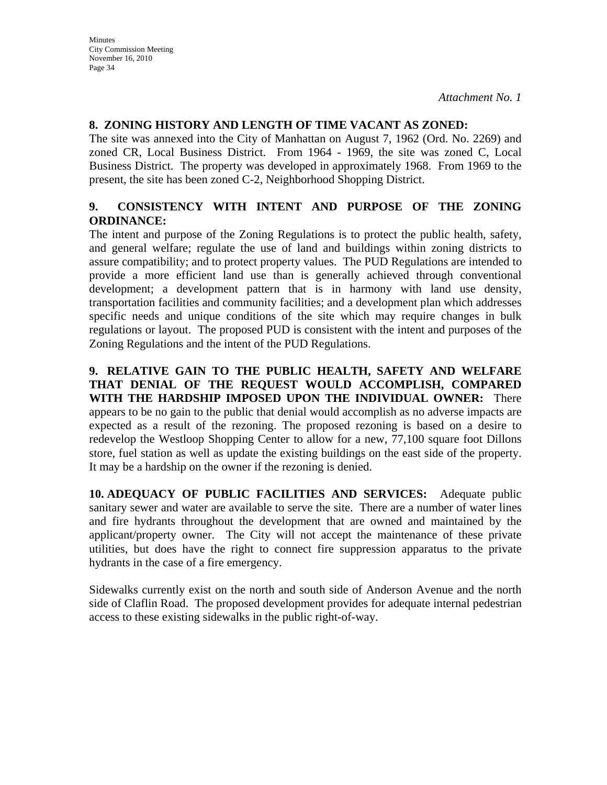### **8. ZONING HISTORY AND LENGTH OF TIME VACANT AS ZONED:**

The site was annexed into the City of Manhattan on August 7, 1962 (Ord. No. 2269) and zoned CR, Local Business District. From 1964 - 1969, the site was zoned C, Local Business District. The property was developed in approximately 1968. From 1969 to the present, the site has been zoned C-2, Neighborhood Shopping District.

### **9. CONSISTENCY WITH INTENT AND PURPOSE OF THE ZONING ORDINANCE:**

The intent and purpose of the Zoning Regulations is to protect the public health, safety, and general welfare; regulate the use of land and buildings within zoning districts to assure compatibility; and to protect property values. The PUD Regulations are intended to provide a more efficient land use than is generally achieved through conventional development; a development pattern that is in harmony with land use density, transportation facilities and community facilities; and a development plan which addresses specific needs and unique conditions of the site which may require changes in bulk regulations or layout. The proposed PUD is consistent with the intent and purposes of the Zoning Regulations and the intent of the PUD Regulations.

**9. RELATIVE GAIN TO THE PUBLIC HEALTH, SAFETY AND WELFARE THAT DENIAL OF THE REQUEST WOULD ACCOMPLISH, COMPARED WITH THE HARDSHIP IMPOSED UPON THE INDIVIDUAL OWNER:** There appears to be no gain to the public that denial would accomplish as no adverse impacts are expected as a result of the rezoning. The proposed rezoning is based on a desire to redevelop the Westloop Shopping Center to allow for a new, 77,100 square foot Dillons store, fuel station as well as update the existing buildings on the east side of the property. It may be a hardship on the owner if the rezoning is denied.

**10. ADEQUACY OF PUBLIC FACILITIES AND SERVICES:** Adequate public sanitary sewer and water are available to serve the site. There are a number of water lines and fire hydrants throughout the development that are owned and maintained by the applicant/property owner. The City will not accept the maintenance of these private utilities, but does have the right to connect fire suppression apparatus to the private hydrants in the case of a fire emergency.

Sidewalks currently exist on the north and south side of Anderson Avenue and the north side of Claflin Road. The proposed development provides for adequate internal pedestrian access to these existing sidewalks in the public right-of-way.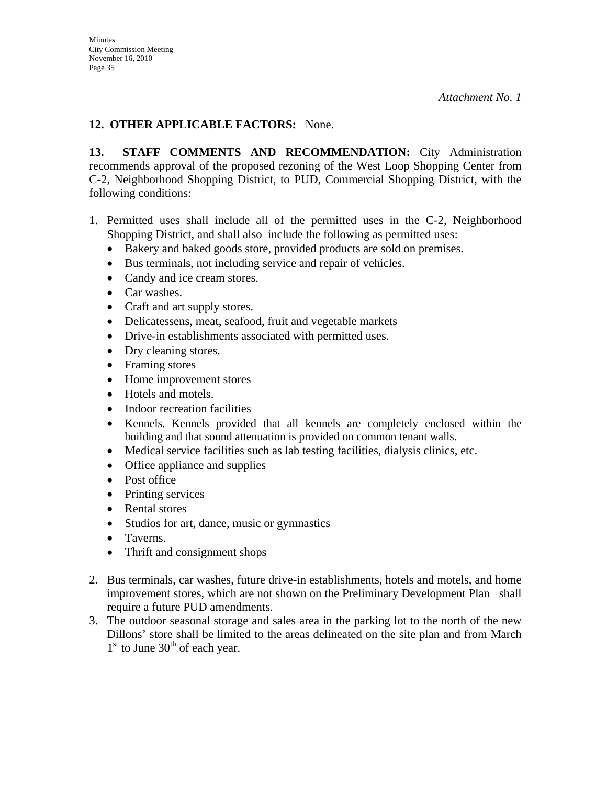## **12. OTHER APPLICABLE FACTORS:** None.

**13. STAFF COMMENTS AND RECOMMENDATION:** City Administration recommends approval of the proposed rezoning of the West Loop Shopping Center from C-2, Neighborhood Shopping District, to PUD, Commercial Shopping District, with the following conditions:

- 1. Permitted uses shall include all of the permitted uses in the C-2, Neighborhood Shopping District, and shall also include the following as permitted uses:
	- Bakery and baked goods store, provided products are sold on premises.
	- Bus terminals, not including service and repair of vehicles.
	- Candy and ice cream stores.
	- Car washes.
	- Craft and art supply stores.
	- Delicatessens, meat, seafood, fruit and vegetable markets
	- Drive-in establishments associated with permitted uses.
	- Dry cleaning stores.
	- Framing stores
	- Home improvement stores
	- Hotels and motels.
	- Indoor recreation facilities
	- Kennels. Kennels provided that all kennels are completely enclosed within the building and that sound attenuation is provided on common tenant walls.
	- Medical service facilities such as lab testing facilities, dialysis clinics, etc.
	- Office appliance and supplies
	- Post office
	- Printing services
	- Rental stores
	- Studios for art, dance, music or gymnastics
	- Taverns.
	- Thrift and consignment shops
- 2. Bus terminals, car washes, future drive-in establishments, hotels and motels, and home improvement stores, which are not shown on the Preliminary Development Plan shall require a future PUD amendments.
- 3. The outdoor seasonal storage and sales area in the parking lot to the north of the new Dillons' store shall be limited to the areas delineated on the site plan and from March  $1<sup>st</sup>$  to June  $30<sup>th</sup>$  of each year.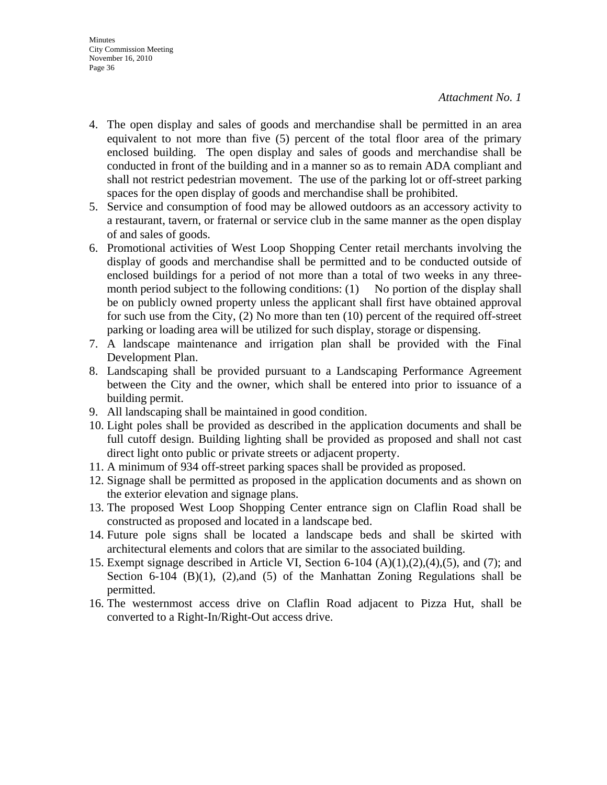- 4. The open display and sales of goods and merchandise shall be permitted in an area equivalent to not more than five (5) percent of the total floor area of the primary enclosed building. The open display and sales of goods and merchandise shall be conducted in front of the building and in a manner so as to remain ADA compliant and shall not restrict pedestrian movement. The use of the parking lot or off-street parking spaces for the open display of goods and merchandise shall be prohibited.
- 5. Service and consumption of food may be allowed outdoors as an accessory activity to a restaurant, tavern, or fraternal or service club in the same manner as the open display of and sales of goods.
- 6. Promotional activities of West Loop Shopping Center retail merchants involving the display of goods and merchandise shall be permitted and to be conducted outside of enclosed buildings for a period of not more than a total of two weeks in any threemonth period subject to the following conditions:  $(1)$  No portion of the display shall be on publicly owned property unless the applicant shall first have obtained approval for such use from the City, (2) No more than ten (10) percent of the required off-street parking or loading area will be utilized for such display, storage or dispensing.
- 7. A landscape maintenance and irrigation plan shall be provided with the Final Development Plan.
- 8. Landscaping shall be provided pursuant to a Landscaping Performance Agreement between the City and the owner, which shall be entered into prior to issuance of a building permit.
- 9. All landscaping shall be maintained in good condition.
- 10. Light poles shall be provided as described in the application documents and shall be full cutoff design. Building lighting shall be provided as proposed and shall not cast direct light onto public or private streets or adjacent property.
- 11. A minimum of 934 off-street parking spaces shall be provided as proposed.
- 12. Signage shall be permitted as proposed in the application documents and as shown on the exterior elevation and signage plans.
- 13. The proposed West Loop Shopping Center entrance sign on Claflin Road shall be constructed as proposed and located in a landscape bed.
- 14. Future pole signs shall be located a landscape beds and shall be skirted with architectural elements and colors that are similar to the associated building.
- 15. Exempt signage described in Article VI, Section 6-104 (A)(1),(2),(4),(5), and (7); and Section 6-104  $(B)(1)$ ,  $(2)$ , and  $(5)$  of the Manhattan Zoning Regulations shall be permitted.
- 16. The westernmost access drive on Claflin Road adjacent to Pizza Hut, shall be converted to a Right-In/Right-Out access drive.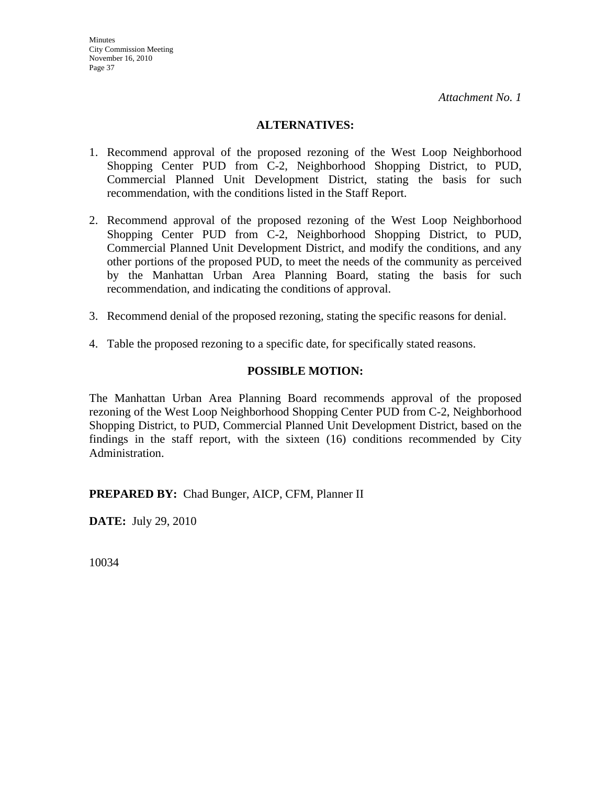### **ALTERNATIVES:**

- 1. Recommend approval of the proposed rezoning of the West Loop Neighborhood Shopping Center PUD from C-2, Neighborhood Shopping District, to PUD, Commercial Planned Unit Development District, stating the basis for such recommendation, with the conditions listed in the Staff Report.
- 2. Recommend approval of the proposed rezoning of the West Loop Neighborhood Shopping Center PUD from C-2, Neighborhood Shopping District, to PUD, Commercial Planned Unit Development District, and modify the conditions, and any other portions of the proposed PUD, to meet the needs of the community as perceived by the Manhattan Urban Area Planning Board, stating the basis for such recommendation, and indicating the conditions of approval.
- 3. Recommend denial of the proposed rezoning, stating the specific reasons for denial.
- 4. Table the proposed rezoning to a specific date, for specifically stated reasons.

### **POSSIBLE MOTION:**

The Manhattan Urban Area Planning Board recommends approval of the proposed rezoning of the West Loop Neighborhood Shopping Center PUD from C-2, Neighborhood Shopping District, to PUD, Commercial Planned Unit Development District, based on the findings in the staff report, with the sixteen (16) conditions recommended by City Administration.

**PREPARED BY:** Chad Bunger, AICP, CFM, Planner II

**DATE:** July 29, 2010

10034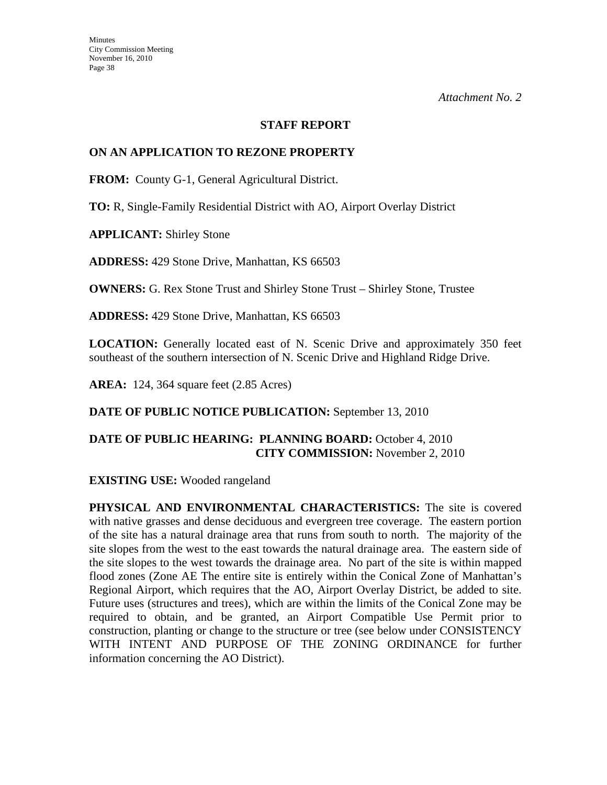#### **STAFF REPORT**

### **ON AN APPLICATION TO REZONE PROPERTY**

**FROM:** County G-1, General Agricultural District.

**TO:** R, Single-Family Residential District with AO, Airport Overlay District

**APPLICANT:** Shirley Stone

**ADDRESS:** 429 Stone Drive, Manhattan, KS 66503

**OWNERS:** G. Rex Stone Trust and Shirley Stone Trust – Shirley Stone, Trustee

**ADDRESS:** 429 Stone Drive, Manhattan, KS 66503

**LOCATION:** Generally located east of N. Scenic Drive and approximately 350 feet southeast of the southern intersection of N. Scenic Drive and Highland Ridge Drive.

**AREA:** 124, 364 square feet (2.85 Acres)

**DATE OF PUBLIC NOTICE PUBLICATION:** September 13, 2010

### **DATE OF PUBLIC HEARING: PLANNING BOARD:** October 4, 2010 **CITY COMMISSION:** November 2, 2010

**EXISTING USE:** Wooded rangeland

**PHYSICAL AND ENVIRONMENTAL CHARACTERISTICS:** The site is covered with native grasses and dense deciduous and evergreen tree coverage. The eastern portion of the site has a natural drainage area that runs from south to north. The majority of the site slopes from the west to the east towards the natural drainage area. The eastern side of the site slopes to the west towards the drainage area. No part of the site is within mapped flood zones (Zone AE The entire site is entirely within the Conical Zone of Manhattan's Regional Airport, which requires that the AO, Airport Overlay District, be added to site. Future uses (structures and trees), which are within the limits of the Conical Zone may be required to obtain, and be granted, an Airport Compatible Use Permit prior to construction, planting or change to the structure or tree (see below under CONSISTENCY WITH INTENT AND PURPOSE OF THE ZONING ORDINANCE for further information concerning the AO District).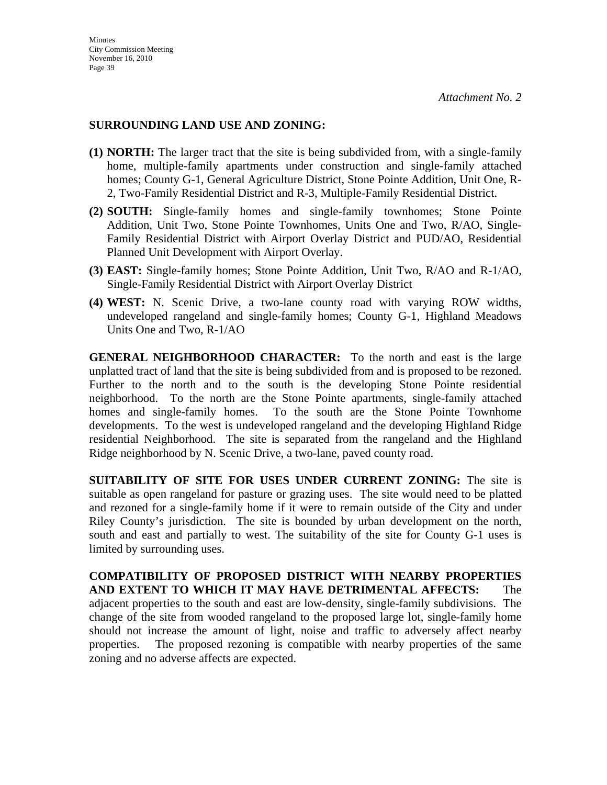### **SURROUNDING LAND USE AND ZONING:**

- **(1) NORTH:** The larger tract that the site is being subdivided from, with a single-family home, multiple-family apartments under construction and single-family attached homes; County G-1, General Agriculture District, Stone Pointe Addition, Unit One, R-2, Two-Family Residential District and R-3, Multiple-Family Residential District.
- **(2) SOUTH:** Single-family homes and single-family townhomes; Stone Pointe Addition, Unit Two, Stone Pointe Townhomes, Units One and Two, R/AO, Single-Family Residential District with Airport Overlay District and PUD/AO, Residential Planned Unit Development with Airport Overlay.
- **(3) EAST:** Single-family homes; Stone Pointe Addition, Unit Two, R/AO and R-1/AO, Single-Family Residential District with Airport Overlay District
- **(4) WEST:** N. Scenic Drive, a two-lane county road with varying ROW widths, undeveloped rangeland and single-family homes; County G-1, Highland Meadows Units One and Two, R-1/AO

**GENERAL NEIGHBORHOOD CHARACTER:** To the north and east is the large unplatted tract of land that the site is being subdivided from and is proposed to be rezoned. Further to the north and to the south is the developing Stone Pointe residential neighborhood. To the north are the Stone Pointe apartments, single-family attached homes and single-family homes. To the south are the Stone Pointe Townhome developments. To the west is undeveloped rangeland and the developing Highland Ridge residential Neighborhood. The site is separated from the rangeland and the Highland Ridge neighborhood by N. Scenic Drive, a two-lane, paved county road.

**SUITABILITY OF SITE FOR USES UNDER CURRENT ZONING:** The site is suitable as open rangeland for pasture or grazing uses. The site would need to be platted and rezoned for a single-family home if it were to remain outside of the City and under Riley County's jurisdiction. The site is bounded by urban development on the north, south and east and partially to west. The suitability of the site for County G-1 uses is limited by surrounding uses.

**COMPATIBILITY OF PROPOSED DISTRICT WITH NEARBY PROPERTIES AND EXTENT TO WHICH IT MAY HAVE DETRIMENTAL AFFECTS:** The adjacent properties to the south and east are low-density, single-family subdivisions. The change of the site from wooded rangeland to the proposed large lot, single-family home should not increase the amount of light, noise and traffic to adversely affect nearby properties. The proposed rezoning is compatible with nearby properties of the same zoning and no adverse affects are expected.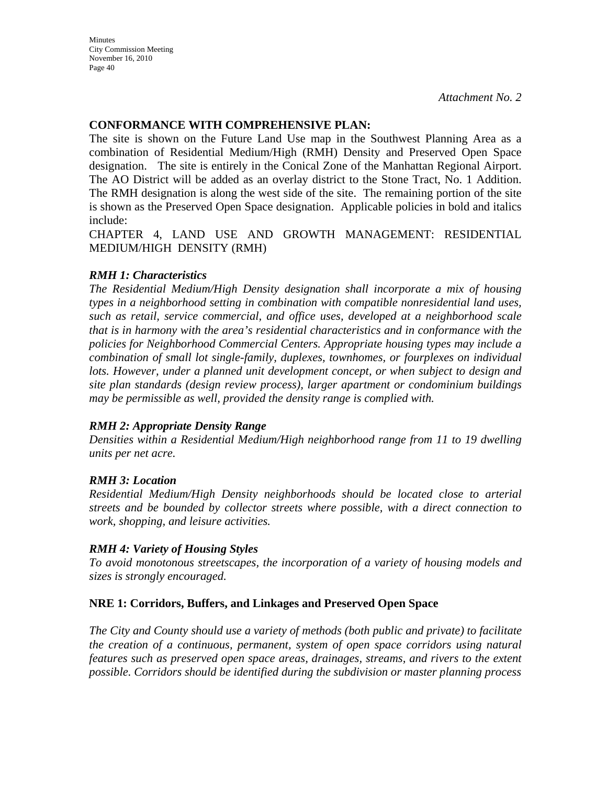**Minutes** City Commission Meeting November 16, 2010 Page 40

*Attachment No. 2*

### **CONFORMANCE WITH COMPREHENSIVE PLAN:**

The site is shown on the Future Land Use map in the Southwest Planning Area as a combination of Residential Medium/High (RMH) Density and Preserved Open Space designation. The site is entirely in the Conical Zone of the Manhattan Regional Airport. The AO District will be added as an overlay district to the Stone Tract, No. 1 Addition. The RMH designation is along the west side of the site. The remaining portion of the site is shown as the Preserved Open Space designation. Applicable policies in bold and italics include:

CHAPTER 4, LAND USE AND GROWTH MANAGEMENT: RESIDENTIAL MEDIUM/HIGH DENSITY (RMH)

### *RMH 1: Characteristics*

*The Residential Medium/High Density designation shall incorporate a mix of housing types in a neighborhood setting in combination with compatible nonresidential land uses, such as retail, service commercial, and office uses, developed at a neighborhood scale that is in harmony with the area's residential characteristics and in conformance with the policies for Neighborhood Commercial Centers. Appropriate housing types may include a combination of small lot single-family, duplexes, townhomes, or fourplexes on individual*  lots. However, under a planned unit development concept, or when subject to design and *site plan standards (design review process), larger apartment or condominium buildings may be permissible as well, provided the density range is complied with.* 

#### *RMH 2: Appropriate Density Range*

*Densities within a Residential Medium/High neighborhood range from 11 to 19 dwelling units per net acre.* 

### *RMH 3: Location*

*Residential Medium/High Density neighborhoods should be located close to arterial streets and be bounded by collector streets where possible, with a direct connection to work, shopping, and leisure activities.* 

#### *RMH 4: Variety of Housing Styles*

*To avoid monotonous streetscapes, the incorporation of a variety of housing models and sizes is strongly encouraged.* 

### **NRE 1: Corridors, Buffers, and Linkages and Preserved Open Space**

*The City and County should use a variety of methods (both public and private) to facilitate the creation of a continuous, permanent, system of open space corridors using natural features such as preserved open space areas, drainages, streams, and rivers to the extent possible. Corridors should be identified during the subdivision or master planning process*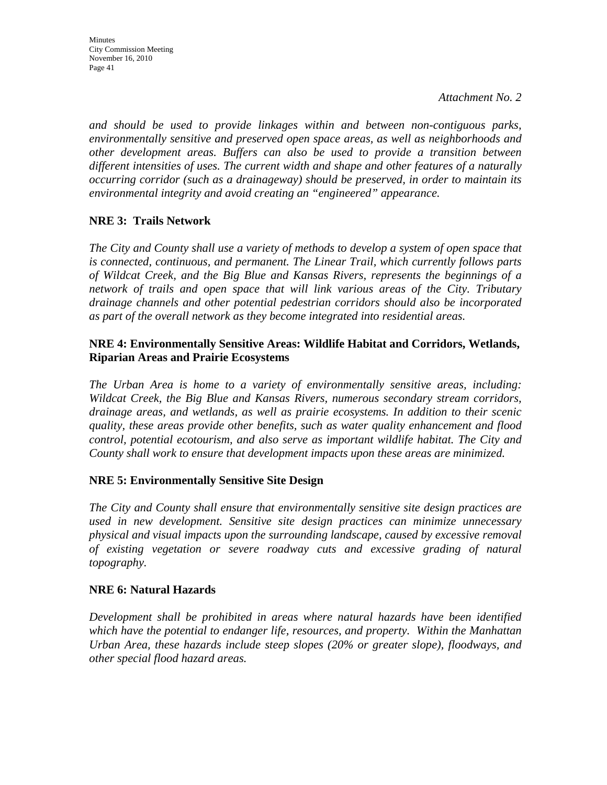*and should be used to provide linkages within and between non-contiguous parks, environmentally sensitive and preserved open space areas, as well as neighborhoods and other development areas. Buffers can also be used to provide a transition between different intensities of uses. The current width and shape and other features of a naturally occurring corridor (such as a drainageway) should be preserved, in order to maintain its environmental integrity and avoid creating an "engineered" appearance.* 

# **NRE 3: Trails Network**

*The City and County shall use a variety of methods to develop a system of open space that is connected, continuous, and permanent. The Linear Trail, which currently follows parts of Wildcat Creek, and the Big Blue and Kansas Rivers, represents the beginnings of a network of trails and open space that will link various areas of the City. Tributary drainage channels and other potential pedestrian corridors should also be incorporated as part of the overall network as they become integrated into residential areas.* 

### **NRE 4: Environmentally Sensitive Areas: Wildlife Habitat and Corridors, Wetlands, Riparian Areas and Prairie Ecosystems**

*The Urban Area is home to a variety of environmentally sensitive areas, including: Wildcat Creek, the Big Blue and Kansas Rivers, numerous secondary stream corridors, drainage areas, and wetlands, as well as prairie ecosystems. In addition to their scenic quality, these areas provide other benefits, such as water quality enhancement and flood control, potential ecotourism, and also serve as important wildlife habitat. The City and County shall work to ensure that development impacts upon these areas are minimized.* 

## **NRE 5: Environmentally Sensitive Site Design**

*The City and County shall ensure that environmentally sensitive site design practices are used in new development. Sensitive site design practices can minimize unnecessary physical and visual impacts upon the surrounding landscape, caused by excessive removal of existing vegetation or severe roadway cuts and excessive grading of natural topography.* 

## **NRE 6: Natural Hazards**

*Development shall be prohibited in areas where natural hazards have been identified which have the potential to endanger life, resources, and property. Within the Manhattan Urban Area, these hazards include steep slopes (20% or greater slope), floodways, and other special flood hazard areas.*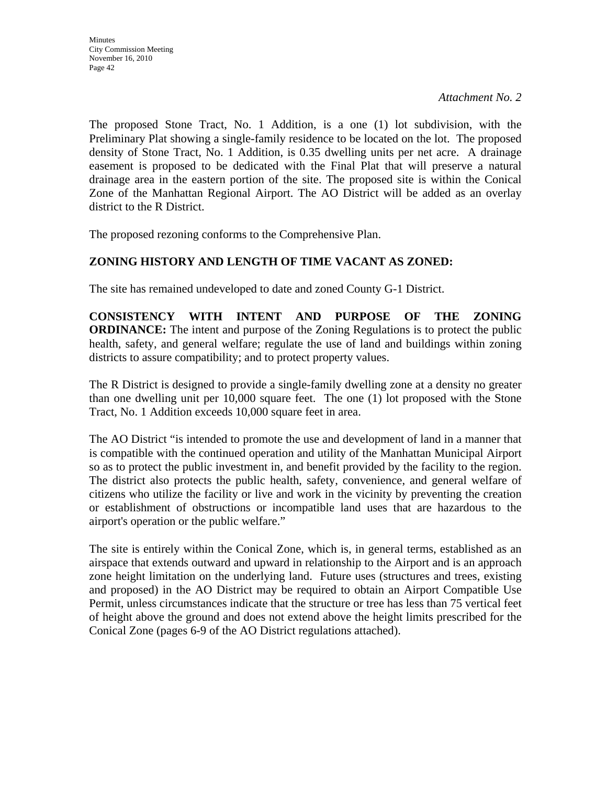The proposed Stone Tract, No. 1 Addition, is a one (1) lot subdivision, with the Preliminary Plat showing a single-family residence to be located on the lot. The proposed density of Stone Tract, No. 1 Addition, is 0.35 dwelling units per net acre. A drainage easement is proposed to be dedicated with the Final Plat that will preserve a natural drainage area in the eastern portion of the site. The proposed site is within the Conical Zone of the Manhattan Regional Airport. The AO District will be added as an overlay district to the R District.

The proposed rezoning conforms to the Comprehensive Plan.

# **ZONING HISTORY AND LENGTH OF TIME VACANT AS ZONED:**

The site has remained undeveloped to date and zoned County G-1 District.

**CONSISTENCY WITH INTENT AND PURPOSE OF THE ZONING ORDINANCE:** The intent and purpose of the Zoning Regulations is to protect the public health, safety, and general welfare; regulate the use of land and buildings within zoning districts to assure compatibility; and to protect property values.

The R District is designed to provide a single-family dwelling zone at a density no greater than one dwelling unit per 10,000 square feet. The one (1) lot proposed with the Stone Tract, No. 1 Addition exceeds 10,000 square feet in area.

The AO District "is intended to promote the use and development of land in a manner that is compatible with the continued operation and utility of the Manhattan Municipal Airport so as to protect the public investment in, and benefit provided by the facility to the region. The district also protects the public health, safety, convenience, and general welfare of citizens who utilize the facility or live and work in the vicinity by preventing the creation or establishment of obstructions or incompatible land uses that are hazardous to the airport's operation or the public welfare."

The site is entirely within the Conical Zone, which is, in general terms, established as an airspace that extends outward and upward in relationship to the Airport and is an approach zone height limitation on the underlying land. Future uses (structures and trees, existing and proposed) in the AO District may be required to obtain an Airport Compatible Use Permit, unless circumstances indicate that the structure or tree has less than 75 vertical feet of height above the ground and does not extend above the height limits prescribed for the Conical Zone (pages 6-9 of the AO District regulations attached).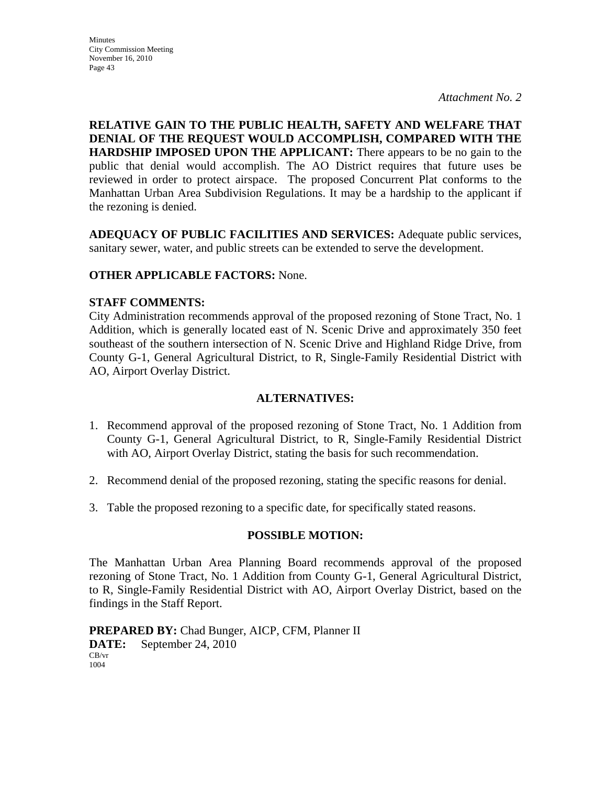**RELATIVE GAIN TO THE PUBLIC HEALTH, SAFETY AND WELFARE THAT DENIAL OF THE REQUEST WOULD ACCOMPLISH, COMPARED WITH THE HARDSHIP IMPOSED UPON THE APPLICANT:** There appears to be no gain to the public that denial would accomplish. The AO District requires that future uses be reviewed in order to protect airspace. The proposed Concurrent Plat conforms to the Manhattan Urban Area Subdivision Regulations. It may be a hardship to the applicant if the rezoning is denied.

**ADEQUACY OF PUBLIC FACILITIES AND SERVICES:** Adequate public services, sanitary sewer, water, and public streets can be extended to serve the development.

## **OTHER APPLICABLE FACTORS:** None.

### **STAFF COMMENTS:**

City Administration recommends approval of the proposed rezoning of Stone Tract, No. 1 Addition, which is generally located east of N. Scenic Drive and approximately 350 feet southeast of the southern intersection of N. Scenic Drive and Highland Ridge Drive, from County G-1, General Agricultural District, to R, Single-Family Residential District with AO, Airport Overlay District.

### **ALTERNATIVES:**

- 1. Recommend approval of the proposed rezoning of Stone Tract, No. 1 Addition from County G-1, General Agricultural District, to R, Single-Family Residential District with AO, Airport Overlay District, stating the basis for such recommendation.
- 2. Recommend denial of the proposed rezoning, stating the specific reasons for denial.
- 3. Table the proposed rezoning to a specific date, for specifically stated reasons.

## **POSSIBLE MOTION:**

The Manhattan Urban Area Planning Board recommends approval of the proposed rezoning of Stone Tract, No. 1 Addition from County G-1, General Agricultural District, to R, Single-Family Residential District with AO, Airport Overlay District, based on the findings in the Staff Report.

**PREPARED BY:** Chad Bunger, AICP, CFM, Planner II **DATE:** September 24, 2010 CB/vr 1004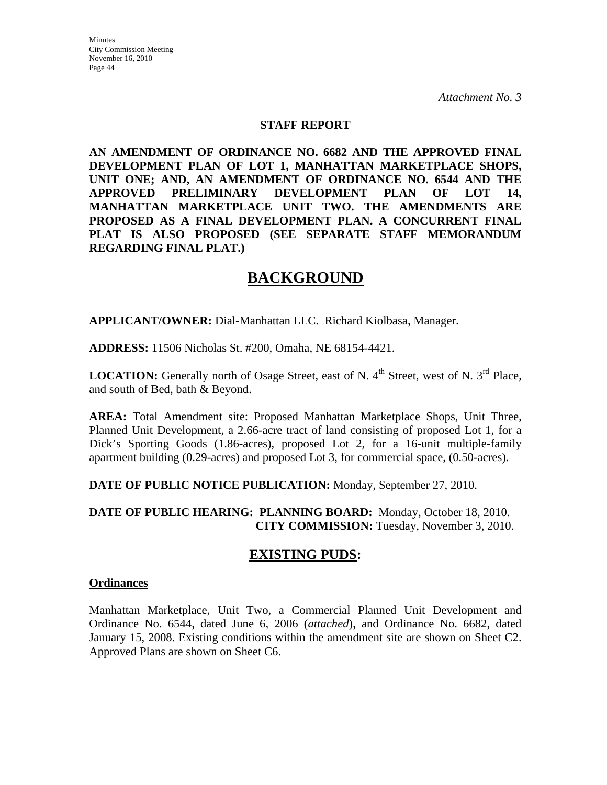#### **STAFF REPORT**

**AN AMENDMENT OF ORDINANCE NO. 6682 AND THE APPROVED FINAL DEVELOPMENT PLAN OF LOT 1, MANHATTAN MARKETPLACE SHOPS, UNIT ONE; AND, AN AMENDMENT OF ORDINANCE NO. 6544 AND THE APPROVED PRELIMINARY DEVELOPMENT PLAN OF LOT 14, MANHATTAN MARKETPLACE UNIT TWO. THE AMENDMENTS ARE PROPOSED AS A FINAL DEVELOPMENT PLAN. A CONCURRENT FINAL PLAT IS ALSO PROPOSED (SEE SEPARATE STAFF MEMORANDUM REGARDING FINAL PLAT.)** 

# **BACKGROUND**

**APPLICANT/OWNER:** Dial-Manhattan LLC. Richard Kiolbasa, Manager.

**ADDRESS:** 11506 Nicholas St. #200, Omaha, NE 68154-4421.

**LOCATION:** Generally north of Osage Street, east of N. 4<sup>th</sup> Street, west of N. 3<sup>rd</sup> Place. and south of Bed, bath & Beyond.

**AREA:** Total Amendment site: Proposed Manhattan Marketplace Shops, Unit Three, Planned Unit Development, a 2.66-acre tract of land consisting of proposed Lot 1, for a Dick's Sporting Goods (1.86-acres), proposed Lot 2, for a 16-unit multiple-family apartment building (0.29-acres) and proposed Lot 3, for commercial space, (0.50-acres).

**DATE OF PUBLIC NOTICE PUBLICATION:** Monday, September 27, 2010.

**DATE OF PUBLIC HEARING: PLANNING BOARD:** Monday, October 18, 2010. **CITY COMMISSION:** Tuesday, November 3, 2010.

# **EXISTING PUDS:**

#### **Ordinances**

Manhattan Marketplace, Unit Two, a Commercial Planned Unit Development and Ordinance No. 6544, dated June 6, 2006 (*attached*), and Ordinance No. 6682, dated January 15, 2008. Existing conditions within the amendment site are shown on Sheet C2. Approved Plans are shown on Sheet C6.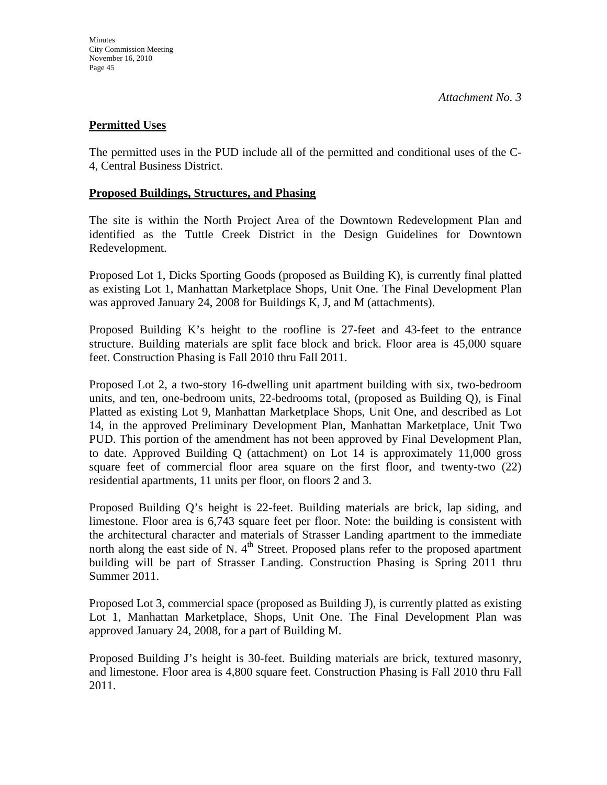### **Permitted Uses**

The permitted uses in the PUD include all of the permitted and conditional uses of the C-4, Central Business District.

#### **Proposed Buildings, Structures, and Phasing**

The site is within the North Project Area of the Downtown Redevelopment Plan and identified as the Tuttle Creek District in the Design Guidelines for Downtown Redevelopment.

Proposed Lot 1, Dicks Sporting Goods (proposed as Building K), is currently final platted as existing Lot 1, Manhattan Marketplace Shops, Unit One. The Final Development Plan was approved January 24, 2008 for Buildings K, J, and M (attachments).

Proposed Building K's height to the roofline is 27-feet and 43-feet to the entrance structure. Building materials are split face block and brick. Floor area is 45,000 square feet. Construction Phasing is Fall 2010 thru Fall 2011.

Proposed Lot 2, a two-story 16-dwelling unit apartment building with six, two-bedroom units, and ten, one-bedroom units, 22-bedrooms total, (proposed as Building Q), is Final Platted as existing Lot 9, Manhattan Marketplace Shops, Unit One, and described as Lot 14, in the approved Preliminary Development Plan, Manhattan Marketplace, Unit Two PUD. This portion of the amendment has not been approved by Final Development Plan, to date. Approved Building Q (attachment) on Lot 14 is approximately 11,000 gross square feet of commercial floor area square on the first floor, and twenty-two (22) residential apartments, 11 units per floor, on floors 2 and 3.

Proposed Building Q's height is 22-feet. Building materials are brick, lap siding, and limestone. Floor area is 6,743 square feet per floor. Note: the building is consistent with the architectural character and materials of Strasser Landing apartment to the immediate north along the east side of N.  $4<sup>th</sup>$  Street. Proposed plans refer to the proposed apartment building will be part of Strasser Landing. Construction Phasing is Spring 2011 thru Summer 2011.

Proposed Lot 3, commercial space (proposed as Building J), is currently platted as existing Lot 1, Manhattan Marketplace, Shops, Unit One. The Final Development Plan was approved January 24, 2008, for a part of Building M.

Proposed Building J's height is 30-feet. Building materials are brick, textured masonry, and limestone. Floor area is 4,800 square feet. Construction Phasing is Fall 2010 thru Fall 2011.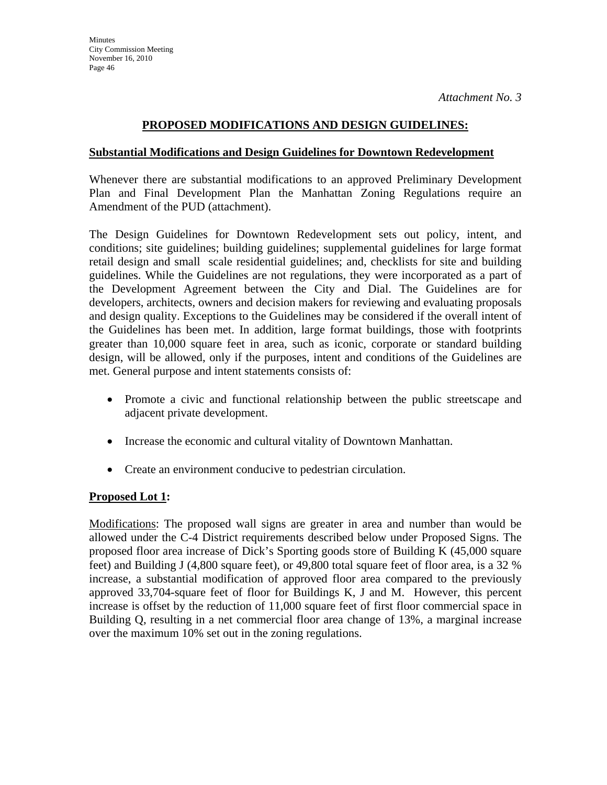## **PROPOSED MODIFICATIONS AND DESIGN GUIDELINES:**

#### **Substantial Modifications and Design Guidelines for Downtown Redevelopment**

Whenever there are substantial modifications to an approved Preliminary Development Plan and Final Development Plan the Manhattan Zoning Regulations require an Amendment of the PUD (attachment).

The Design Guidelines for Downtown Redevelopment sets out policy, intent, and conditions; site guidelines; building guidelines; supplemental guidelines for large format retail design and small scale residential guidelines; and, checklists for site and building guidelines. While the Guidelines are not regulations, they were incorporated as a part of the Development Agreement between the City and Dial. The Guidelines are for developers, architects, owners and decision makers for reviewing and evaluating proposals and design quality. Exceptions to the Guidelines may be considered if the overall intent of the Guidelines has been met. In addition, large format buildings, those with footprints greater than 10,000 square feet in area, such as iconic, corporate or standard building design, will be allowed, only if the purposes, intent and conditions of the Guidelines are met. General purpose and intent statements consists of:

- Promote a civic and functional relationship between the public streetscape and adjacent private development.
- Increase the economic and cultural vitality of Downtown Manhattan.
- Create an environment conducive to pedestrian circulation.

### **Proposed Lot 1:**

Modifications: The proposed wall signs are greater in area and number than would be allowed under the C-4 District requirements described below under Proposed Signs. The proposed floor area increase of Dick's Sporting goods store of Building K (45,000 square feet) and Building J (4,800 square feet), or 49,800 total square feet of floor area, is a 32 % increase, a substantial modification of approved floor area compared to the previously approved 33,704-square feet of floor for Buildings K, J and M. However, this percent increase is offset by the reduction of 11,000 square feet of first floor commercial space in Building Q, resulting in a net commercial floor area change of 13%, a marginal increase over the maximum 10% set out in the zoning regulations.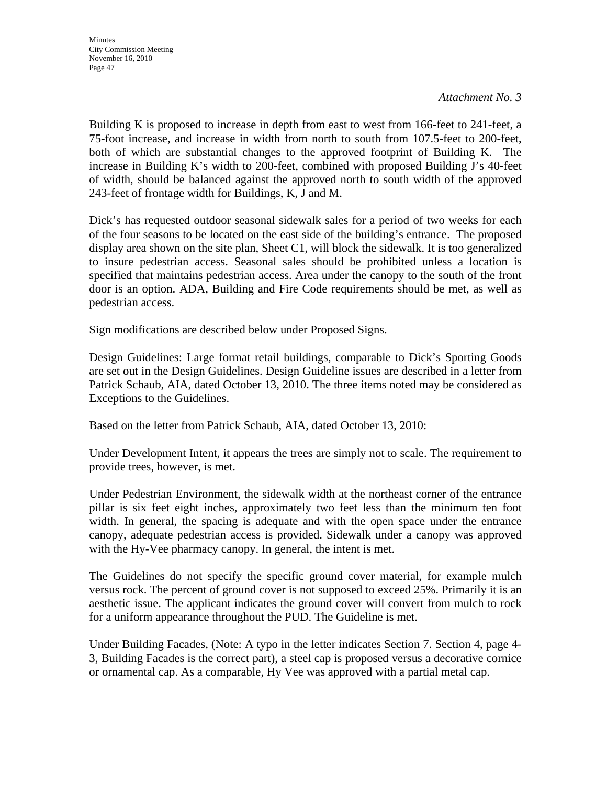Building K is proposed to increase in depth from east to west from 166-feet to 241-feet, a 75-foot increase, and increase in width from north to south from 107.5-feet to 200-feet, both of which are substantial changes to the approved footprint of Building K. The increase in Building K's width to 200-feet, combined with proposed Building J's 40-feet of width, should be balanced against the approved north to south width of the approved 243-feet of frontage width for Buildings, K, J and M.

Dick's has requested outdoor seasonal sidewalk sales for a period of two weeks for each of the four seasons to be located on the east side of the building's entrance. The proposed display area shown on the site plan, Sheet C1, will block the sidewalk. It is too generalized to insure pedestrian access. Seasonal sales should be prohibited unless a location is specified that maintains pedestrian access. Area under the canopy to the south of the front door is an option. ADA, Building and Fire Code requirements should be met, as well as pedestrian access.

Sign modifications are described below under Proposed Signs.

Design Guidelines: Large format retail buildings, comparable to Dick's Sporting Goods are set out in the Design Guidelines. Design Guideline issues are described in a letter from Patrick Schaub, AIA, dated October 13, 2010. The three items noted may be considered as Exceptions to the Guidelines.

Based on the letter from Patrick Schaub, AIA, dated October 13, 2010:

Under Development Intent, it appears the trees are simply not to scale. The requirement to provide trees, however, is met.

Under Pedestrian Environment, the sidewalk width at the northeast corner of the entrance pillar is six feet eight inches, approximately two feet less than the minimum ten foot width. In general, the spacing is adequate and with the open space under the entrance canopy, adequate pedestrian access is provided. Sidewalk under a canopy was approved with the Hy-Vee pharmacy canopy. In general, the intent is met.

The Guidelines do not specify the specific ground cover material, for example mulch versus rock. The percent of ground cover is not supposed to exceed 25%. Primarily it is an aesthetic issue. The applicant indicates the ground cover will convert from mulch to rock for a uniform appearance throughout the PUD. The Guideline is met.

Under Building Facades, (Note: A typo in the letter indicates Section 7. Section 4, page 4- 3, Building Facades is the correct part), a steel cap is proposed versus a decorative cornice or ornamental cap. As a comparable, Hy Vee was approved with a partial metal cap.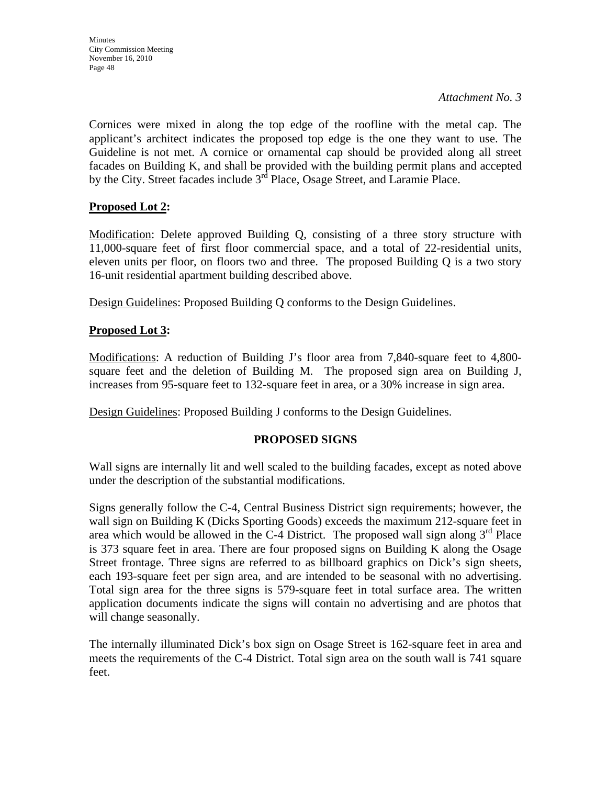Cornices were mixed in along the top edge of the roofline with the metal cap. The applicant's architect indicates the proposed top edge is the one they want to use. The Guideline is not met. A cornice or ornamental cap should be provided along all street facades on Building K, and shall be provided with the building permit plans and accepted by the City. Street facades include  $3<sup>rd</sup>$  Place, Osage Street, and Laramie Place.

## **Proposed Lot 2:**

Modification: Delete approved Building Q, consisting of a three story structure with 11,000-square feet of first floor commercial space, and a total of 22-residential units, eleven units per floor, on floors two and three. The proposed Building Q is a two story 16-unit residential apartment building described above.

Design Guidelines: Proposed Building Q conforms to the Design Guidelines.

## **Proposed Lot 3:**

Modifications: A reduction of Building J's floor area from 7,840-square feet to 4,800 square feet and the deletion of Building M. The proposed sign area on Building J, increases from 95-square feet to 132-square feet in area, or a 30% increase in sign area.

Design Guidelines: Proposed Building J conforms to the Design Guidelines.

## **PROPOSED SIGNS**

Wall signs are internally lit and well scaled to the building facades, except as noted above under the description of the substantial modifications.

Signs generally follow the C-4, Central Business District sign requirements; however, the wall sign on Building K (Dicks Sporting Goods) exceeds the maximum 212-square feet in area which would be allowed in the C-4 District. The proposed wall sign along  $3<sup>rd</sup>$  Place is 373 square feet in area. There are four proposed signs on Building K along the Osage Street frontage. Three signs are referred to as billboard graphics on Dick's sign sheets, each 193-square feet per sign area, and are intended to be seasonal with no advertising. Total sign area for the three signs is 579-square feet in total surface area. The written application documents indicate the signs will contain no advertising and are photos that will change seasonally.

The internally illuminated Dick's box sign on Osage Street is 162-square feet in area and meets the requirements of the C-4 District. Total sign area on the south wall is 741 square feet.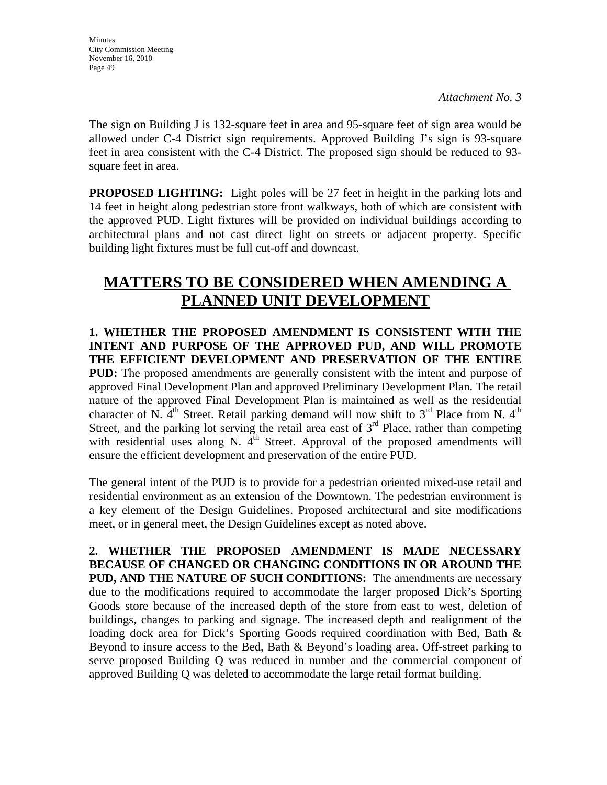The sign on Building J is 132-square feet in area and 95-square feet of sign area would be allowed under C-4 District sign requirements. Approved Building J's sign is 93-square feet in area consistent with the C-4 District. The proposed sign should be reduced to 93 square feet in area.

**PROPOSED LIGHTING:** Light poles will be 27 feet in height in the parking lots and 14 feet in height along pedestrian store front walkways, both of which are consistent with the approved PUD. Light fixtures will be provided on individual buildings according to architectural plans and not cast direct light on streets or adjacent property. Specific building light fixtures must be full cut-off and downcast.

# **MATTERS TO BE CONSIDERED WHEN AMENDING A PLANNED UNIT DEVELOPMENT**

**1. WHETHER THE PROPOSED AMENDMENT IS CONSISTENT WITH THE INTENT AND PURPOSE OF THE APPROVED PUD, AND WILL PROMOTE THE EFFICIENT DEVELOPMENT AND PRESERVATION OF THE ENTIRE PUD:** The proposed amendments are generally consistent with the intent and purpose of approved Final Development Plan and approved Preliminary Development Plan. The retail nature of the approved Final Development Plan is maintained as well as the residential character of N.  $4<sup>th</sup>$  Street. Retail parking demand will now shift to  $3<sup>rd</sup>$  Place from N.  $4<sup>th</sup>$ Street, and the parking lot serving the retail area east of  $3<sup>rd</sup>$  Place, rather than competing with residential uses along N.  $4<sup>th</sup>$  Street. Approval of the proposed amendments will ensure the efficient development and preservation of the entire PUD.

The general intent of the PUD is to provide for a pedestrian oriented mixed-use retail and residential environment as an extension of the Downtown. The pedestrian environment is a key element of the Design Guidelines. Proposed architectural and site modifications meet, or in general meet, the Design Guidelines except as noted above.

**2. WHETHER THE PROPOSED AMENDMENT IS MADE NECESSARY BECAUSE OF CHANGED OR CHANGING CONDITIONS IN OR AROUND THE PUD, AND THE NATURE OF SUCH CONDITIONS:** The amendments are necessary due to the modifications required to accommodate the larger proposed Dick's Sporting Goods store because of the increased depth of the store from east to west, deletion of buildings, changes to parking and signage. The increased depth and realignment of the loading dock area for Dick's Sporting Goods required coordination with Bed, Bath & Beyond to insure access to the Bed, Bath  $\&$  Beyond's loading area. Off-street parking to serve proposed Building Q was reduced in number and the commercial component of approved Building Q was deleted to accommodate the large retail format building.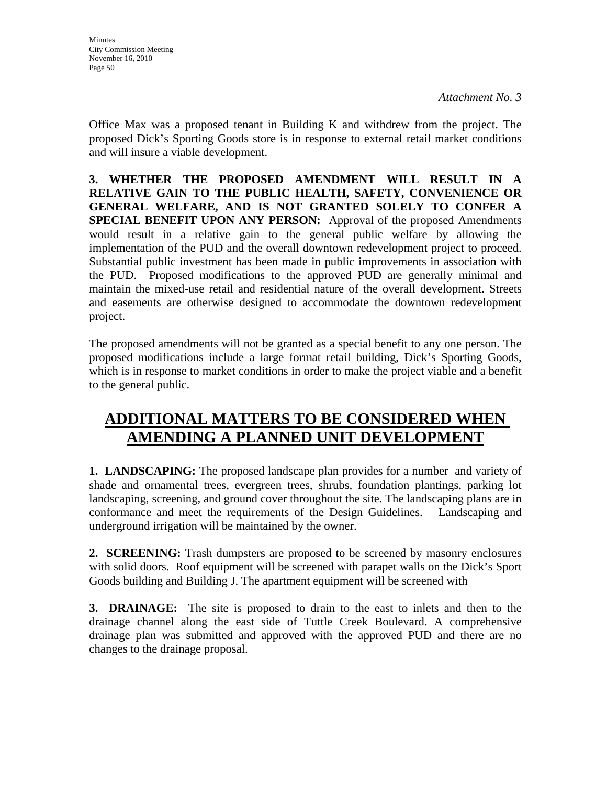Office Max was a proposed tenant in Building K and withdrew from the project. The proposed Dick's Sporting Goods store is in response to external retail market conditions and will insure a viable development.

**3. WHETHER THE PROPOSED AMENDMENT WILL RESULT IN A RELATIVE GAIN TO THE PUBLIC HEALTH, SAFETY, CONVENIENCE OR GENERAL WELFARE, AND IS NOT GRANTED SOLELY TO CONFER A SPECIAL BENEFIT UPON ANY PERSON:** Approval of the proposed Amendments would result in a relative gain to the general public welfare by allowing the implementation of the PUD and the overall downtown redevelopment project to proceed. Substantial public investment has been made in public improvements in association with the PUD. Proposed modifications to the approved PUD are generally minimal and maintain the mixed-use retail and residential nature of the overall development. Streets and easements are otherwise designed to accommodate the downtown redevelopment project.

The proposed amendments will not be granted as a special benefit to any one person. The proposed modifications include a large format retail building, Dick's Sporting Goods, which is in response to market conditions in order to make the project viable and a benefit to the general public.

# **ADDITIONAL MATTERS TO BE CONSIDERED WHEN AMENDING A PLANNED UNIT DEVELOPMENT**

**1. LANDSCAPING:** The proposed landscape plan provides for a number and variety of shade and ornamental trees, evergreen trees, shrubs, foundation plantings, parking lot landscaping, screening, and ground cover throughout the site. The landscaping plans are in conformance and meet the requirements of the Design Guidelines. Landscaping and underground irrigation will be maintained by the owner.

**2. SCREENING:** Trash dumpsters are proposed to be screened by masonry enclosures with solid doors. Roof equipment will be screened with parapet walls on the Dick's Sport Goods building and Building J. The apartment equipment will be screened with

**3. DRAINAGE:** The site is proposed to drain to the east to inlets and then to the drainage channel along the east side of Tuttle Creek Boulevard. A comprehensive drainage plan was submitted and approved with the approved PUD and there are no changes to the drainage proposal.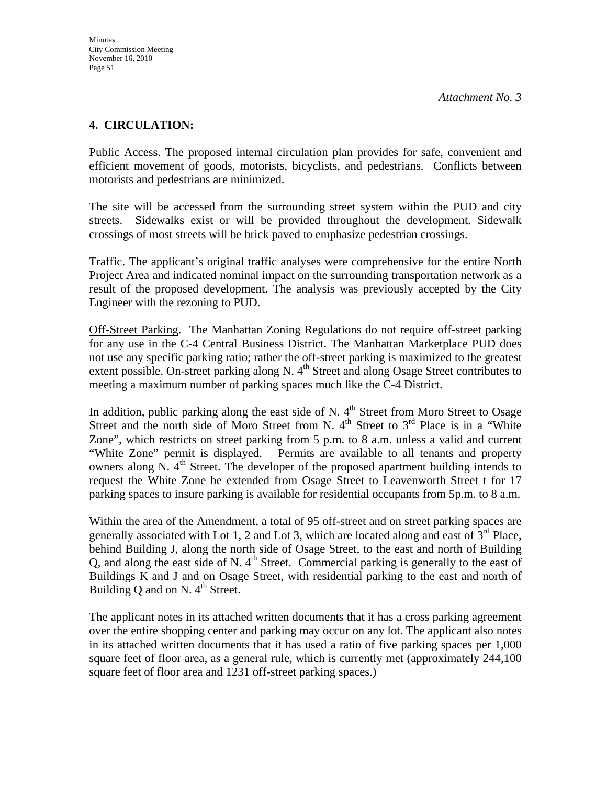### **4. CIRCULATION:**

Public Access. The proposed internal circulation plan provides for safe, convenient and efficient movement of goods, motorists, bicyclists, and pedestrians. Conflicts between motorists and pedestrians are minimized.

The site will be accessed from the surrounding street system within the PUD and city streets. Sidewalks exist or will be provided throughout the development. Sidewalk crossings of most streets will be brick paved to emphasize pedestrian crossings.

Traffic. The applicant's original traffic analyses were comprehensive for the entire North Project Area and indicated nominal impact on the surrounding transportation network as a result of the proposed development. The analysis was previously accepted by the City Engineer with the rezoning to PUD.

Off-Street Parking. The Manhattan Zoning Regulations do not require off-street parking for any use in the C-4 Central Business District. The Manhattan Marketplace PUD does not use any specific parking ratio; rather the off-street parking is maximized to the greatest extent possible. On-street parking along N.  $4<sup>th</sup>$  Street and along Osage Street contributes to meeting a maximum number of parking spaces much like the C-4 District.

In addition, public parking along the east side of N.  $4<sup>th</sup>$  Street from Moro Street to Osage Street and the north side of Moro Street from N.  $4<sup>th</sup>$  Street to  $3<sup>rd</sup>$  Place is in a "White Zone", which restricts on street parking from 5 p.m. to 8 a.m. unless a valid and current "White Zone" permit is displayed. Permits are available to all tenants and property owners along N. 4<sup>th</sup> Street. The developer of the proposed apartment building intends to request the White Zone be extended from Osage Street to Leavenworth Street t for 17 parking spaces to insure parking is available for residential occupants from 5p.m. to 8 a.m.

Within the area of the Amendment, a total of 95 off-street and on street parking spaces are generally associated with Lot 1, 2 and Lot 3, which are located along and east of  $3<sup>rd</sup>$  Place, behind Building J, along the north side of Osage Street, to the east and north of Building Q, and along the east side of N.  $4<sup>th</sup>$  Street. Commercial parking is generally to the east of Buildings K and J and on Osage Street, with residential parking to the east and north of Building  $\overline{O}$  and on N. 4<sup>th</sup> Street.

The applicant notes in its attached written documents that it has a cross parking agreement over the entire shopping center and parking may occur on any lot. The applicant also notes in its attached written documents that it has used a ratio of five parking spaces per 1,000 square feet of floor area, as a general rule, which is currently met (approximately 244,100 square feet of floor area and 1231 off-street parking spaces.)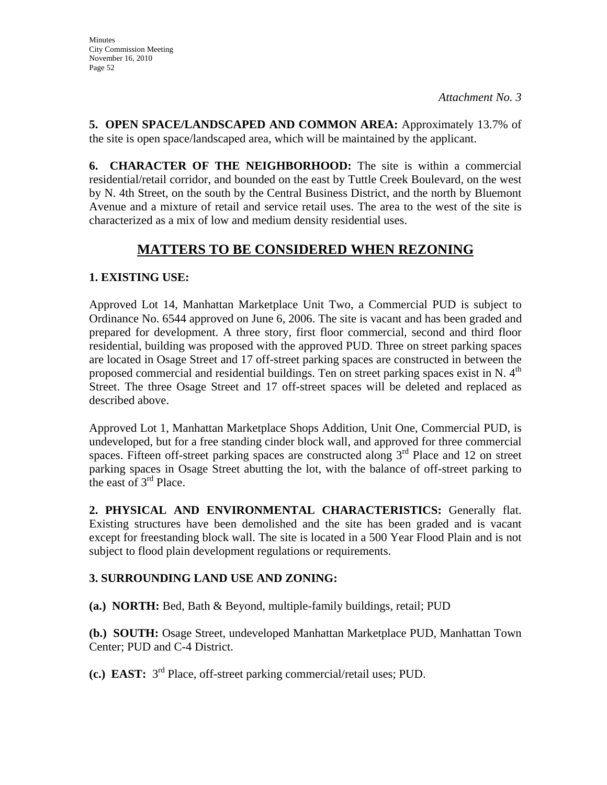**5. OPEN SPACE/LANDSCAPED AND COMMON AREA:** Approximately 13.7% of the site is open space/landscaped area, which will be maintained by the applicant.

**6. CHARACTER OF THE NEIGHBORHOOD:** The site is within a commercial residential/retail corridor, and bounded on the east by Tuttle Creek Boulevard, on the west by N. 4th Street, on the south by the Central Business District, and the north by Bluemont Avenue and a mixture of retail and service retail uses. The area to the west of the site is characterized as a mix of low and medium density residential uses.

# **MATTERS TO BE CONSIDERED WHEN REZONING**

## **1. EXISTING USE:**

Approved Lot 14, Manhattan Marketplace Unit Two, a Commercial PUD is subject to Ordinance No. 6544 approved on June 6, 2006. The site is vacant and has been graded and prepared for development. A three story, first floor commercial, second and third floor residential, building was proposed with the approved PUD. Three on street parking spaces are located in Osage Street and 17 off-street parking spaces are constructed in between the proposed commercial and residential buildings. Ten on street parking spaces exist in N.  $4<sup>th</sup>$ Street. The three Osage Street and 17 off-street spaces will be deleted and replaced as described above.

Approved Lot 1, Manhattan Marketplace Shops Addition, Unit One, Commercial PUD, is undeveloped, but for a free standing cinder block wall, and approved for three commercial spaces. Fifteen off-street parking spaces are constructed along  $3<sup>rd</sup>$  Place and 12 on street parking spaces in Osage Street abutting the lot, with the balance of off-street parking to the east of 3<sup>rd</sup> Place.

**2. PHYSICAL AND ENVIRONMENTAL CHARACTERISTICS:** Generally flat. Existing structures have been demolished and the site has been graded and is vacant except for freestanding block wall. The site is located in a 500 Year Flood Plain and is not subject to flood plain development regulations or requirements.

## **3. SURROUNDING LAND USE AND ZONING:**

**(a.) NORTH:** Bed, Bath & Beyond, multiple-family buildings, retail; PUD

**(b.) SOUTH:** Osage Street, undeveloped Manhattan Marketplace PUD, Manhattan Town Center; PUD and C-4 District.

**(c.) EAST:** 3rd Place, off-street parking commercial/retail uses; PUD.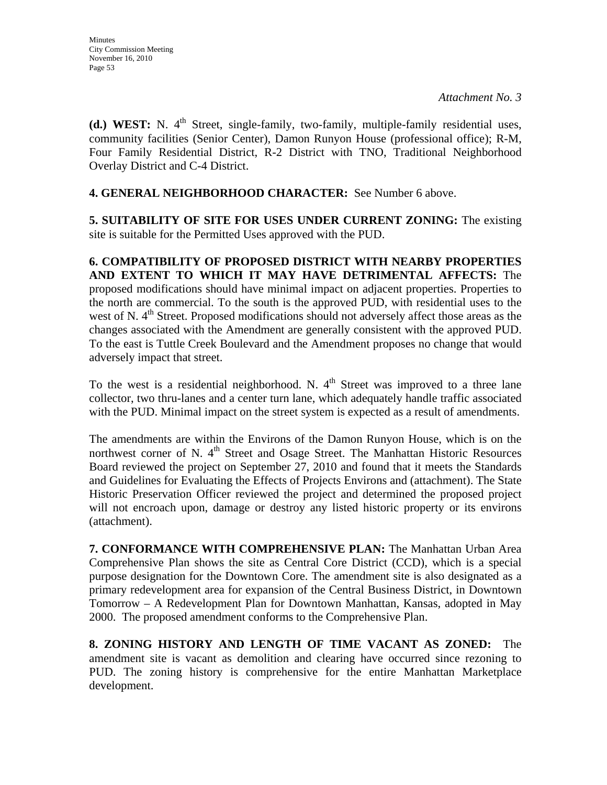**(d.) WEST:** N. 4<sup>th</sup> Street, single-family, two-family, multiple-family residential uses, community facilities (Senior Center), Damon Runyon House (professional office); R-M, Four Family Residential District, R-2 District with TNO, Traditional Neighborhood Overlay District and C-4 District.

### **4. GENERAL NEIGHBORHOOD CHARACTER:** See Number 6 above.

**5. SUITABILITY OF SITE FOR USES UNDER CURRENT ZONING:** The existing site is suitable for the Permitted Uses approved with the PUD.

**6. COMPATIBILITY OF PROPOSED DISTRICT WITH NEARBY PROPERTIES AND EXTENT TO WHICH IT MAY HAVE DETRIMENTAL AFFECTS:** The proposed modifications should have minimal impact on adjacent properties. Properties to the north are commercial. To the south is the approved PUD, with residential uses to the west of N.  $4<sup>th</sup>$  Street. Proposed modifications should not adversely affect those areas as the changes associated with the Amendment are generally consistent with the approved PUD. To the east is Tuttle Creek Boulevard and the Amendment proposes no change that would adversely impact that street.

To the west is a residential neighborhood. N.  $4<sup>th</sup>$  Street was improved to a three lane collector, two thru-lanes and a center turn lane, which adequately handle traffic associated with the PUD. Minimal impact on the street system is expected as a result of amendments.

The amendments are within the Environs of the Damon Runyon House, which is on the northwest corner of N. 4<sup>th</sup> Street and Osage Street. The Manhattan Historic Resources Board reviewed the project on September 27, 2010 and found that it meets the Standards and Guidelines for Evaluating the Effects of Projects Environs and (attachment). The State Historic Preservation Officer reviewed the project and determined the proposed project will not encroach upon, damage or destroy any listed historic property or its environs (attachment).

**7. CONFORMANCE WITH COMPREHENSIVE PLAN:** The Manhattan Urban Area Comprehensive Plan shows the site as Central Core District (CCD), which is a special purpose designation for the Downtown Core. The amendment site is also designated as a primary redevelopment area for expansion of the Central Business District, in Downtown Tomorrow – A Redevelopment Plan for Downtown Manhattan, Kansas, adopted in May 2000. The proposed amendment conforms to the Comprehensive Plan.

**8. ZONING HISTORY AND LENGTH OF TIME VACANT AS ZONED:** The amendment site is vacant as demolition and clearing have occurred since rezoning to PUD. The zoning history is comprehensive for the entire Manhattan Marketplace development.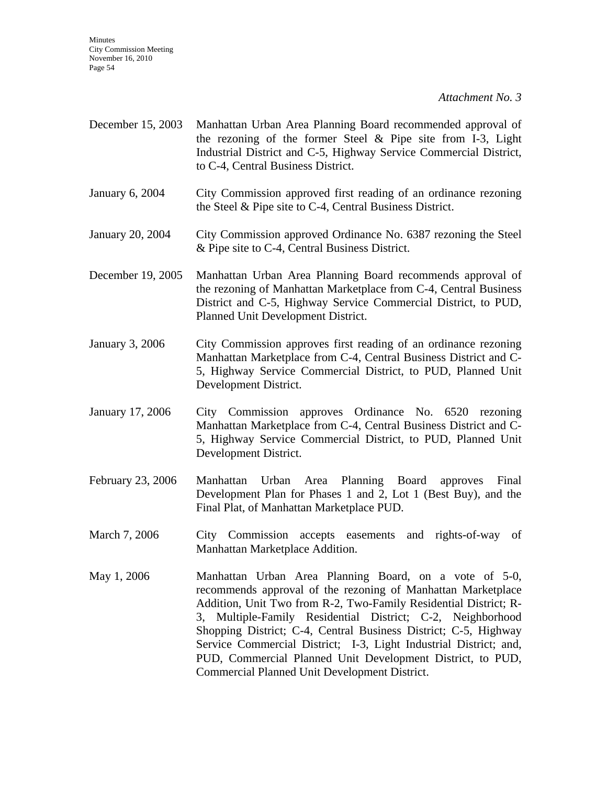**Minutes** City Commission Meeting November 16, 2010 Page 54

*Attachment No. 3*

- December 15, 2003 Manhattan Urban Area Planning Board recommended approval of the rezoning of the former Steel & Pipe site from I-3, Light Industrial District and C-5, Highway Service Commercial District, to C-4, Central Business District.
- January 6, 2004 City Commission approved first reading of an ordinance rezoning the Steel & Pipe site to C-4, Central Business District.
- January 20, 2004 City Commission approved Ordinance No. 6387 rezoning the Steel & Pipe site to C-4, Central Business District.
- December 19, 2005 Manhattan Urban Area Planning Board recommends approval of the rezoning of Manhattan Marketplace from C-4, Central Business District and C-5, Highway Service Commercial District, to PUD, Planned Unit Development District.
- January 3, 2006 City Commission approves first reading of an ordinance rezoning Manhattan Marketplace from C-4, Central Business District and C-5, Highway Service Commercial District, to PUD, Planned Unit Development District.
- January 17, 2006 City Commission approves Ordinance No. 6520 rezoning Manhattan Marketplace from C-4, Central Business District and C-5, Highway Service Commercial District, to PUD, Planned Unit Development District.
- February 23, 2006 Manhattan Urban Area Planning Board approves Final Development Plan for Phases 1 and 2, Lot 1 (Best Buy), and the Final Plat, of Manhattan Marketplace PUD.
- March 7, 2006 City Commission accepts easements and rights-of-way of Manhattan Marketplace Addition.
- May 1, 2006 Manhattan Urban Area Planning Board, on a vote of 5-0, recommends approval of the rezoning of Manhattan Marketplace Addition, Unit Two from R-2, Two-Family Residential District; R-3, Multiple-Family Residential District; C-2, Neighborhood Shopping District; C-4, Central Business District; C-5, Highway Service Commercial District; I-3, Light Industrial District; and, PUD, Commercial Planned Unit Development District, to PUD, Commercial Planned Unit Development District.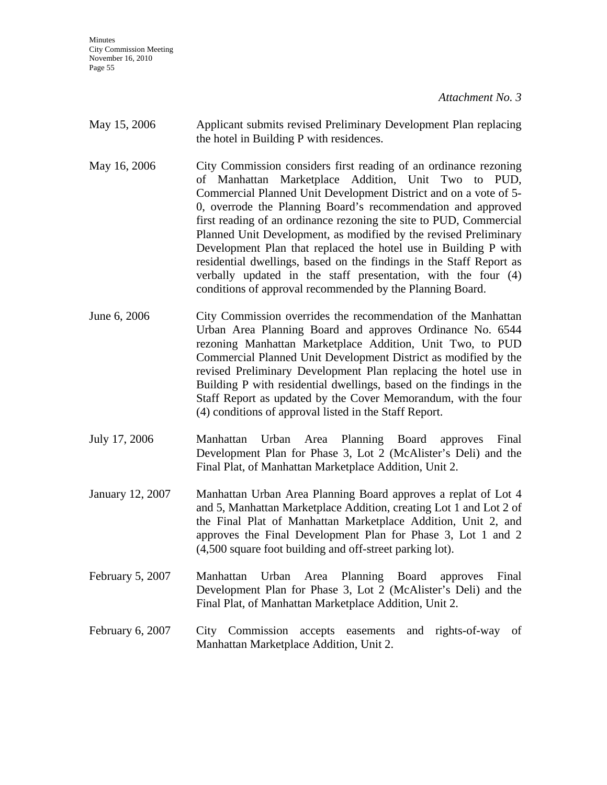Minutes City Commission Meeting November 16, 2010 Page 55

*Attachment No. 3*

| May 15, 2006     | Applicant submits revised Preliminary Development Plan replacing<br>the hotel in Building P with residences.                                                                                                                                                                                                                                                                                                                                                                                                                                                                                                                                                                  |
|------------------|-------------------------------------------------------------------------------------------------------------------------------------------------------------------------------------------------------------------------------------------------------------------------------------------------------------------------------------------------------------------------------------------------------------------------------------------------------------------------------------------------------------------------------------------------------------------------------------------------------------------------------------------------------------------------------|
| May 16, 2006     | City Commission considers first reading of an ordinance rezoning<br>of Manhattan Marketplace Addition, Unit Two to PUD,<br>Commercial Planned Unit Development District and on a vote of 5-<br>0, overrode the Planning Board's recommendation and approved<br>first reading of an ordinance rezoning the site to PUD, Commercial<br>Planned Unit Development, as modified by the revised Preliminary<br>Development Plan that replaced the hotel use in Building P with<br>residential dwellings, based on the findings in the Staff Report as<br>verbally updated in the staff presentation, with the four (4)<br>conditions of approval recommended by the Planning Board. |
| June 6, 2006     | City Commission overrides the recommendation of the Manhattan<br>Urban Area Planning Board and approves Ordinance No. 6544<br>rezoning Manhattan Marketplace Addition, Unit Two, to PUD<br>Commercial Planned Unit Development District as modified by the<br>revised Preliminary Development Plan replacing the hotel use in<br>Building P with residential dwellings, based on the findings in the<br>Staff Report as updated by the Cover Memorandum, with the four<br>(4) conditions of approval listed in the Staff Report.                                                                                                                                              |
| July 17, 2006    | Area Planning Board<br>Final<br>Urban<br>Manhattan<br>approves<br>Development Plan for Phase 3, Lot 2 (McAlister's Deli) and the<br>Final Plat, of Manhattan Marketplace Addition, Unit 2.                                                                                                                                                                                                                                                                                                                                                                                                                                                                                    |
| January 12, 2007 | Manhattan Urban Area Planning Board approves a replat of Lot 4<br>and 5, Manhattan Marketplace Addition, creating Lot 1 and Lot 2 of<br>the Final Plat of Manhattan Marketplace Addition, Unit 2, and<br>approves the Final Development Plan for Phase 3, Lot 1 and 2<br>(4,500 square foot building and off-street parking lot).                                                                                                                                                                                                                                                                                                                                             |
| February 5, 2007 | Manhattan Urban<br>Area Planning Board<br>Final<br>approves<br>Development Plan for Phase 3, Lot 2 (McAlister's Deli) and the<br>Final Plat, of Manhattan Marketplace Addition, Unit 2.                                                                                                                                                                                                                                                                                                                                                                                                                                                                                       |
| February 6, 2007 | City Commission<br>accepts easements<br>rights-of-way<br>of<br>and<br>Manhattan Marketplace Addition, Unit 2.                                                                                                                                                                                                                                                                                                                                                                                                                                                                                                                                                                 |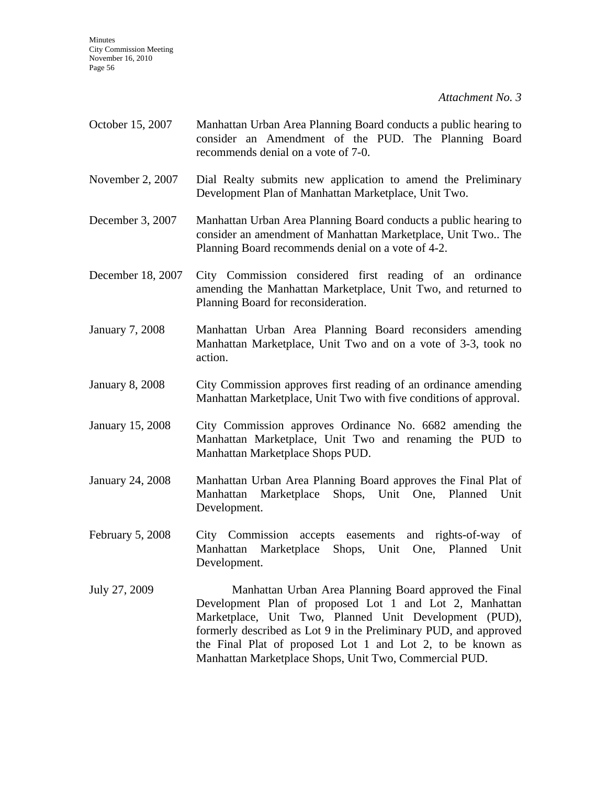**Minutes** City Commission Meeting November 16, 2010 Page 56

*Attachment No. 3*

- October 15, 2007 Manhattan Urban Area Planning Board conducts a public hearing to consider an Amendment of the PUD. The Planning Board recommends denial on a vote of 7-0.
- November 2, 2007 Dial Realty submits new application to amend the Preliminary Development Plan of Manhattan Marketplace, Unit Two.
- December 3, 2007 Manhattan Urban Area Planning Board conducts a public hearing to consider an amendment of Manhattan Marketplace, Unit Two.. The Planning Board recommends denial on a vote of 4-2.
- December 18, 2007 City Commission considered first reading of an ordinance amending the Manhattan Marketplace, Unit Two, and returned to Planning Board for reconsideration.
- January 7, 2008 Manhattan Urban Area Planning Board reconsiders amending Manhattan Marketplace, Unit Two and on a vote of 3-3, took no action.
- January 8, 2008 City Commission approves first reading of an ordinance amending Manhattan Marketplace, Unit Two with five conditions of approval.
- January 15, 2008 City Commission approves Ordinance No. 6682 amending the Manhattan Marketplace, Unit Two and renaming the PUD to Manhattan Marketplace Shops PUD.
- January 24, 2008 Manhattan Urban Area Planning Board approves the Final Plat of Manhattan Marketplace Shops, Unit One, Planned Unit Development.
- February 5, 2008 City Commission accepts easements and rights-of-way of Manhattan Marketplace Shops, Unit One, Planned Unit Development.
- July 27, 2009 Manhattan Urban Area Planning Board approved the Final Development Plan of proposed Lot 1 and Lot 2, Manhattan Marketplace, Unit Two, Planned Unit Development (PUD), formerly described as Lot 9 in the Preliminary PUD, and approved the Final Plat of proposed Lot 1 and Lot 2, to be known as Manhattan Marketplace Shops, Unit Two, Commercial PUD.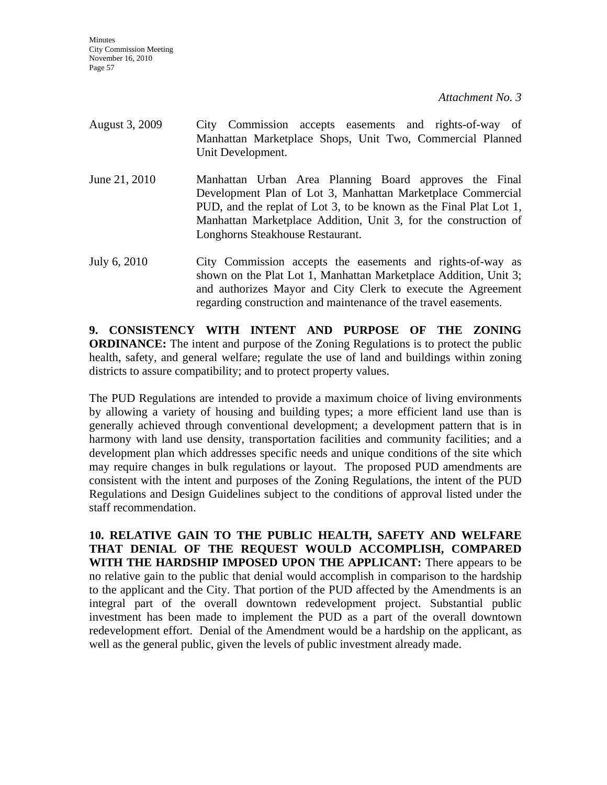**Minutes** City Commission Meeting November 16, 2010 Page 57

*Attachment No. 3*

| August 3, 2009 | City Commission accepts easements and rights-of-way of<br>Manhattan Marketplace Shops, Unit Two, Commercial Planned<br>Unit Development.                                                                                                                                                           |
|----------------|----------------------------------------------------------------------------------------------------------------------------------------------------------------------------------------------------------------------------------------------------------------------------------------------------|
| June 21, 2010  | Manhattan Urban Area Planning Board approves the Final<br>Development Plan of Lot 3, Manhattan Marketplace Commercial<br>PUD, and the replat of Lot 3, to be known as the Final Plat Lot 1,<br>Manhattan Marketplace Addition, Unit 3, for the construction of<br>Longhorns Steakhouse Restaurant. |
| July 6, 2010   | City Commission accepts the easements and rights-of-way as<br>shown on the Plat Lot 1, Manhattan Marketplace Addition, Unit 3;<br>and authorizes Mayor and City Clerk to execute the Agreement                                                                                                     |

**9. CONSISTENCY WITH INTENT AND PURPOSE OF THE ZONING ORDINANCE:** The intent and purpose of the Zoning Regulations is to protect the public health, safety, and general welfare; regulate the use of land and buildings within zoning districts to assure compatibility; and to protect property values.

regarding construction and maintenance of the travel easements.

The PUD Regulations are intended to provide a maximum choice of living environments by allowing a variety of housing and building types; a more efficient land use than is generally achieved through conventional development; a development pattern that is in harmony with land use density, transportation facilities and community facilities; and a development plan which addresses specific needs and unique conditions of the site which may require changes in bulk regulations or layout. The proposed PUD amendments are consistent with the intent and purposes of the Zoning Regulations, the intent of the PUD Regulations and Design Guidelines subject to the conditions of approval listed under the staff recommendation.

**10. RELATIVE GAIN TO THE PUBLIC HEALTH, SAFETY AND WELFARE THAT DENIAL OF THE REQUEST WOULD ACCOMPLISH, COMPARED WITH THE HARDSHIP IMPOSED UPON THE APPLICANT:** There appears to be no relative gain to the public that denial would accomplish in comparison to the hardship to the applicant and the City. That portion of the PUD affected by the Amendments is an integral part of the overall downtown redevelopment project. Substantial public investment has been made to implement the PUD as a part of the overall downtown redevelopment effort. Denial of the Amendment would be a hardship on the applicant, as well as the general public, given the levels of public investment already made.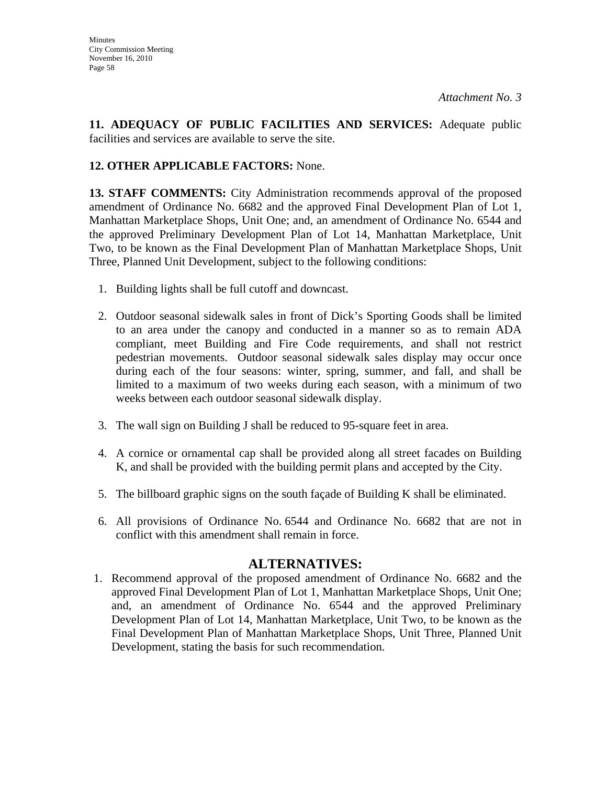**11. ADEQUACY OF PUBLIC FACILITIES AND SERVICES:** Adequate public facilities and services are available to serve the site.

# **12. OTHER APPLICABLE FACTORS:** None.

**13. STAFF COMMENTS:** City Administration recommends approval of the proposed amendment of Ordinance No. 6682 and the approved Final Development Plan of Lot 1, Manhattan Marketplace Shops, Unit One; and, an amendment of Ordinance No. 6544 and the approved Preliminary Development Plan of Lot 14, Manhattan Marketplace, Unit Two, to be known as the Final Development Plan of Manhattan Marketplace Shops, Unit Three, Planned Unit Development, subject to the following conditions:

- 1. Building lights shall be full cutoff and downcast.
- 2. Outdoor seasonal sidewalk sales in front of Dick's Sporting Goods shall be limited to an area under the canopy and conducted in a manner so as to remain ADA compliant, meet Building and Fire Code requirements, and shall not restrict pedestrian movements. Outdoor seasonal sidewalk sales display may occur once during each of the four seasons: winter, spring, summer, and fall, and shall be limited to a maximum of two weeks during each season, with a minimum of two weeks between each outdoor seasonal sidewalk display.
- 3. The wall sign on Building J shall be reduced to 95-square feet in area.
- 4. A cornice or ornamental cap shall be provided along all street facades on Building K, and shall be provided with the building permit plans and accepted by the City.
- 5. The billboard graphic signs on the south façade of Building K shall be eliminated.
- 6. All provisions of Ordinance No. 6544 and Ordinance No. 6682 that are not in conflict with this amendment shall remain in force.

## **ALTERNATIVES:**

1. Recommend approval of the proposed amendment of Ordinance No. 6682 and the approved Final Development Plan of Lot 1, Manhattan Marketplace Shops, Unit One; and, an amendment of Ordinance No. 6544 and the approved Preliminary Development Plan of Lot 14, Manhattan Marketplace, Unit Two, to be known as the Final Development Plan of Manhattan Marketplace Shops, Unit Three, Planned Unit Development, stating the basis for such recommendation.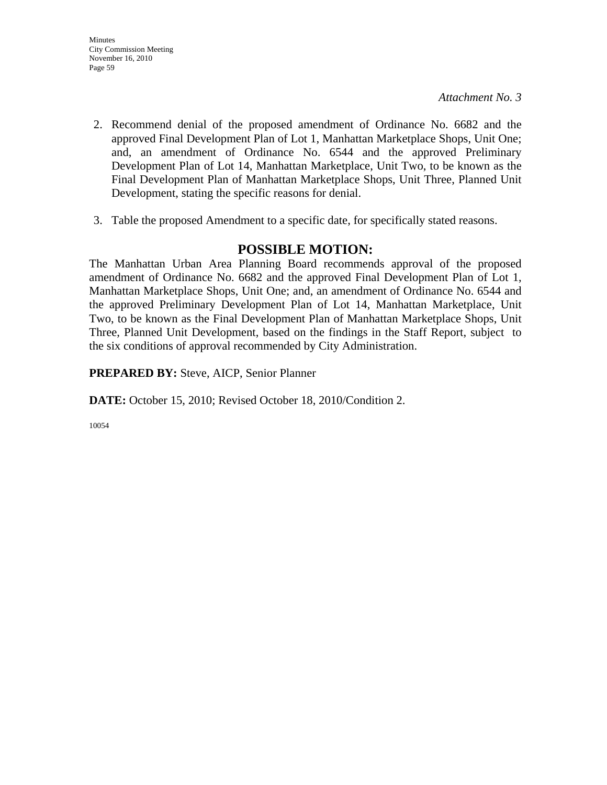- 2. Recommend denial of the proposed amendment of Ordinance No. 6682 and the approved Final Development Plan of Lot 1, Manhattan Marketplace Shops, Unit One; and, an amendment of Ordinance No. 6544 and the approved Preliminary Development Plan of Lot 14, Manhattan Marketplace, Unit Two, to be known as the Final Development Plan of Manhattan Marketplace Shops, Unit Three, Planned Unit Development, stating the specific reasons for denial.
- 3. Table the proposed Amendment to a specific date, for specifically stated reasons.

# **POSSIBLE MOTION:**

The Manhattan Urban Area Planning Board recommends approval of the proposed amendment of Ordinance No. 6682 and the approved Final Development Plan of Lot 1, Manhattan Marketplace Shops, Unit One; and, an amendment of Ordinance No. 6544 and the approved Preliminary Development Plan of Lot 14, Manhattan Marketplace, Unit Two, to be known as the Final Development Plan of Manhattan Marketplace Shops, Unit Three, Planned Unit Development, based on the findings in the Staff Report, subject to the six conditions of approval recommended by City Administration.

**PREPARED BY:** Steve, AICP, Senior Planner

**DATE:** October 15, 2010; Revised October 18, 2010/Condition 2.

10054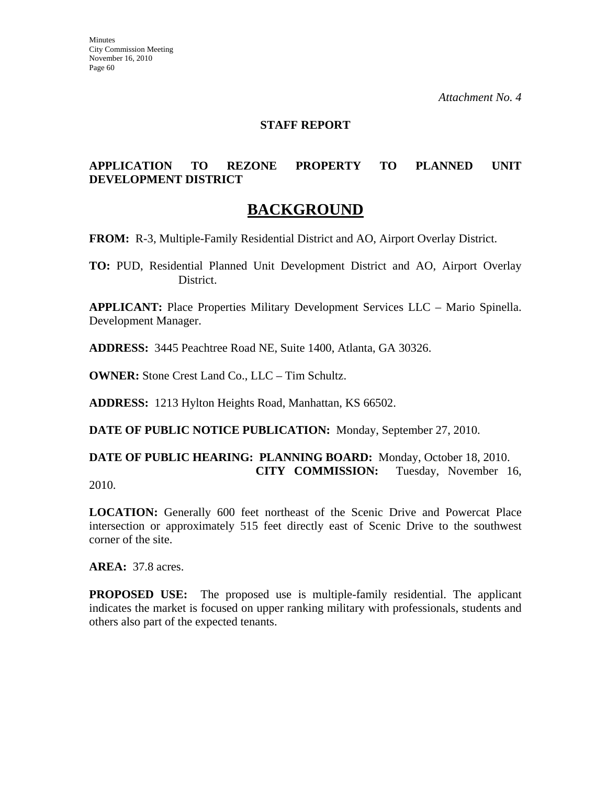### **STAFF REPORT**

### **APPLICATION TO REZONE PROPERTY TO PLANNED UNIT DEVELOPMENT DISTRICT**

# **BACKGROUND**

**FROM:** R-3, Multiple-Family Residential District and AO, Airport Overlay District.

**TO:** PUD, Residential Planned Unit Development District and AO, Airport Overlay District.

**APPLICANT:** Place Properties Military Development Services LLC – Mario Spinella. Development Manager.

**ADDRESS:** 3445 Peachtree Road NE, Suite 1400, Atlanta, GA 30326.

**OWNER:** Stone Crest Land Co., LLC – Tim Schultz.

**ADDRESS:** 1213 Hylton Heights Road, Manhattan, KS 66502.

**DATE OF PUBLIC NOTICE PUBLICATION:** Monday, September 27, 2010.

**DATE OF PUBLIC HEARING: PLANNING BOARD:** Monday, October 18, 2010. **CITY COMMISSION:** Tuesday, November 16,

2010.

LOCATION: Generally 600 feet northeast of the Scenic Drive and Powercat Place intersection or approximately 515 feet directly east of Scenic Drive to the southwest corner of the site.

**AREA:** 37.8 acres.

**PROPOSED USE:** The proposed use is multiple-family residential. The applicant indicates the market is focused on upper ranking military with professionals, students and others also part of the expected tenants.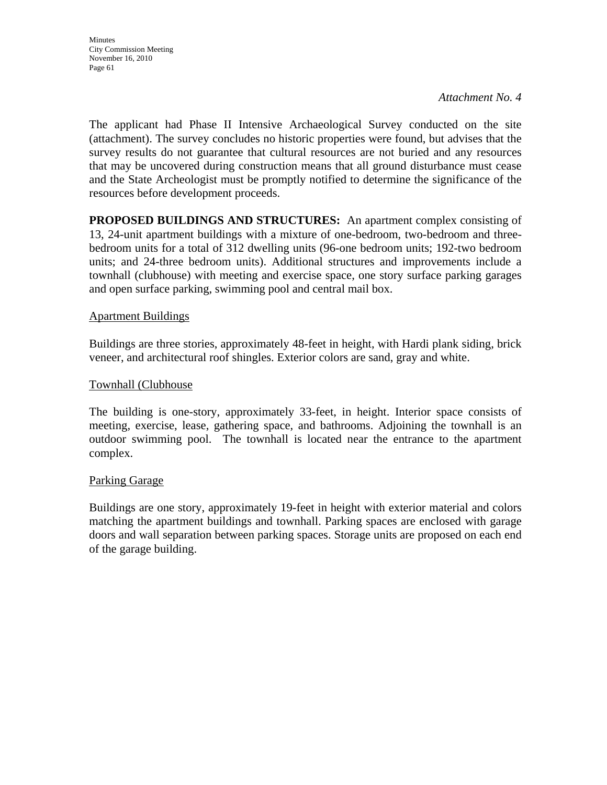The applicant had Phase II Intensive Archaeological Survey conducted on the site (attachment). The survey concludes no historic properties were found, but advises that the survey results do not guarantee that cultural resources are not buried and any resources that may be uncovered during construction means that all ground disturbance must cease and the State Archeologist must be promptly notified to determine the significance of the resources before development proceeds.

**PROPOSED BUILDINGS AND STRUCTURES:** An apartment complex consisting of 13, 24-unit apartment buildings with a mixture of one-bedroom, two-bedroom and threebedroom units for a total of 312 dwelling units (96-one bedroom units; 192-two bedroom units; and 24-three bedroom units). Additional structures and improvements include a townhall (clubhouse) with meeting and exercise space, one story surface parking garages and open surface parking, swimming pool and central mail box.

### Apartment Buildings

Buildings are three stories, approximately 48-feet in height, with Hardi plank siding, brick veneer, and architectural roof shingles. Exterior colors are sand, gray and white.

### Townhall (Clubhouse

The building is one-story, approximately 33-feet, in height. Interior space consists of meeting, exercise, lease, gathering space, and bathrooms. Adjoining the townhall is an outdoor swimming pool. The townhall is located near the entrance to the apartment complex.

#### Parking Garage

Buildings are one story, approximately 19-feet in height with exterior material and colors matching the apartment buildings and townhall. Parking spaces are enclosed with garage doors and wall separation between parking spaces. Storage units are proposed on each end of the garage building.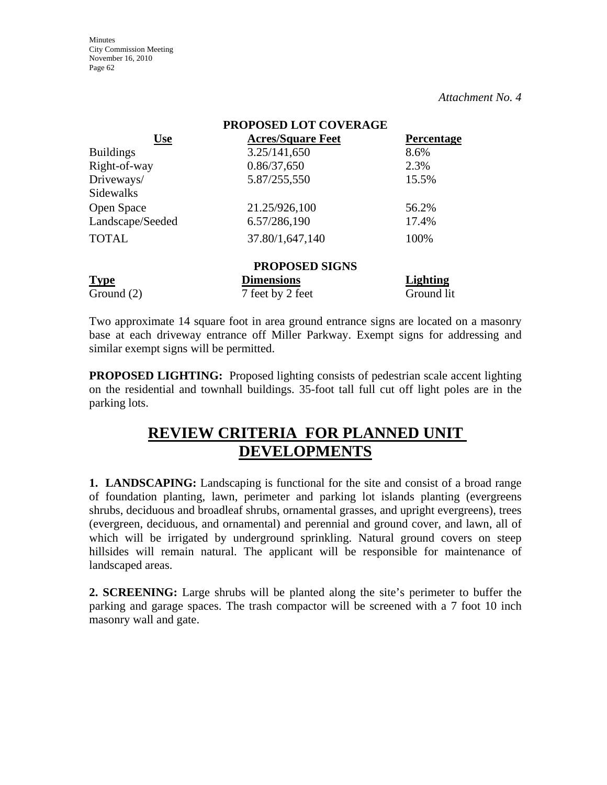**Minutes** City Commission Meeting November 16, 2010 Page 62

*Attachment No. 4*

| PROPOSED LOT COVERAGE |                          |                 |
|-----------------------|--------------------------|-----------------|
| <b>Use</b>            | <b>Acres/Square Feet</b> | Percentage      |
| <b>Buildings</b>      | 3.25/141,650             | 8.6%            |
| Right-of-way          | 0.86/37,650              | 2.3%            |
| Driveways/            | 5.87/255,550             | 15.5%           |
| Sidewalks             |                          |                 |
| Open Space            | 21.25/926,100            | 56.2%           |
| Landscape/Seeded      | 6.57/286,190             | 17.4%           |
| <b>TOTAL</b>          | 37.80/1,647,140          | 100%            |
|                       | <b>PROPOSED SIGNS</b>    |                 |
| <b>Type</b>           | <b>Dimensions</b>        | <b>Lighting</b> |
| Ground $(2)$          | 7 feet by 2 feet         | Ground lit      |

Two approximate 14 square foot in area ground entrance signs are located on a masonry base at each driveway entrance off Miller Parkway. Exempt signs for addressing and similar exempt signs will be permitted.

**PROPOSED LIGHTING:** Proposed lighting consists of pedestrian scale accent lighting on the residential and townhall buildings. 35-foot tall full cut off light poles are in the parking lots.

# **REVIEW CRITERIA FOR PLANNED UNIT DEVELOPMENTS**

**1. LANDSCAPING:** Landscaping is functional for the site and consist of a broad range of foundation planting, lawn, perimeter and parking lot islands planting (evergreens shrubs, deciduous and broadleaf shrubs, ornamental grasses, and upright evergreens), trees (evergreen, deciduous, and ornamental) and perennial and ground cover, and lawn, all of which will be irrigated by underground sprinkling. Natural ground covers on steep hillsides will remain natural. The applicant will be responsible for maintenance of landscaped areas.

**2. SCREENING:** Large shrubs will be planted along the site's perimeter to buffer the parking and garage spaces. The trash compactor will be screened with a 7 foot 10 inch masonry wall and gate.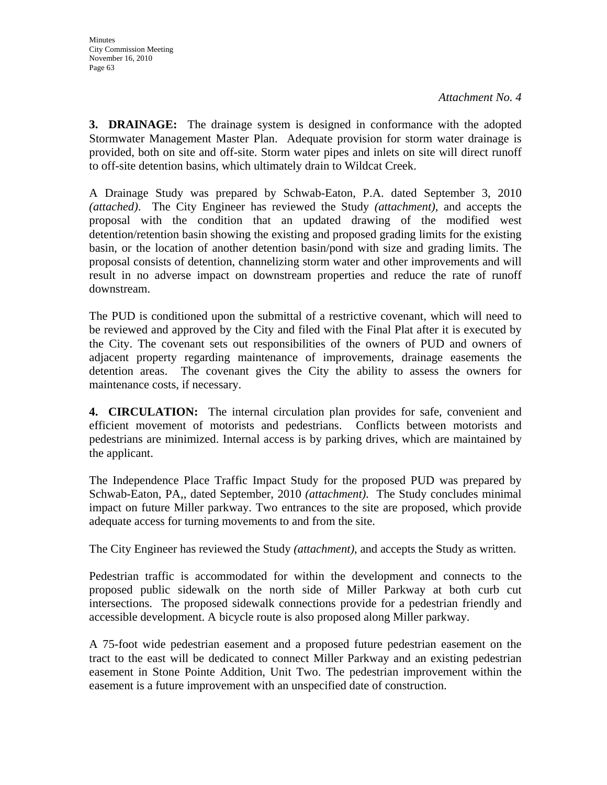**3. DRAINAGE:** The drainage system is designed in conformance with the adopted Stormwater Management Master Plan. Adequate provision for storm water drainage is provided, both on site and off-site. Storm water pipes and inlets on site will direct runoff to off-site detention basins, which ultimately drain to Wildcat Creek.

A Drainage Study was prepared by Schwab-Eaton, P.A. dated September 3, 2010 *(attached)*. The City Engineer has reviewed the Study *(attachment)*, and accepts the proposal with the condition that an updated drawing of the modified west detention/retention basin showing the existing and proposed grading limits for the existing basin, or the location of another detention basin/pond with size and grading limits. The proposal consists of detention, channelizing storm water and other improvements and will result in no adverse impact on downstream properties and reduce the rate of runoff downstream.

The PUD is conditioned upon the submittal of a restrictive covenant, which will need to be reviewed and approved by the City and filed with the Final Plat after it is executed by the City. The covenant sets out responsibilities of the owners of PUD and owners of adjacent property regarding maintenance of improvements, drainage easements the detention areas. The covenant gives the City the ability to assess the owners for maintenance costs, if necessary.

**4. CIRCULATION:** The internal circulation plan provides for safe, convenient and efficient movement of motorists and pedestrians. Conflicts between motorists and pedestrians are minimized. Internal access is by parking drives, which are maintained by the applicant.

The Independence Place Traffic Impact Study for the proposed PUD was prepared by Schwab-Eaton, PA,, dated September, 2010 *(attachment)*. The Study concludes minimal impact on future Miller parkway. Two entrances to the site are proposed, which provide adequate access for turning movements to and from the site.

The City Engineer has reviewed the Study *(attachment)*, and accepts the Study as written.

Pedestrian traffic is accommodated for within the development and connects to the proposed public sidewalk on the north side of Miller Parkway at both curb cut intersections. The proposed sidewalk connections provide for a pedestrian friendly and accessible development. A bicycle route is also proposed along Miller parkway.

A 75-foot wide pedestrian easement and a proposed future pedestrian easement on the tract to the east will be dedicated to connect Miller Parkway and an existing pedestrian easement in Stone Pointe Addition, Unit Two. The pedestrian improvement within the easement is a future improvement with an unspecified date of construction.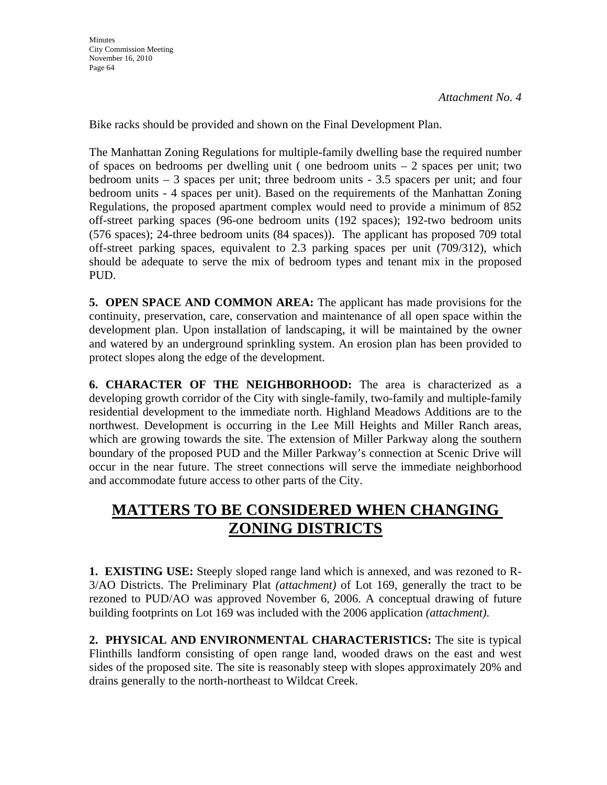Bike racks should be provided and shown on the Final Development Plan.

The Manhattan Zoning Regulations for multiple-family dwelling base the required number of spaces on bedrooms per dwelling unit ( one bedroom units – 2 spaces per unit; two bedroom units – 3 spaces per unit; three bedroom units - 3.5 spacers per unit; and four bedroom units - 4 spaces per unit). Based on the requirements of the Manhattan Zoning Regulations, the proposed apartment complex would need to provide a minimum of 852 off-street parking spaces (96-one bedroom units (192 spaces); 192-two bedroom units (576 spaces); 24-three bedroom units (84 spaces)). The applicant has proposed 709 total off-street parking spaces, equivalent to 2.3 parking spaces per unit (709/312), which should be adequate to serve the mix of bedroom types and tenant mix in the proposed PUD.

**5. OPEN SPACE AND COMMON AREA:** The applicant has made provisions for the continuity, preservation, care, conservation and maintenance of all open space within the development plan. Upon installation of landscaping, it will be maintained by the owner and watered by an underground sprinkling system. An erosion plan has been provided to protect slopes along the edge of the development.

**6. CHARACTER OF THE NEIGHBORHOOD:** The area is characterized as a developing growth corridor of the City with single-family, two-family and multiple-family residential development to the immediate north. Highland Meadows Additions are to the northwest. Development is occurring in the Lee Mill Heights and Miller Ranch areas, which are growing towards the site. The extension of Miller Parkway along the southern boundary of the proposed PUD and the Miller Parkway's connection at Scenic Drive will occur in the near future. The street connections will serve the immediate neighborhood and accommodate future access to other parts of the City.

# **MATTERS TO BE CONSIDERED WHEN CHANGING ZONING DISTRICTS**

**1. EXISTING USE:** Steeply sloped range land which is annexed, and was rezoned to R-3/AO Districts. The Preliminary Plat *(attachment)* of Lot 169, generally the tract to be rezoned to PUD/AO was approved November 6, 2006. A conceptual drawing of future building footprints on Lot 169 was included with the 2006 application *(attachment)*.

**2. PHYSICAL AND ENVIRONMENTAL CHARACTERISTICS:** The site is typical Flinthills landform consisting of open range land, wooded draws on the east and west sides of the proposed site. The site is reasonably steep with slopes approximately 20% and drains generally to the north-northeast to Wildcat Creek.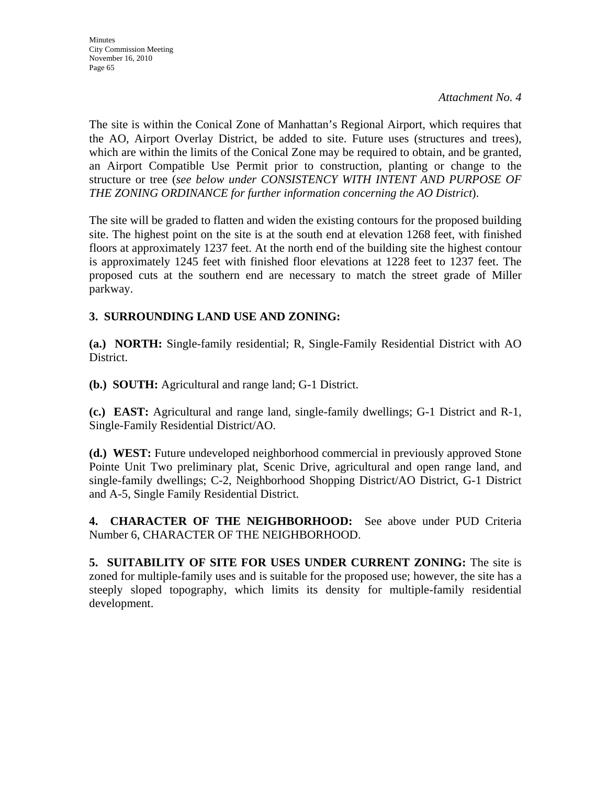The site is within the Conical Zone of Manhattan's Regional Airport, which requires that the AO, Airport Overlay District, be added to site. Future uses (structures and trees), which are within the limits of the Conical Zone may be required to obtain, and be granted, an Airport Compatible Use Permit prior to construction, planting or change to the structure or tree (*see below under CONSISTENCY WITH INTENT AND PURPOSE OF THE ZONING ORDINANCE for further information concerning the AO District*).

The site will be graded to flatten and widen the existing contours for the proposed building site. The highest point on the site is at the south end at elevation 1268 feet, with finished floors at approximately 1237 feet. At the north end of the building site the highest contour is approximately 1245 feet with finished floor elevations at 1228 feet to 1237 feet. The proposed cuts at the southern end are necessary to match the street grade of Miller parkway.

## **3. SURROUNDING LAND USE AND ZONING:**

**(a.) NORTH:** Single-family residential; R, Single-Family Residential District with AO District.

**(b.) SOUTH:** Agricultural and range land; G-1 District.

**(c.) EAST:** Agricultural and range land, single-family dwellings; G-1 District and R-1, Single-Family Residential District/AO.

**(d.) WEST:** Future undeveloped neighborhood commercial in previously approved Stone Pointe Unit Two preliminary plat, Scenic Drive, agricultural and open range land, and single-family dwellings; C-2, Neighborhood Shopping District/AO District, G-1 District and A-5, Single Family Residential District.

**4. CHARACTER OF THE NEIGHBORHOOD:** See above under PUD Criteria Number 6, CHARACTER OF THE NEIGHBORHOOD.

**5. SUITABILITY OF SITE FOR USES UNDER CURRENT ZONING:** The site is zoned for multiple-family uses and is suitable for the proposed use; however, the site has a steeply sloped topography, which limits its density for multiple-family residential development.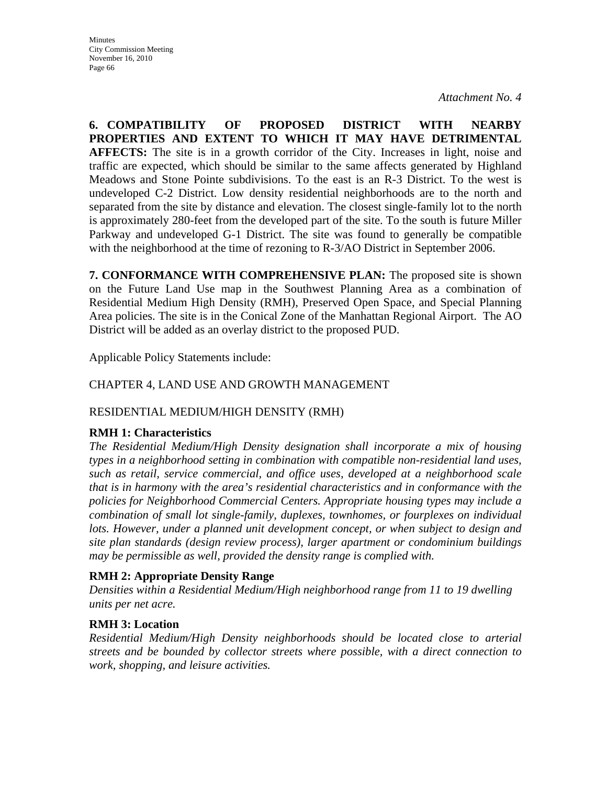**6. COMPATIBILITY OF PROPOSED DISTRICT WITH NEARBY PROPERTIES AND EXTENT TO WHICH IT MAY HAVE DETRIMENTAL AFFECTS:** The site is in a growth corridor of the City. Increases in light, noise and traffic are expected, which should be similar to the same affects generated by Highland Meadows and Stone Pointe subdivisions. To the east is an R-3 District. To the west is undeveloped C-2 District. Low density residential neighborhoods are to the north and separated from the site by distance and elevation. The closest single-family lot to the north is approximately 280-feet from the developed part of the site. To the south is future Miller Parkway and undeveloped G-1 District. The site was found to generally be compatible with the neighborhood at the time of rezoning to R-3/AO District in September 2006.

**7. CONFORMANCE WITH COMPREHENSIVE PLAN:** The proposed site is shown on the Future Land Use map in the Southwest Planning Area as a combination of Residential Medium High Density (RMH), Preserved Open Space, and Special Planning Area policies. The site is in the Conical Zone of the Manhattan Regional Airport. The AO District will be added as an overlay district to the proposed PUD.

Applicable Policy Statements include:

## CHAPTER 4, LAND USE AND GROWTH MANAGEMENT

## RESIDENTIAL MEDIUM/HIGH DENSITY (RMH)

### **RMH 1: Characteristics**

*The Residential Medium/High Density designation shall incorporate a mix of housing types in a neighborhood setting in combination with compatible non-residential land uses, such as retail, service commercial, and office uses, developed at a neighborhood scale that is in harmony with the area's residential characteristics and in conformance with the policies for Neighborhood Commercial Centers. Appropriate housing types may include a combination of small lot single-family, duplexes, townhomes, or fourplexes on individual*  lots. However, under a planned unit development concept, or when subject to design and *site plan standards (design review process), larger apartment or condominium buildings may be permissible as well, provided the density range is complied with.* 

### **RMH 2: Appropriate Density Range**

*Densities within a Residential Medium/High neighborhood range from 11 to 19 dwelling units per net acre.* 

## **RMH 3: Location**

*Residential Medium/High Density neighborhoods should be located close to arterial streets and be bounded by collector streets where possible, with a direct connection to work, shopping, and leisure activities.*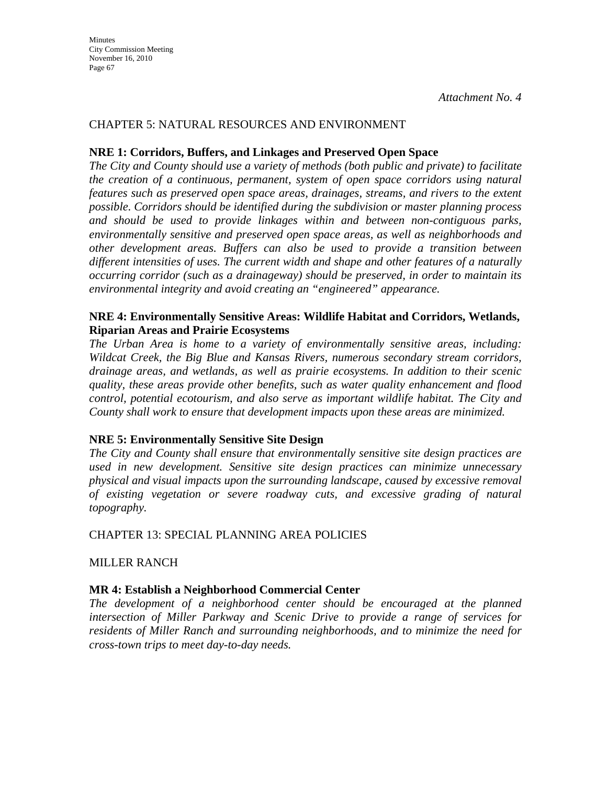### CHAPTER 5: NATURAL RESOURCES AND ENVIRONMENT

### **NRE 1: Corridors, Buffers, and Linkages and Preserved Open Space**

*The City and County should use a variety of methods (both public and private) to facilitate the creation of a continuous, permanent, system of open space corridors using natural features such as preserved open space areas, drainages, streams, and rivers to the extent possible. Corridors should be identified during the subdivision or master planning process and should be used to provide linkages within and between non-contiguous parks, environmentally sensitive and preserved open space areas, as well as neighborhoods and other development areas. Buffers can also be used to provide a transition between different intensities of uses. The current width and shape and other features of a naturally occurring corridor (such as a drainageway) should be preserved, in order to maintain its environmental integrity and avoid creating an "engineered" appearance.* 

#### **NRE 4: Environmentally Sensitive Areas: Wildlife Habitat and Corridors, Wetlands, Riparian Areas and Prairie Ecosystems**

*The Urban Area is home to a variety of environmentally sensitive areas, including: Wildcat Creek, the Big Blue and Kansas Rivers, numerous secondary stream corridors, drainage areas, and wetlands, as well as prairie ecosystems. In addition to their scenic quality, these areas provide other benefits, such as water quality enhancement and flood control, potential ecotourism, and also serve as important wildlife habitat. The City and County shall work to ensure that development impacts upon these areas are minimized.* 

### **NRE 5: Environmentally Sensitive Site Design**

*The City and County shall ensure that environmentally sensitive site design practices are used in new development. Sensitive site design practices can minimize unnecessary physical and visual impacts upon the surrounding landscape, caused by excessive removal of existing vegetation or severe roadway cuts, and excessive grading of natural topography.* 

CHAPTER 13: SPECIAL PLANNING AREA POLICIES

MILLER RANCH

### **MR 4: Establish a Neighborhood Commercial Center**

*The development of a neighborhood center should be encouraged at the planned intersection of Miller Parkway and Scenic Drive to provide a range of services for residents of Miller Ranch and surrounding neighborhoods, and to minimize the need for cross-town trips to meet day-to-day needs.*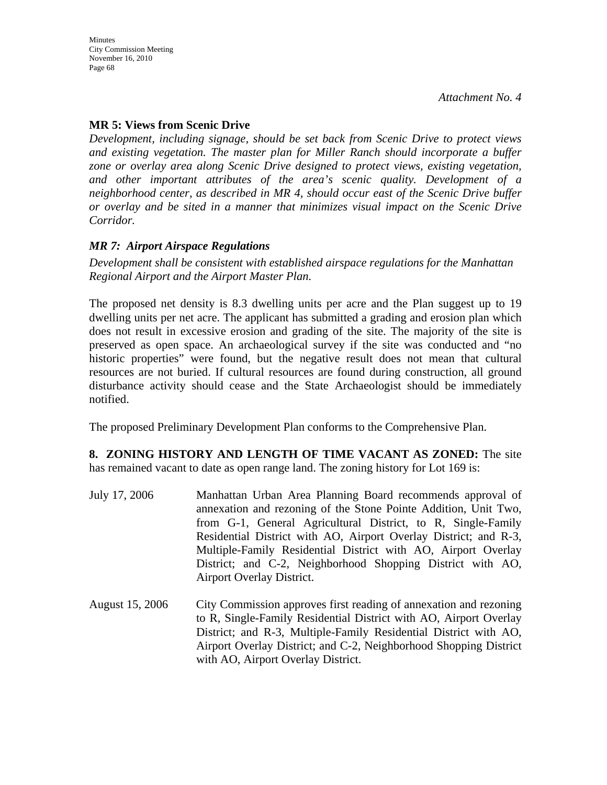## **MR 5: Views from Scenic Drive**

*Development, including signage, should be set back from Scenic Drive to protect views and existing vegetation. The master plan for Miller Ranch should incorporate a buffer zone or overlay area along Scenic Drive designed to protect views, existing vegetation, and other important attributes of the area's scenic quality. Development of a neighborhood center, as described in MR 4, should occur east of the Scenic Drive buffer or overlay and be sited in a manner that minimizes visual impact on the Scenic Drive Corridor.*

### *MR 7: Airport Airspace Regulations*

*Development shall be consistent with established airspace regulations for the Manhattan Regional Airport and the Airport Master Plan.* 

The proposed net density is 8.3 dwelling units per acre and the Plan suggest up to 19 dwelling units per net acre. The applicant has submitted a grading and erosion plan which does not result in excessive erosion and grading of the site. The majority of the site is preserved as open space. An archaeological survey if the site was conducted and "no historic properties" were found, but the negative result does not mean that cultural resources are not buried. If cultural resources are found during construction, all ground disturbance activity should cease and the State Archaeologist should be immediately notified.

The proposed Preliminary Development Plan conforms to the Comprehensive Plan.

#### **8. ZONING HISTORY AND LENGTH OF TIME VACANT AS ZONED:** The site has remained vacant to date as open range land. The zoning history for Lot 169 is:

- July 17, 2006 Manhattan Urban Area Planning Board recommends approval of annexation and rezoning of the Stone Pointe Addition, Unit Two, from G-1, General Agricultural District, to R, Single-Family Residential District with AO, Airport Overlay District; and R-3, Multiple-Family Residential District with AO, Airport Overlay District; and C-2, Neighborhood Shopping District with AO, Airport Overlay District.
- August 15, 2006 City Commission approves first reading of annexation and rezoning to R, Single-Family Residential District with AO, Airport Overlay District; and R-3, Multiple-Family Residential District with AO, Airport Overlay District; and C-2, Neighborhood Shopping District with AO, Airport Overlay District.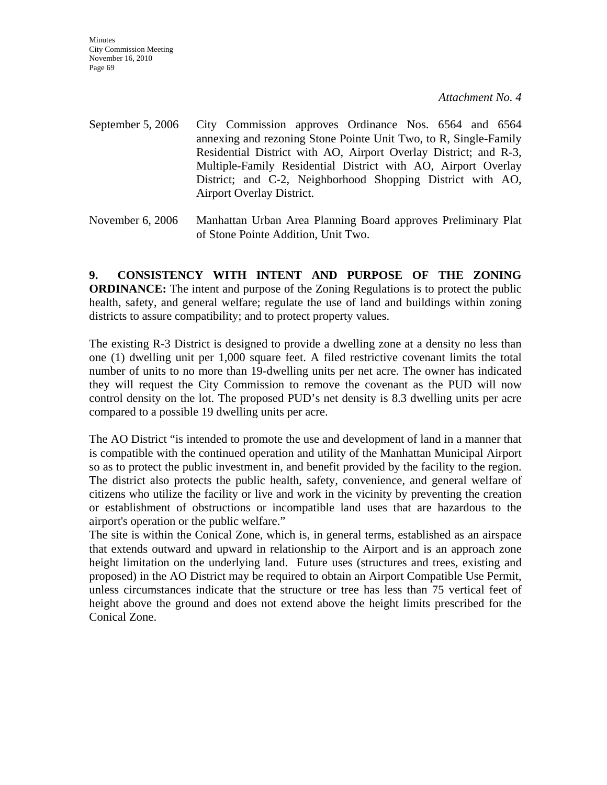**Minutes** City Commission Meeting November 16, 2010 Page 69

*Attachment No. 4*

- September 5, 2006 City Commission approves Ordinance Nos. 6564 and 6564 annexing and rezoning Stone Pointe Unit Two, to R, Single-Family Residential District with AO, Airport Overlay District; and R-3, Multiple-Family Residential District with AO, Airport Overlay District; and C-2, Neighborhood Shopping District with AO, Airport Overlay District.
- November 6, 2006 Manhattan Urban Area Planning Board approves Preliminary Plat of Stone Pointe Addition, Unit Two.

**9. CONSISTENCY WITH INTENT AND PURPOSE OF THE ZONING ORDINANCE:** The intent and purpose of the Zoning Regulations is to protect the public health, safety, and general welfare; regulate the use of land and buildings within zoning districts to assure compatibility; and to protect property values.

The existing R-3 District is designed to provide a dwelling zone at a density no less than one (1) dwelling unit per 1,000 square feet. A filed restrictive covenant limits the total number of units to no more than 19-dwelling units per net acre. The owner has indicated they will request the City Commission to remove the covenant as the PUD will now control density on the lot. The proposed PUD's net density is 8.3 dwelling units per acre compared to a possible 19 dwelling units per acre.

The AO District "is intended to promote the use and development of land in a manner that is compatible with the continued operation and utility of the Manhattan Municipal Airport so as to protect the public investment in, and benefit provided by the facility to the region. The district also protects the public health, safety, convenience, and general welfare of citizens who utilize the facility or live and work in the vicinity by preventing the creation or establishment of obstructions or incompatible land uses that are hazardous to the airport's operation or the public welfare."

The site is within the Conical Zone, which is, in general terms, established as an airspace that extends outward and upward in relationship to the Airport and is an approach zone height limitation on the underlying land. Future uses (structures and trees, existing and proposed) in the AO District may be required to obtain an Airport Compatible Use Permit, unless circumstances indicate that the structure or tree has less than 75 vertical feet of height above the ground and does not extend above the height limits prescribed for the Conical Zone.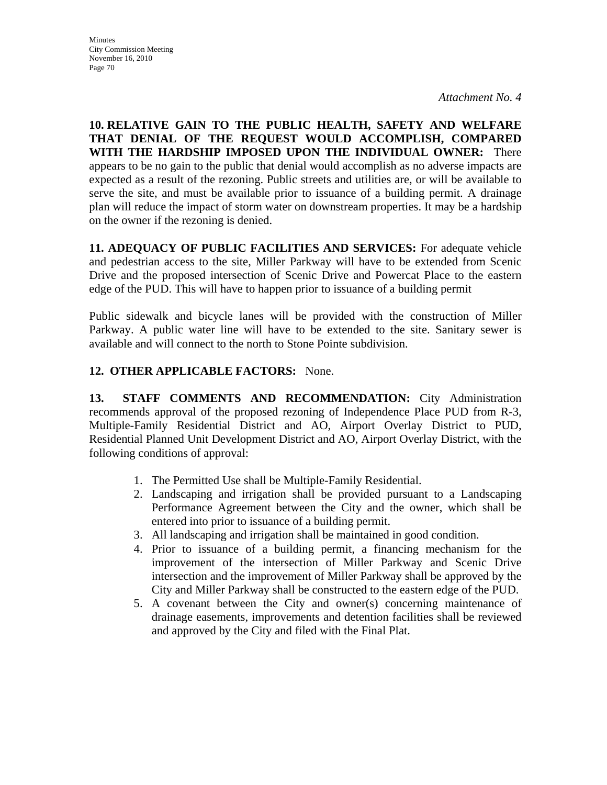**10. RELATIVE GAIN TO THE PUBLIC HEALTH, SAFETY AND WELFARE THAT DENIAL OF THE REQUEST WOULD ACCOMPLISH, COMPARED WITH THE HARDSHIP IMPOSED UPON THE INDIVIDUAL OWNER:** There appears to be no gain to the public that denial would accomplish as no adverse impacts are expected as a result of the rezoning. Public streets and utilities are, or will be available to serve the site, and must be available prior to issuance of a building permit. A drainage plan will reduce the impact of storm water on downstream properties. It may be a hardship on the owner if the rezoning is denied.

**11. ADEQUACY OF PUBLIC FACILITIES AND SERVICES:** For adequate vehicle and pedestrian access to the site, Miller Parkway will have to be extended from Scenic Drive and the proposed intersection of Scenic Drive and Powercat Place to the eastern edge of the PUD. This will have to happen prior to issuance of a building permit

Public sidewalk and bicycle lanes will be provided with the construction of Miller Parkway. A public water line will have to be extended to the site. Sanitary sewer is available and will connect to the north to Stone Pointe subdivision.

## **12. OTHER APPLICABLE FACTORS:** None.

**13. STAFF COMMENTS AND RECOMMENDATION:** City Administration recommends approval of the proposed rezoning of Independence Place PUD from R-3, Multiple-Family Residential District and AO, Airport Overlay District to PUD, Residential Planned Unit Development District and AO, Airport Overlay District, with the following conditions of approval:

- 1. The Permitted Use shall be Multiple-Family Residential.
- 2. Landscaping and irrigation shall be provided pursuant to a Landscaping Performance Agreement between the City and the owner, which shall be entered into prior to issuance of a building permit.
- 3. All landscaping and irrigation shall be maintained in good condition.
- 4. Prior to issuance of a building permit, a financing mechanism for the improvement of the intersection of Miller Parkway and Scenic Drive intersection and the improvement of Miller Parkway shall be approved by the City and Miller Parkway shall be constructed to the eastern edge of the PUD.
- 5. A covenant between the City and owner(s) concerning maintenance of drainage easements, improvements and detention facilities shall be reviewed and approved by the City and filed with the Final Plat.